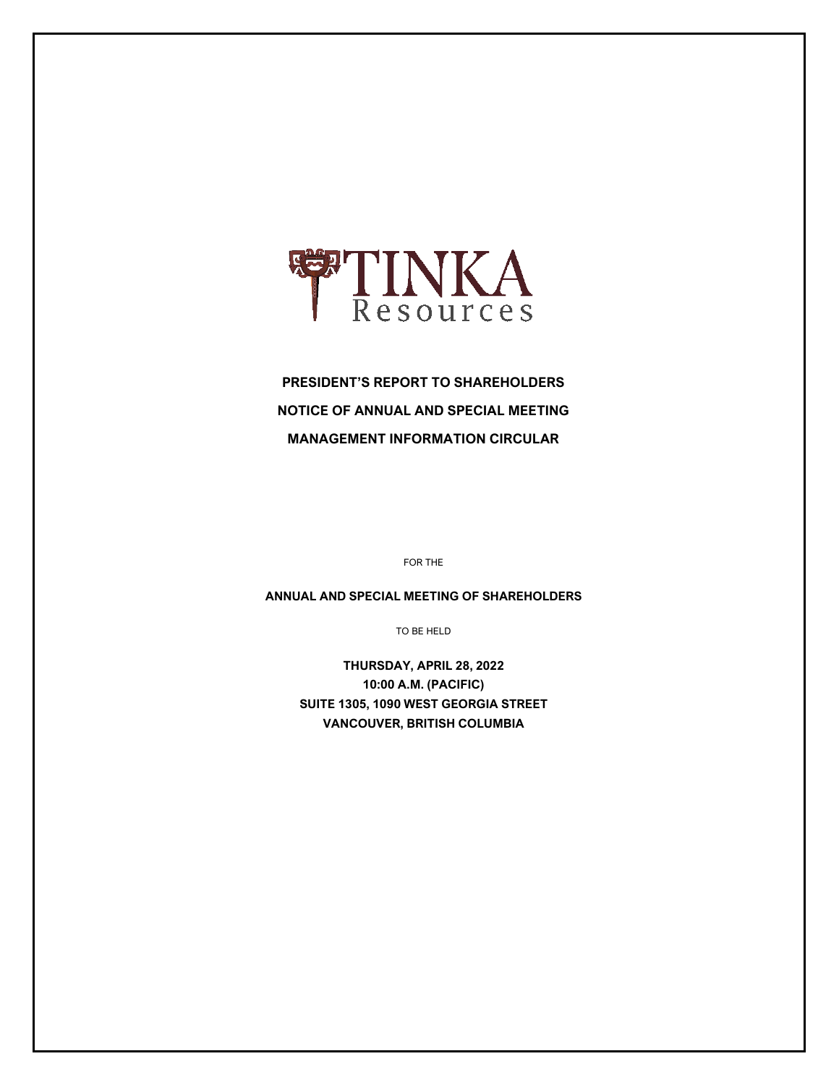

# **PRESIDENT'S REPORT TO SHAREHOLDERS NOTICE OF ANNUAL AND SPECIAL MEETING MANAGEMENT INFORMATION CIRCULAR**

FOR THE

**ANNUAL AND SPECIAL MEETING OF SHAREHOLDERS**

TO BE HELD

**THURSDAY, APRIL 28, 2022 10:00 A.M. (PACIFIC) SUITE 1305, 1090 WEST GEORGIA STREET VANCOUVER, BRITISH COLUMBIA**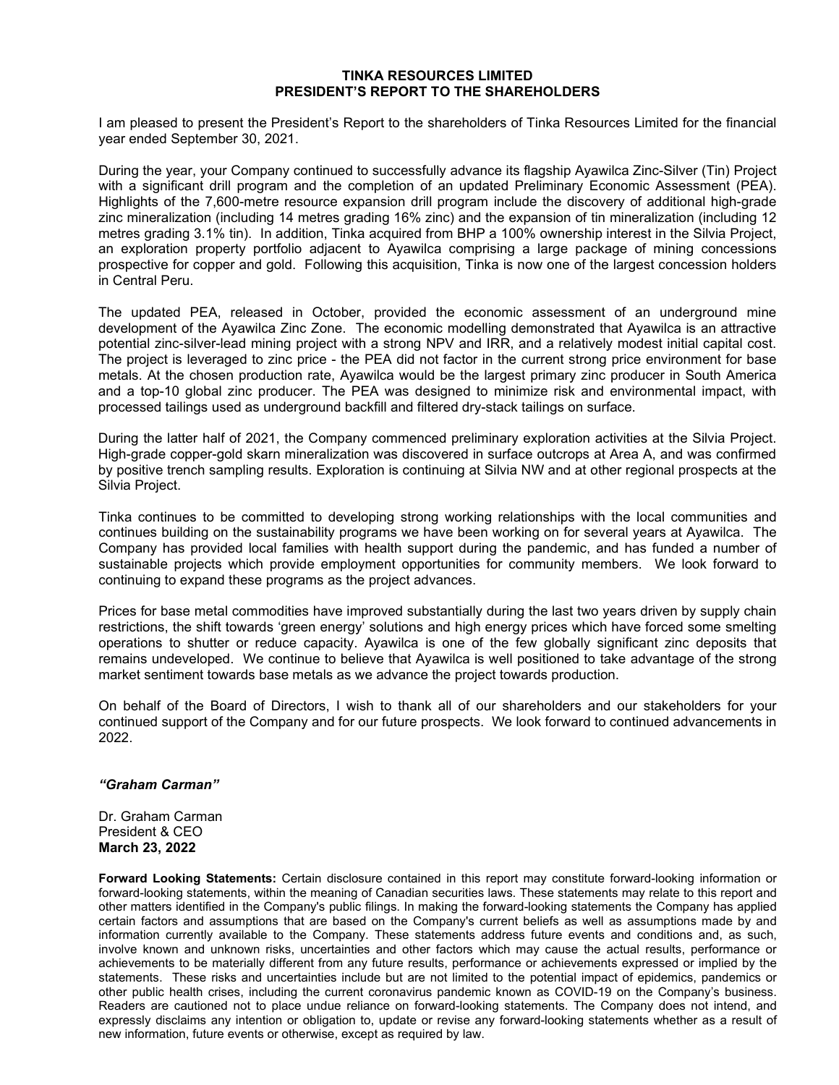#### **TINKA RESOURCES LIMITED PRESIDENT'S REPORT TO THE SHAREHOLDERS**

I am pleased to present the President's Report to the shareholders of Tinka Resources Limited for the financial year ended September 30, 2021.

During the year, your Company continued to successfully advance its flagship Ayawilca Zinc-Silver (Tin) Project with a significant drill program and the completion of an updated Preliminary Economic Assessment (PEA). Highlights of the 7,600-metre resource expansion drill program include the discovery of additional high-grade zinc mineralization (including 14 metres grading 16% zinc) and the expansion of tin mineralization (including 12 metres grading 3.1% tin). In addition, Tinka acquired from BHP a 100% ownership interest in the Silvia Project, an exploration property portfolio adjacent to Ayawilca comprising a large package of mining concessions prospective for copper and gold. Following this acquisition, Tinka is now one of the largest concession holders in Central Peru.

The updated PEA, released in October, provided the economic assessment of an underground mine development of the Ayawilca Zinc Zone. The economic modelling demonstrated that Ayawilca is an attractive potential zinc-silver-lead mining project with a strong NPV and IRR, and a relatively modest initial capital cost. The project is leveraged to zinc price - the PEA did not factor in the current strong price environment for base metals. At the chosen production rate, Ayawilca would be the largest primary zinc producer in South America and a top-10 global zinc producer. The PEA was designed to minimize risk and environmental impact, with processed tailings used as underground backfill and filtered dry-stack tailings on surface.

During the latter half of 2021, the Company commenced preliminary exploration activities at the Silvia Project. High-grade copper-gold skarn mineralization was discovered in surface outcrops at Area A, and was confirmed by positive trench sampling results. Exploration is continuing at Silvia NW and at other regional prospects at the Silvia Project.

Tinka continues to be committed to developing strong working relationships with the local communities and continues building on the sustainability programs we have been working on for several years at Ayawilca. The Company has provided local families with health support during the pandemic, and has funded a number of sustainable projects which provide employment opportunities for community members. We look forward to continuing to expand these programs as the project advances.

Prices for base metal commodities have improved substantially during the last two years driven by supply chain restrictions, the shift towards 'green energy' solutions and high energy prices which have forced some smelting operations to shutter or reduce capacity. Ayawilca is one of the few globally significant zinc deposits that remains undeveloped. We continue to believe that Ayawilca is well positioned to take advantage of the strong market sentiment towards base metals as we advance the project towards production.

On behalf of the Board of Directors, I wish to thank all of our shareholders and our stakeholders for your continued support of the Company and for our future prospects. We look forward to continued advancements in 2022.

### *"Graham Carman"*

Dr. Graham Carman President & CEO **March 23, 2022**

**Forward Looking Statements:** Certain disclosure contained in this report may constitute forward-looking information or forward-looking statements, within the meaning of Canadian securities laws. These statements may relate to this report and other matters identified in the Company's public filings. In making the forward-looking statements the Company has applied certain factors and assumptions that are based on the Company's current beliefs as well as assumptions made by and information currently available to the Company. These statements address future events and conditions and, as such, involve known and unknown risks, uncertainties and other factors which may cause the actual results, performance or achievements to be materially different from any future results, performance or achievements expressed or implied by the statements. These risks and uncertainties include but are not limited to the potential impact of epidemics, pandemics or other public health crises, including the current coronavirus pandemic known as COVID-19 on the Company's business. Readers are cautioned not to place undue reliance on forward-looking statements. The Company does not intend, and expressly disclaims any intention or obligation to, update or revise any forward-looking statements whether as a result of new information, future events or otherwise, except as required by law.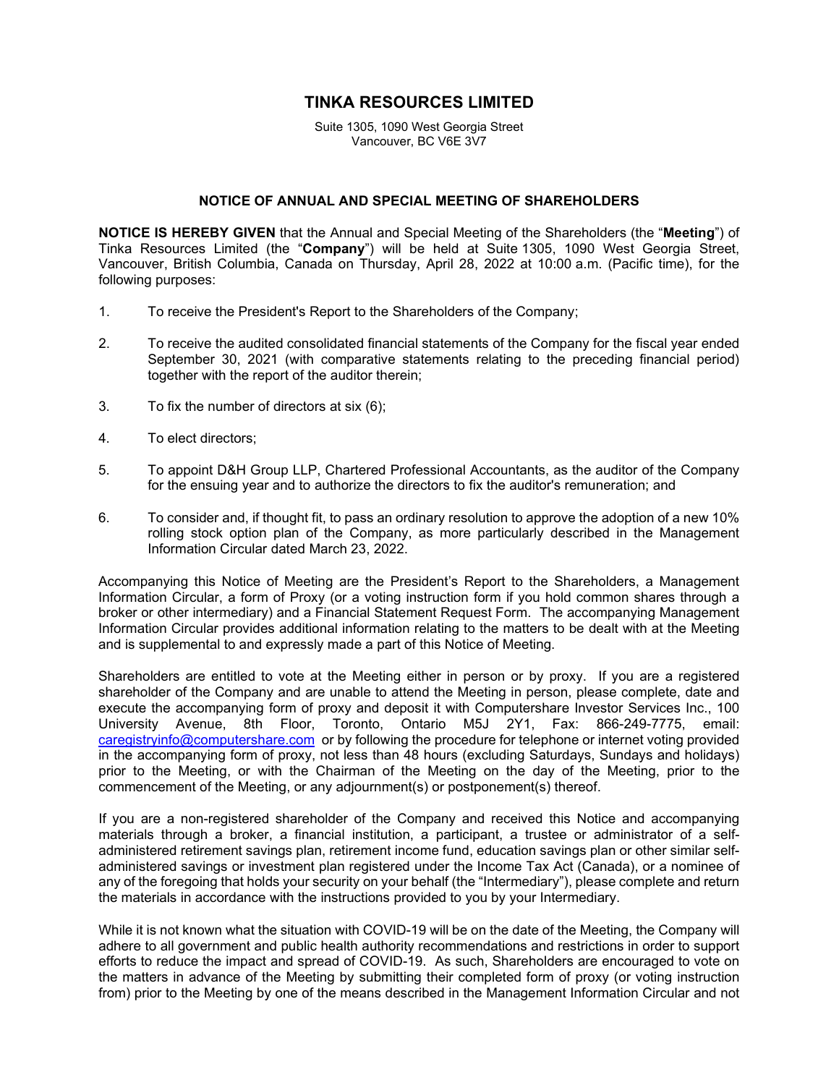# **TINKA RESOURCES LIMITED**

Suite 1305, 1090 West Georgia Street Vancouver, BC V6E 3V7

### **NOTICE OF ANNUAL AND SPECIAL MEETING OF SHAREHOLDERS**

**NOTICE IS HEREBY GIVEN** that the Annual and Special Meeting of the Shareholders (the "**Meeting**") of Tinka Resources Limited (the "**Company**") will be held at Suite 1305, 1090 West Georgia Street, Vancouver, British Columbia, Canada on Thursday, April 28, 2022 at 10:00 a.m. (Pacific time), for the following purposes:

- 1. To receive the President's Report to the Shareholders of the Company;
- 2. To receive the audited consolidated financial statements of the Company for the fiscal year ended September 30, 2021 (with comparative statements relating to the preceding financial period) together with the report of the auditor therein;
- 3. To fix the number of directors at six (6);
- 4. To elect directors;
- 5. To appoint D&H Group LLP, Chartered Professional Accountants, as the auditor of the Company for the ensuing year and to authorize the directors to fix the auditor's remuneration; and
- 6. To consider and, if thought fit, to pass an ordinary resolution to approve the adoption of a new 10% rolling stock option plan of the Company, as more particularly described in the Management Information Circular dated March 23, 2022.

Accompanying this Notice of Meeting are the President's Report to the Shareholders, a Management Information Circular, a form of Proxy (or a voting instruction form if you hold common shares through a broker or other intermediary) and a Financial Statement Request Form. The accompanying Management Information Circular provides additional information relating to the matters to be dealt with at the Meeting and is supplemental to and expressly made a part of this Notice of Meeting.

Shareholders are entitled to vote at the Meeting either in person or by proxy. If you are a registered shareholder of the Company and are unable to attend the Meeting in person, please complete, date and execute the accompanying form of proxy and deposit it with Computershare Investor Services Inc., 100 University Avenue, 8th Floor, Toronto, Ontario M5J 2Y1, Fax: 866-249-7775, email: [caregistryinfo@computershare.com](mailto:caregistryinfo@computershare.com) or by following the procedure for telephone or internet voting provided in the accompanying form of proxy, not less than 48 hours (excluding Saturdays, Sundays and holidays) prior to the Meeting, or with the Chairman of the Meeting on the day of the Meeting, prior to the commencement of the Meeting, or any adjournment(s) or postponement(s) thereof.

If you are a non-registered shareholder of the Company and received this Notice and accompanying materials through a broker, a financial institution, a participant, a trustee or administrator of a selfadministered retirement savings plan, retirement income fund, education savings plan or other similar selfadministered savings or investment plan registered under the Income Tax Act (Canada), or a nominee of any of the foregoing that holds your security on your behalf (the "Intermediary"), please complete and return the materials in accordance with the instructions provided to you by your Intermediary.

While it is not known what the situation with COVID-19 will be on the date of the Meeting, the Company will adhere to all government and public health authority recommendations and restrictions in order to support efforts to reduce the impact and spread of COVID-19. As such, Shareholders are encouraged to vote on the matters in advance of the Meeting by submitting their completed form of proxy (or voting instruction from) prior to the Meeting by one of the means described in the Management Information Circular and not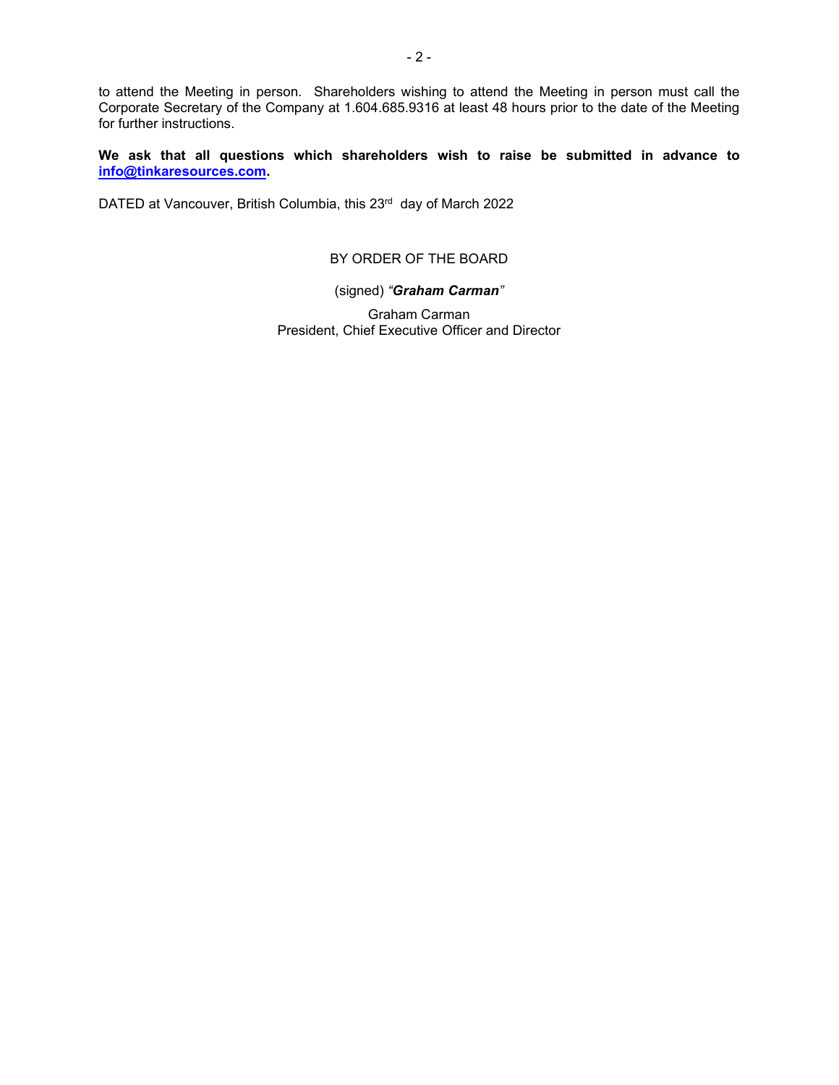to attend the Meeting in person. Shareholders wishing to attend the Meeting in person must call the Corporate Secretary of the Company at 1.604.685.9316 at least 48 hours prior to the date of the Meeting for further instructions.

**We ask that all questions which shareholders wish to raise be submitted in advance to [info@tinkaresources.com.](mailto:info@tinkaresources.com)**

DATED at Vancouver, British Columbia, this 23rd day of March 2022

# BY ORDER OF THE BOARD

### (signed) *"Graham Carman"*

Graham Carman President, Chief Executive Officer and Director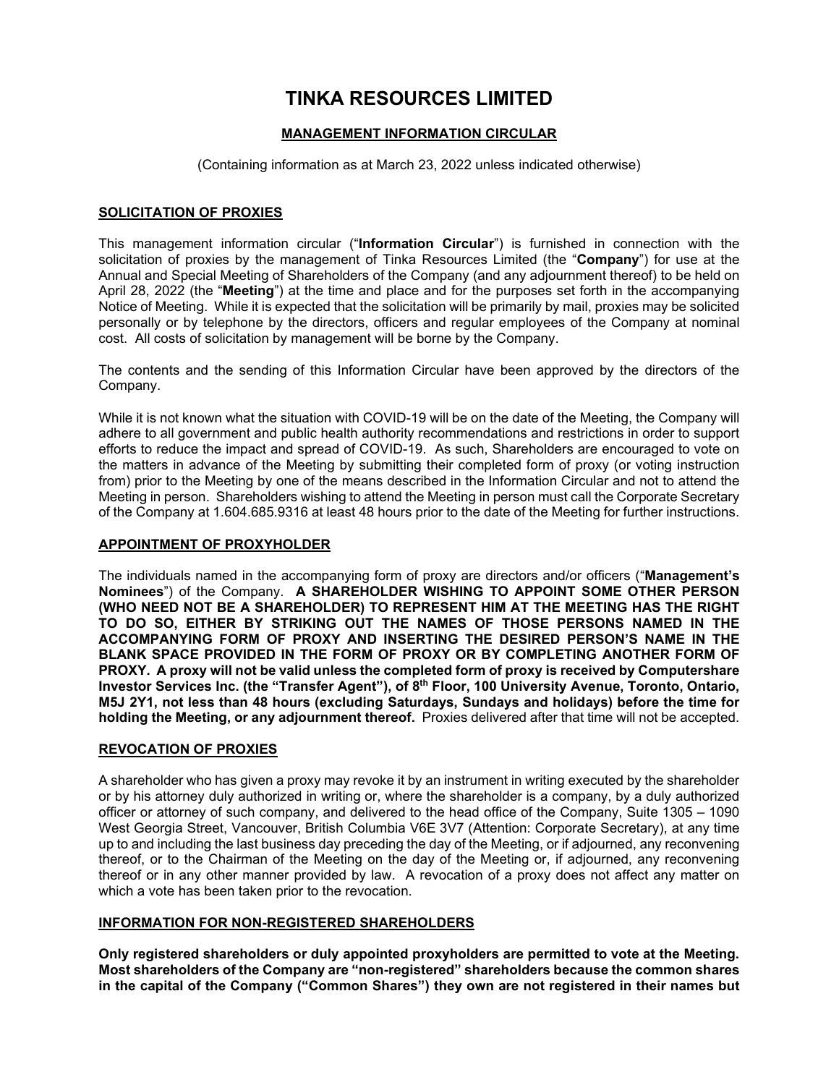# **TINKA RESOURCES LIMITED**

# **MANAGEMENT INFORMATION CIRCULAR**

(Containing information as at March 23, 2022 unless indicated otherwise)

# **SOLICITATION OF PROXIES**

This management information circular ("**Information Circular**") is furnished in connection with the solicitation of proxies by the management of Tinka Resources Limited (the "**Company**") for use at the Annual and Special Meeting of Shareholders of the Company (and any adjournment thereof) to be held on April 28, 2022 (the "**Meeting**") at the time and place and for the purposes set forth in the accompanying Notice of Meeting. While it is expected that the solicitation will be primarily by mail, proxies may be solicited personally or by telephone by the directors, officers and regular employees of the Company at nominal cost. All costs of solicitation by management will be borne by the Company.

The contents and the sending of this Information Circular have been approved by the directors of the Company.

While it is not known what the situation with COVID-19 will be on the date of the Meeting, the Company will adhere to all government and public health authority recommendations and restrictions in order to support efforts to reduce the impact and spread of COVID-19. As such, Shareholders are encouraged to vote on the matters in advance of the Meeting by submitting their completed form of proxy (or voting instruction from) prior to the Meeting by one of the means described in the Information Circular and not to attend the Meeting in person. Shareholders wishing to attend the Meeting in person must call the Corporate Secretary of the Company at 1.604.685.9316 at least 48 hours prior to the date of the Meeting for further instructions.

### **APPOINTMENT OF PROXYHOLDER**

The individuals named in the accompanying form of proxy are directors and/or officers ("**Management's Nominees**") of the Company. **A SHAREHOLDER WISHING TO APPOINT SOME OTHER PERSON (WHO NEED NOT BE A SHAREHOLDER) TO REPRESENT HIM AT THE MEETING HAS THE RIGHT TO DO SO, EITHER BY STRIKING OUT THE NAMES OF THOSE PERSONS NAMED IN THE ACCOMPANYING FORM OF PROXY AND INSERTING THE DESIRED PERSON'S NAME IN THE BLANK SPACE PROVIDED IN THE FORM OF PROXY OR BY COMPLETING ANOTHER FORM OF PROXY. A proxy will not be valid unless the completed form of proxy is received by Computershare Investor Services Inc. (the "Transfer Agent"), of 8th Floor, 100 University Avenue, Toronto, Ontario, M5J 2Y1, not less than 48 hours (excluding Saturdays, Sundays and holidays) before the time for holding the Meeting, or any adjournment thereof.** Proxies delivered after that time will not be accepted.

### **REVOCATION OF PROXIES**

A shareholder who has given a proxy may revoke it by an instrument in writing executed by the shareholder or by his attorney duly authorized in writing or, where the shareholder is a company, by a duly authorized officer or attorney of such company, and delivered to the head office of the Company, Suite 1305 – 1090 West Georgia Street, Vancouver, British Columbia V6E 3V7 (Attention: Corporate Secretary), at any time up to and including the last business day preceding the day of the Meeting, or if adjourned, any reconvening thereof, or to the Chairman of the Meeting on the day of the Meeting or, if adjourned, any reconvening thereof or in any other manner provided by law. A revocation of a proxy does not affect any matter on which a vote has been taken prior to the revocation.

# **INFORMATION FOR NON-REGISTERED SHAREHOLDERS**

**Only registered shareholders or duly appointed proxyholders are permitted to vote at the Meeting. Most shareholders of the Company are "non-registered" shareholders because the common shares in the capital of the Company ("Common Shares") they own are not registered in their names but**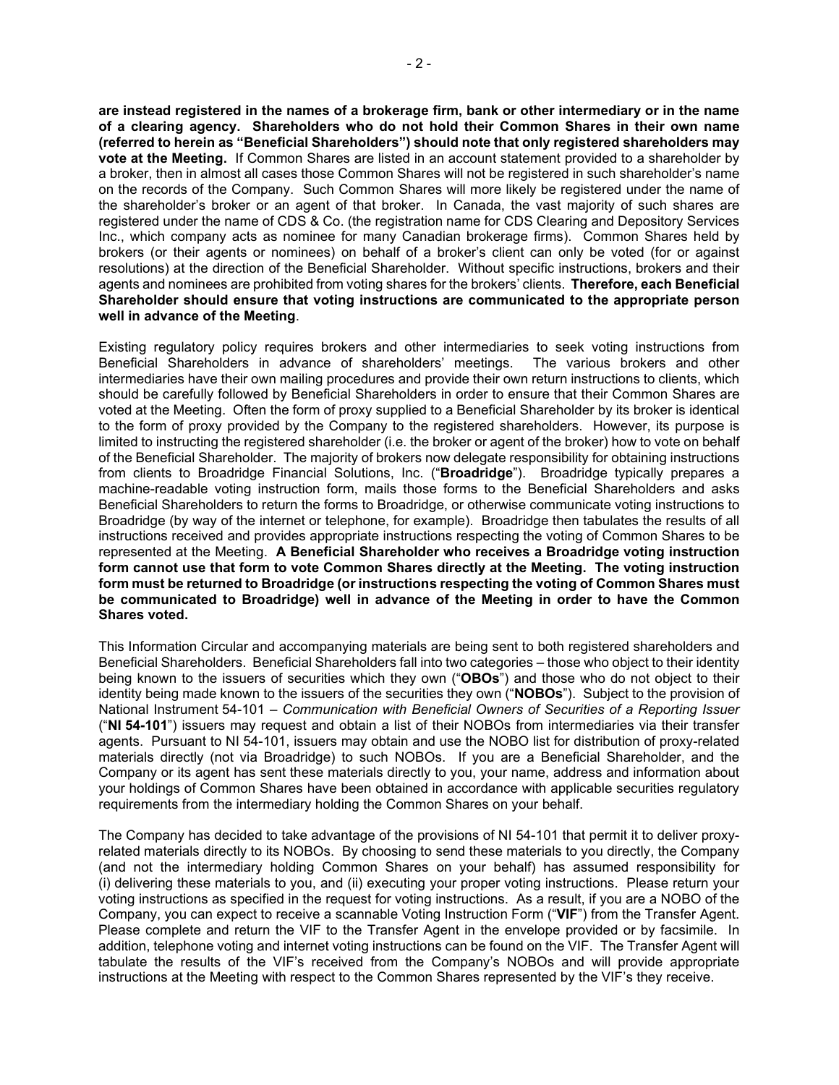**are instead registered in the names of a brokerage firm, bank or other intermediary or in the name of a clearing agency. Shareholders who do not hold their Common Shares in their own name (referred to herein as "Beneficial Shareholders") should note that only registered shareholders may vote at the Meeting.** If Common Shares are listed in an account statement provided to a shareholder by a broker, then in almost all cases those Common Shares will not be registered in such shareholder's name on the records of the Company. Such Common Shares will more likely be registered under the name of the shareholder's broker or an agent of that broker. In Canada, the vast majority of such shares are registered under the name of CDS & Co. (the registration name for CDS Clearing and Depository Services Inc., which company acts as nominee for many Canadian brokerage firms). Common Shares held by brokers (or their agents or nominees) on behalf of a broker's client can only be voted (for or against resolutions) at the direction of the Beneficial Shareholder. Without specific instructions, brokers and their agents and nominees are prohibited from voting shares for the brokers' clients. **Therefore, each Beneficial Shareholder should ensure that voting instructions are communicated to the appropriate person well in advance of the Meeting**.

Existing regulatory policy requires brokers and other intermediaries to seek voting instructions from<br>Beneficial Shareholders in advance of shareholders' meetings. The various brokers and other Beneficial Shareholders in advance of shareholders' meetings. intermediaries have their own mailing procedures and provide their own return instructions to clients, which should be carefully followed by Beneficial Shareholders in order to ensure that their Common Shares are voted at the Meeting. Often the form of proxy supplied to a Beneficial Shareholder by its broker is identical to the form of proxy provided by the Company to the registered shareholders. However, its purpose is limited to instructing the registered shareholder (i.e. the broker or agent of the broker) how to vote on behalf of the Beneficial Shareholder. The majority of brokers now delegate responsibility for obtaining instructions from clients to Broadridge Financial Solutions, Inc. ("**Broadridge**"). Broadridge typically prepares a machine-readable voting instruction form, mails those forms to the Beneficial Shareholders and asks Beneficial Shareholders to return the forms to Broadridge, or otherwise communicate voting instructions to Broadridge (by way of the internet or telephone, for example). Broadridge then tabulates the results of all instructions received and provides appropriate instructions respecting the voting of Common Shares to be represented at the Meeting. **A Beneficial Shareholder who receives a Broadridge voting instruction form cannot use that form to vote Common Shares directly at the Meeting. The voting instruction form must be returned to Broadridge (or instructions respecting the voting of Common Shares must be communicated to Broadridge) well in advance of the Meeting in order to have the Common Shares voted.**

This Information Circular and accompanying materials are being sent to both registered shareholders and Beneficial Shareholders. Beneficial Shareholders fall into two categories – those who object to their identity being known to the issuers of securities which they own ("**OBOs**") and those who do not object to their identity being made known to the issuers of the securities they own ("**NOBOs**"). Subject to the provision of National Instrument 54-101 – *Communication with Beneficial Owners of Securities of a Reporting Issuer* ("**NI 54-101**") issuers may request and obtain a list of their NOBOs from intermediaries via their transfer agents. Pursuant to NI 54-101, issuers may obtain and use the NOBO list for distribution of proxy-related materials directly (not via Broadridge) to such NOBOs. If you are a Beneficial Shareholder, and the Company or its agent has sent these materials directly to you, your name, address and information about your holdings of Common Shares have been obtained in accordance with applicable securities regulatory requirements from the intermediary holding the Common Shares on your behalf.

The Company has decided to take advantage of the provisions of NI 54-101 that permit it to deliver proxyrelated materials directly to its NOBOs. By choosing to send these materials to you directly, the Company (and not the intermediary holding Common Shares on your behalf) has assumed responsibility for (i) delivering these materials to you, and (ii) executing your proper voting instructions. Please return your voting instructions as specified in the request for voting instructions. As a result, if you are a NOBO of the Company, you can expect to receive a scannable Voting Instruction Form ("**VIF**") from the Transfer Agent. Please complete and return the VIF to the Transfer Agent in the envelope provided or by facsimile. In addition, telephone voting and internet voting instructions can be found on the VIF. The Transfer Agent will tabulate the results of the VIF's received from the Company's NOBOs and will provide appropriate instructions at the Meeting with respect to the Common Shares represented by the VIF's they receive.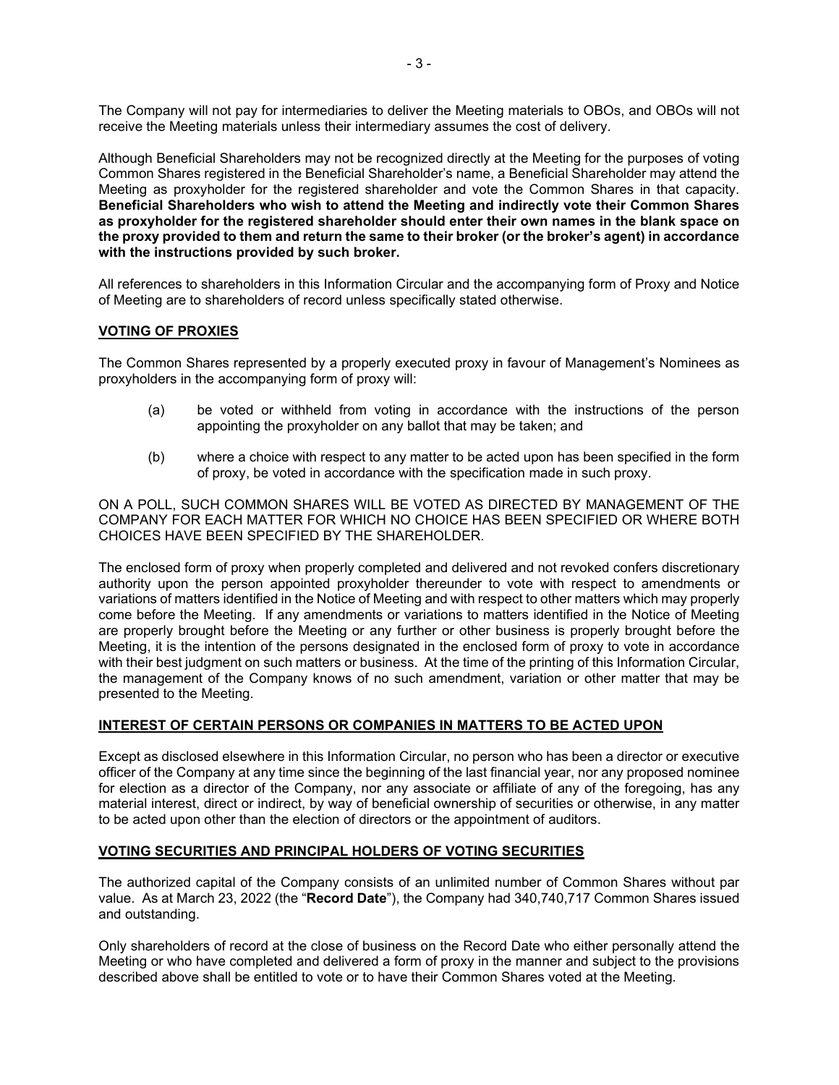The Company will not pay for intermediaries to deliver the Meeting materials to OBOs, and OBOs will not receive the Meeting materials unless their intermediary assumes the cost of delivery.

Although Beneficial Shareholders may not be recognized directly at the Meeting for the purposes of voting Common Shares registered in the Beneficial Shareholder's name, a Beneficial Shareholder may attend the Meeting as proxyholder for the registered shareholder and vote the Common Shares in that capacity. **Beneficial Shareholders who wish to attend the Meeting and indirectly vote their Common Shares as proxyholder for the registered shareholder should enter their own names in the blank space on the proxy provided to them and return the same to their broker (or the broker's agent) in accordance with the instructions provided by such broker.**

All references to shareholders in this Information Circular and the accompanying form of Proxy and Notice of Meeting are to shareholders of record unless specifically stated otherwise.

### **VOTING OF PROXIES**

The Common Shares represented by a properly executed proxy in favour of Management's Nominees as proxyholders in the accompanying form of proxy will:

- (a) be voted or withheld from voting in accordance with the instructions of the person appointing the proxyholder on any ballot that may be taken; and
- (b) where a choice with respect to any matter to be acted upon has been specified in the form of proxy, be voted in accordance with the specification made in such proxy.

ON A POLL, SUCH COMMON SHARES WILL BE VOTED AS DIRECTED BY MANAGEMENT OF THE COMPANY FOR EACH MATTER FOR WHICH NO CHOICE HAS BEEN SPECIFIED OR WHERE BOTH CHOICES HAVE BEEN SPECIFIED BY THE SHAREHOLDER.

The enclosed form of proxy when properly completed and delivered and not revoked confers discretionary authority upon the person appointed proxyholder thereunder to vote with respect to amendments or variations of matters identified in the Notice of Meeting and with respect to other matters which may properly come before the Meeting. If any amendments or variations to matters identified in the Notice of Meeting are properly brought before the Meeting or any further or other business is properly brought before the Meeting, it is the intention of the persons designated in the enclosed form of proxy to vote in accordance with their best judgment on such matters or business. At the time of the printing of this Information Circular, the management of the Company knows of no such amendment, variation or other matter that may be presented to the Meeting.

### **INTEREST OF CERTAIN PERSONS OR COMPANIES IN MATTERS TO BE ACTED UPON**

Except as disclosed elsewhere in this Information Circular, no person who has been a director or executive officer of the Company at any time since the beginning of the last financial year, nor any proposed nominee for election as a director of the Company, nor any associate or affiliate of any of the foregoing, has any material interest, direct or indirect, by way of beneficial ownership of securities or otherwise, in any matter to be acted upon other than the election of directors or the appointment of auditors.

# **VOTING SECURITIES AND PRINCIPAL HOLDERS OF VOTING SECURITIES**

The authorized capital of the Company consists of an unlimited number of Common Shares without par value. As at March 23, 2022 (the "**Record Date**"), the Company had 340,740,717 Common Shares issued and outstanding.

Only shareholders of record at the close of business on the Record Date who either personally attend the Meeting or who have completed and delivered a form of proxy in the manner and subject to the provisions described above shall be entitled to vote or to have their Common Shares voted at the Meeting.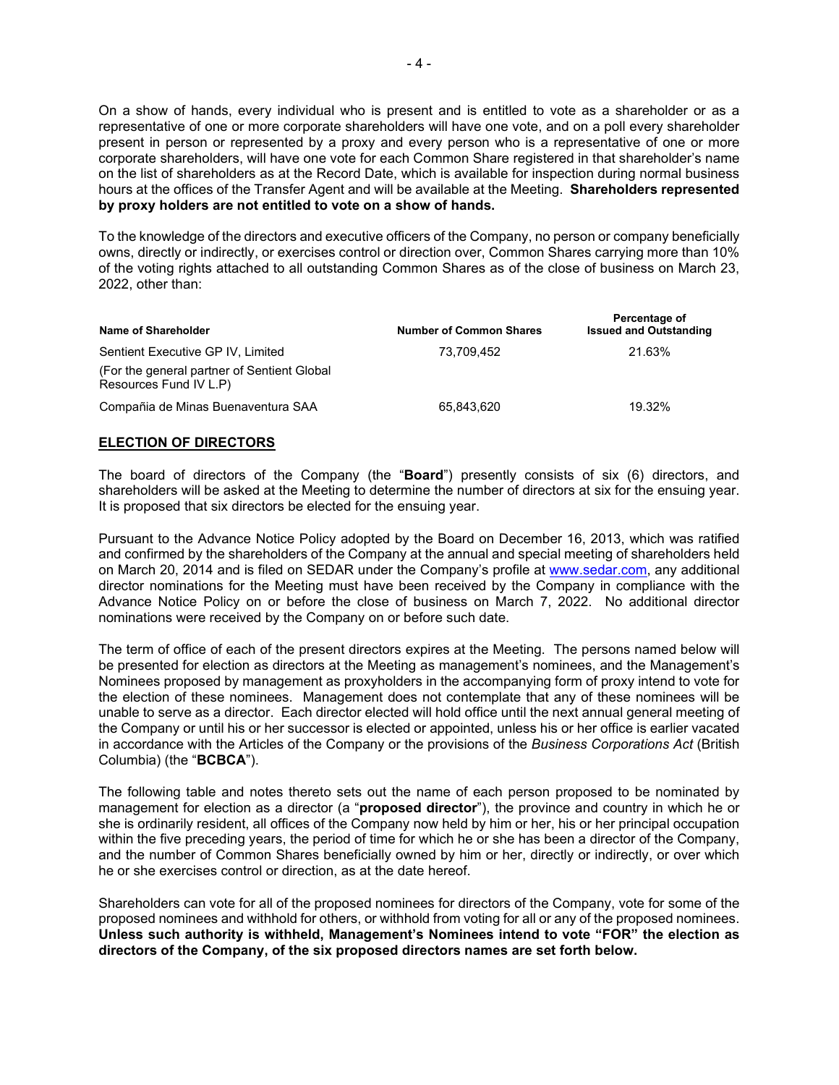On a show of hands, every individual who is present and is entitled to vote as a shareholder or as a representative of one or more corporate shareholders will have one vote, and on a poll every shareholder present in person or represented by a proxy and every person who is a representative of one or more corporate shareholders, will have one vote for each Common Share registered in that shareholder's name on the list of shareholders as at the Record Date, which is available for inspection during normal business hours at the offices of the Transfer Agent and will be available at the Meeting. **Shareholders represented by proxy holders are not entitled to vote on a show of hands.**

To the knowledge of the directors and executive officers of the Company, no person or company beneficially owns, directly or indirectly, or exercises control or direction over, Common Shares carrying more than 10% of the voting rights attached to all outstanding Common Shares as of the close of business on March 23, 2022, other than:

| Name of Shareholder                                                    | <b>Number of Common Shares</b> | Percentage of<br><b>Issued and Outstanding</b> |
|------------------------------------------------------------------------|--------------------------------|------------------------------------------------|
| Sentient Executive GP IV, Limited                                      | 73.709.452                     | 21.63%                                         |
| (For the general partner of Sentient Global)<br>Resources Fund IV L.P) |                                |                                                |
| Compañia de Minas Buenaventura SAA                                     | 65,843,620                     | 19.32%                                         |

### **ELECTION OF DIRECTORS**

The board of directors of the Company (the "**Board**") presently consists of six (6) directors, and shareholders will be asked at the Meeting to determine the number of directors at six for the ensuing year. It is proposed that six directors be elected for the ensuing year.

Pursuant to the Advance Notice Policy adopted by the Board on December 16, 2013, which was ratified and confirmed by the shareholders of the Company at the annual and special meeting of shareholders held on March 20, 2014 and is filed on SEDAR under the Company's profile at [www.sedar.com,](http://www.sedar.com/) any additional director nominations for the Meeting must have been received by the Company in compliance with the Advance Notice Policy on or before the close of business on March 7, 2022. No additional director nominations were received by the Company on or before such date.

The term of office of each of the present directors expires at the Meeting. The persons named below will be presented for election as directors at the Meeting as management's nominees, and the Management's Nominees proposed by management as proxyholders in the accompanying form of proxy intend to vote for the election of these nominees. Management does not contemplate that any of these nominees will be unable to serve as a director. Each director elected will hold office until the next annual general meeting of the Company or until his or her successor is elected or appointed, unless his or her office is earlier vacated in accordance with the Articles of the Company or the provisions of the *Business Corporations Act* (British Columbia) (the "**BCBCA**").

The following table and notes thereto sets out the name of each person proposed to be nominated by management for election as a director (a "**proposed director**"), the province and country in which he or she is ordinarily resident, all offices of the Company now held by him or her, his or her principal occupation within the five preceding years, the period of time for which he or she has been a director of the Company, and the number of Common Shares beneficially owned by him or her, directly or indirectly, or over which he or she exercises control or direction, as at the date hereof.

Shareholders can vote for all of the proposed nominees for directors of the Company, vote for some of the proposed nominees and withhold for others, or withhold from voting for all or any of the proposed nominees. **Unless such authority is withheld, Management's Nominees intend to vote "FOR" the election as directors of the Company, of the six proposed directors names are set forth below.**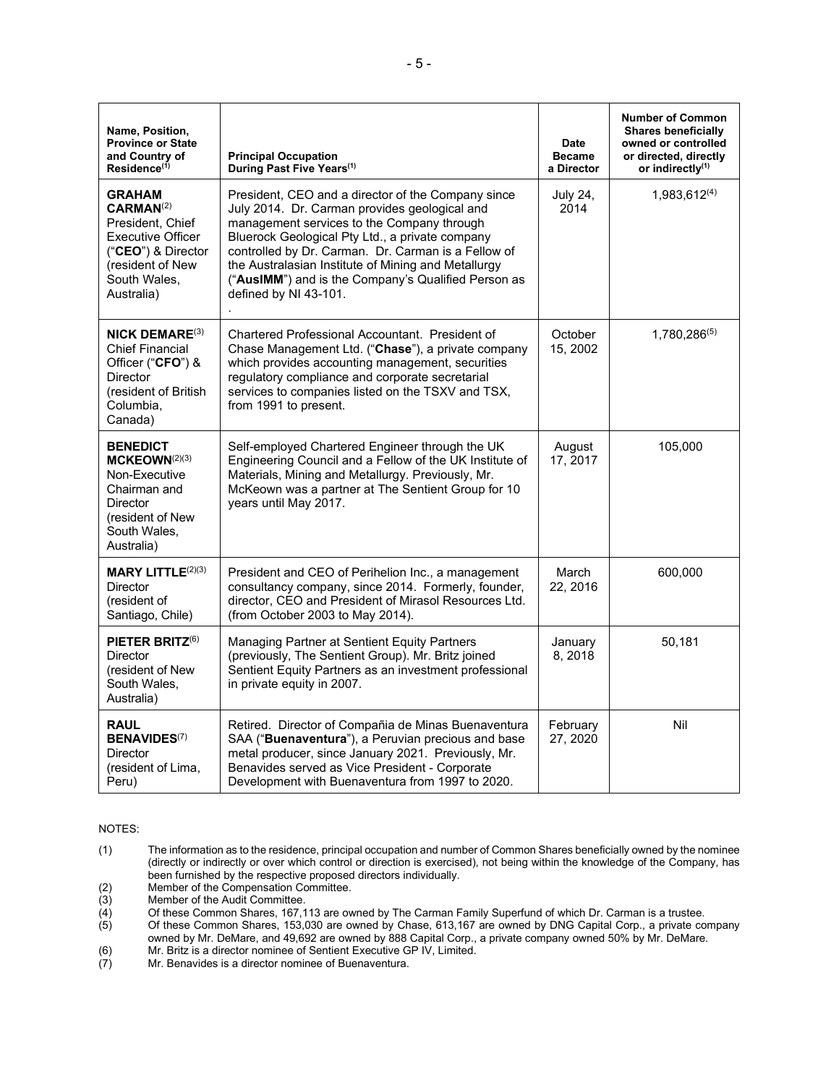| Name, Position,<br><b>Province or State</b><br>and Country of<br>Residence <sup>(1)</sup>                                                                      | <b>Principal Occupation</b><br>During Past Five Years <sup>(1)</sup>                                                                                                                                                                                                                                                                                                                               | <b>Date</b><br><b>Became</b><br>a Director | <b>Number of Common</b><br><b>Shares beneficially</b><br>owned or controlled<br>or directed, directly<br>or indirectly <sup>(1)</sup> |
|----------------------------------------------------------------------------------------------------------------------------------------------------------------|----------------------------------------------------------------------------------------------------------------------------------------------------------------------------------------------------------------------------------------------------------------------------------------------------------------------------------------------------------------------------------------------------|--------------------------------------------|---------------------------------------------------------------------------------------------------------------------------------------|
| <b>GRAHAM</b><br>CARMAN <sup>(2)</sup><br>President, Chief<br><b>Executive Officer</b><br>("CEO") & Director<br>(resident of New<br>South Wales.<br>Australia) | President, CEO and a director of the Company since<br>July 2014. Dr. Carman provides geological and<br>management services to the Company through<br>Bluerock Geological Pty Ltd., a private company<br>controlled by Dr. Carman. Dr. Carman is a Fellow of<br>the Australasian Institute of Mining and Metallurgy<br>("AusIMM") and is the Company's Qualified Person as<br>defined by NI 43-101. | <b>July 24,</b><br>2014                    | 1,983,612(4)                                                                                                                          |
| <b>NICK DEMARE</b> $(3)$<br><b>Chief Financial</b><br>Officer ("CFO") &<br><b>Director</b><br>(resident of British<br>Columbia,<br>Canada)                     | Chartered Professional Accountant. President of<br>Chase Management Ltd. ("Chase"), a private company<br>which provides accounting management, securities<br>regulatory compliance and corporate secretarial<br>services to companies listed on the TSXV and TSX,<br>from 1991 to present.                                                                                                         | October<br>15, 2002                        | 1,780,286(5)                                                                                                                          |
| <b>BENEDICT</b><br>MCKEOWN <sup>(2)(3)</sup><br>Non-Executive<br>Chairman and<br><b>Director</b><br>(resident of New<br>South Wales,<br>Australia)             | Self-employed Chartered Engineer through the UK<br>Engineering Council and a Fellow of the UK Institute of<br>Materials, Mining and Metallurgy. Previously, Mr.<br>McKeown was a partner at The Sentient Group for 10<br>years until May 2017.                                                                                                                                                     | August<br>17, 2017                         | 105,000                                                                                                                               |
| <b>MARY LITTLE</b> $(2)(3)$<br><b>Director</b><br>(resident of<br>Santiago, Chile)                                                                             | President and CEO of Perihelion Inc., a management<br>consultancy company, since 2014. Formerly, founder,<br>director, CEO and President of Mirasol Resources Ltd.<br>(from October 2003 to May 2014).                                                                                                                                                                                             | March<br>22, 2016                          | 600,000                                                                                                                               |
| PIETER BRITZ $(6)$<br><b>Director</b><br>(resident of New<br>South Wales,<br>Australia)                                                                        | Managing Partner at Sentient Equity Partners<br>(previously, The Sentient Group). Mr. Britz joined<br>Sentient Equity Partners as an investment professional<br>in private equity in 2007.                                                                                                                                                                                                         | January<br>8, 2018                         | 50,181                                                                                                                                |
| <b>RAUL</b><br><b>BENAVIDES(7)</b><br><b>Director</b><br>(resident of Lima,<br>Peru)                                                                           | Retired. Director of Compañia de Minas Buenaventura<br>SAA ("Buenaventura"), a Peruvian precious and base<br>metal producer, since January 2021. Previously, Mr.<br>Benavides served as Vice President - Corporate<br>Development with Buenaventura from 1997 to 2020.                                                                                                                             | February<br>27, 2020                       | Nil                                                                                                                                   |

NOTES:

(2) Member of the Compensation Committee.<br>
(3) Member of the Audit Committee.<br>
(4) Of these Common Shares, 167,113 are ow<br>
(5) Of these Common Shares, 153,030 are ov

Member of the Audit Committee.

(4) Of these Common Shares, 167,113 are owned by The Carman Family Superfund of which Dr. Carman is a trustee.

(5) Of these Common Shares, 153,030 are owned by Chase, 613,167 are owned by DNG Capital Corp., a private company owned by Mr. DeMare, and 49,692 are owned by 888 Capital Corp., a private company owned 50% by Mr. DeMare.

(6) Mr. Britz is a director nominee of Sentient Executive GP IV, Limited. (6) Mr. Britz is a director nominee of Sentient Executive G<br>
(7) Mr. Benavides is a director nominee of Buenaventura.

<sup>(1)</sup> The information as to the residence, principal occupation and number of Common Shares beneficially owned by the nominee (directly or indirectly or over which control or direction is exercised), not being within the knowledge of the Company, has been furnished by the respective proposed directors individually.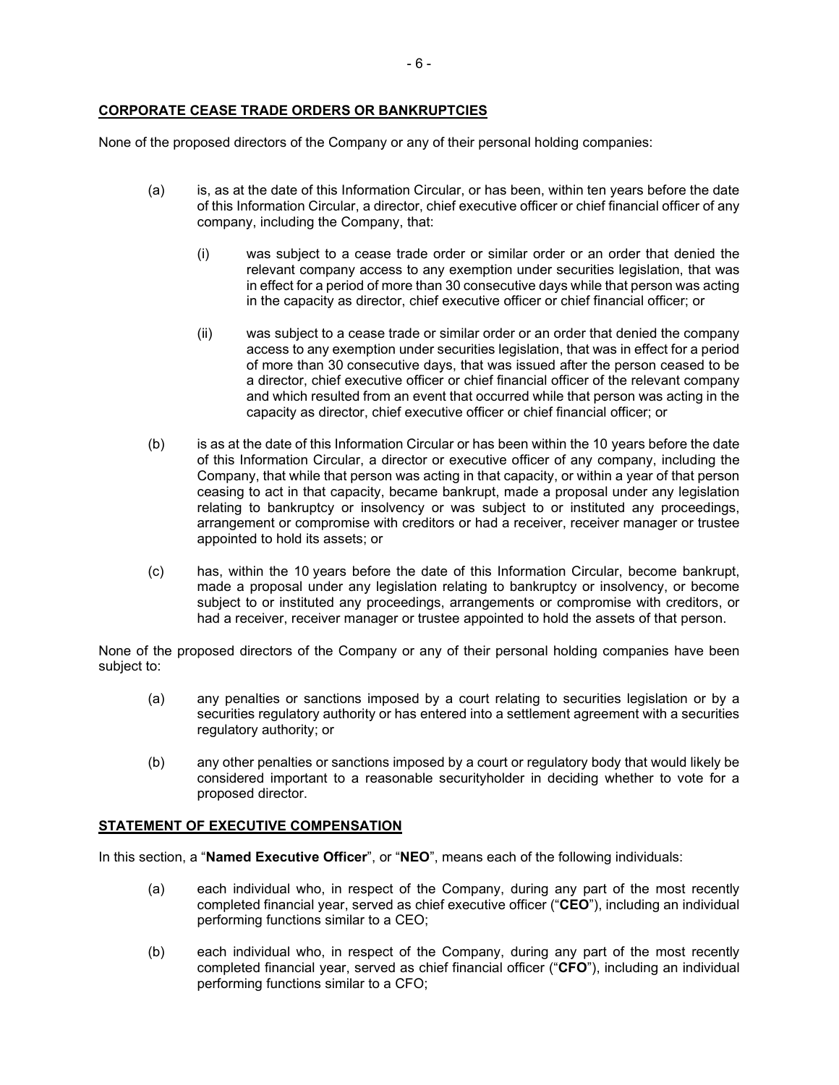### **CORPORATE CEASE TRADE ORDERS OR BANKRUPTCIES**

None of the proposed directors of the Company or any of their personal holding companies:

- (a) is, as at the date of this Information Circular, or has been, within ten years before the date of this Information Circular, a director, chief executive officer or chief financial officer of any company, including the Company, that:
	- (i) was subject to a cease trade order or similar order or an order that denied the relevant company access to any exemption under securities legislation, that was in effect for a period of more than 30 consecutive days while that person was acting in the capacity as director, chief executive officer or chief financial officer; or
	- (ii) was subject to a cease trade or similar order or an order that denied the company access to any exemption under securities legislation, that was in effect for a period of more than 30 consecutive days, that was issued after the person ceased to be a director, chief executive officer or chief financial officer of the relevant company and which resulted from an event that occurred while that person was acting in the capacity as director, chief executive officer or chief financial officer; or
- (b) is as at the date of this Information Circular or has been within the 10 years before the date of this Information Circular, a director or executive officer of any company, including the Company, that while that person was acting in that capacity, or within a year of that person ceasing to act in that capacity, became bankrupt, made a proposal under any legislation relating to bankruptcy or insolvency or was subject to or instituted any proceedings, arrangement or compromise with creditors or had a receiver, receiver manager or trustee appointed to hold its assets; or
- (c) has, within the 10 years before the date of this Information Circular, become bankrupt, made a proposal under any legislation relating to bankruptcy or insolvency, or become subject to or instituted any proceedings, arrangements or compromise with creditors, or had a receiver, receiver manager or trustee appointed to hold the assets of that person.

None of the proposed directors of the Company or any of their personal holding companies have been subject to:

- (a) any penalties or sanctions imposed by a court relating to securities legislation or by a securities regulatory authority or has entered into a settlement agreement with a securities regulatory authority; or
- (b) any other penalties or sanctions imposed by a court or regulatory body that would likely be considered important to a reasonable securityholder in deciding whether to vote for a proposed director.

### **STATEMENT OF EXECUTIVE COMPENSATION**

In this section, a "**Named Executive Officer**", or "**NEO**", means each of the following individuals:

- (a) each individual who, in respect of the Company, during any part of the most recently completed financial year, served as chief executive officer ("**CEO**"), including an individual performing functions similar to a CEO;
- (b) each individual who, in respect of the Company, during any part of the most recently completed financial year, served as chief financial officer ("**CFO**"), including an individual performing functions similar to a CFO;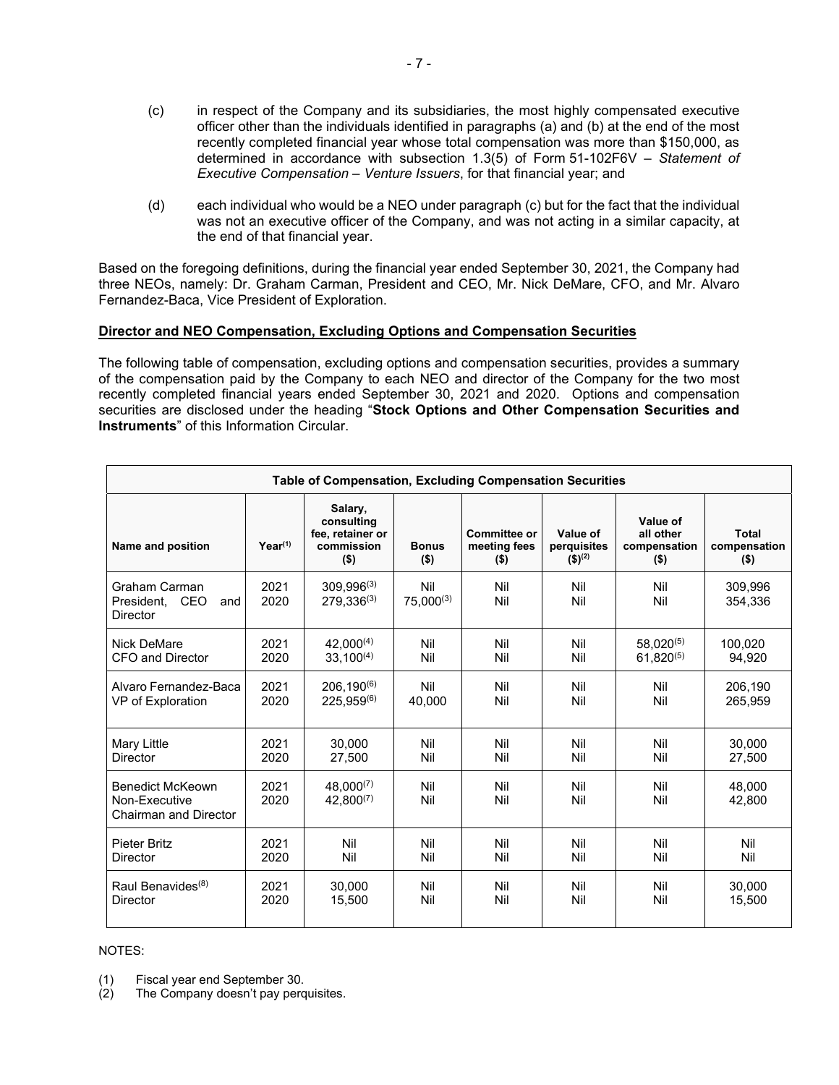- (c) in respect of the Company and its subsidiaries, the most highly compensated executive officer other than the individuals identified in paragraphs (a) and (b) at the end of the most recently completed financial year whose total compensation was more than \$150,000, as determined in accordance with subsection 1.3(5) of Form 51-102F6V – *Statement of Executive Compensation – Venture Issuers*, for that financial year; and
- (d) each individual who would be a NEO under paragraph (c) but for the fact that the individual was not an executive officer of the Company, and was not acting in a similar capacity, at the end of that financial year.

Based on the foregoing definitions, during the financial year ended September 30, 2021, the Company had three NEOs, namely: Dr. Graham Carman, President and CEO, Mr. Nick DeMare, CFO, and Mr. Alvaro Fernandez-Baca, Vice President of Exploration.

# **Director and NEO Compensation, Excluding Options and Compensation Securities**

The following table of compensation, excluding options and compensation securities, provides a summary of the compensation paid by the Company to each NEO and director of the Company for the two most recently completed financial years ended September 30, 2021 and 2020. Options and compensation securities are disclosed under the heading "**Stock Options and Other Compensation Securities and Instruments**" of this Information Circular.

| Table of Compensation, Excluding Compensation Securities            |              |                                                                    |                         |                                                |                                                   |                                                  |                                         |
|---------------------------------------------------------------------|--------------|--------------------------------------------------------------------|-------------------------|------------------------------------------------|---------------------------------------------------|--------------------------------------------------|-----------------------------------------|
| Name and position                                                   | $Year^{(1)}$ | Salary,<br>consulting<br>fee, retainer or<br>commission<br>$($ \$) | <b>Bonus</b><br>$($ \$) | <b>Committee or</b><br>meeting fees<br>$($ \$) | Value of<br>perquisites<br>$($ \$) <sup>(2)</sup> | Value of<br>all other<br>compensation<br>$($ \$) | <b>Total</b><br>compensation<br>$($ \$) |
| Graham Carman<br><b>CEO</b><br>President.<br>and<br><b>Director</b> | 2021<br>2020 | $309,996^{(3)}$<br>$279,336^{(3)}$                                 | Nil<br>$75.000^{(3)}$   | Nil<br>Nil                                     | Nil<br>Nil                                        | Nil<br>Nil                                       | 309,996<br>354.336                      |
| Nick DeMare                                                         | 2021         | $42,000^{(4)}$                                                     | Nil                     | Nil                                            | Nil                                               | $58.020^{(5)}$                                   | 100.020                                 |
| CFO and Director                                                    | 2020         | $33.100^{(4)}$                                                     | Nil                     | Nil                                            | Nil                                               | $61.820^{(5)}$                                   | 94,920                                  |
| Alvaro Fernandez-Baca                                               | 2021         | $206, 190^{(6)}$                                                   | Nil                     | Nil                                            | Nil                                               | Nil                                              | 206,190                                 |
| VP of Exploration                                                   | 2020         | $225.959^{(6)}$                                                    | 40.000                  | Nil                                            | Nil                                               | Nil                                              | 265.959                                 |
| Mary Little                                                         | 2021         | 30,000                                                             | Nil                     | Nil                                            | Nil                                               | Nil                                              | 30,000                                  |
| <b>Director</b>                                                     | 2020         | 27,500                                                             | Nil                     | Nil                                            | Nil                                               | Nil                                              | 27,500                                  |
| <b>Benedict McKeown</b><br>Non-Executive<br>Chairman and Director   | 2021<br>2020 | $48,000^{(7)}$<br>$42.800^{(7)}$                                   | Nil<br>Nil              | Nil<br>Nil                                     | Nil<br>Nil                                        | Nil<br>Nil                                       | 48.000<br>42.800                        |
| Pieter Britz                                                        | 2021         | Nil                                                                | Nil                     | Nil                                            | Nil                                               | Nil                                              | Nil                                     |
| <b>Director</b>                                                     | 2020         | Nil                                                                | Nil                     | Nil                                            | Nil                                               | Nil                                              | Nil                                     |
| Raul Benavides <sup>(8)</sup>                                       | 2021         | 30.000                                                             | Nil                     | Nil                                            | Nil                                               | Nil                                              | 30.000                                  |
| Director                                                            | 2020         | 15,500                                                             | Nil                     | Nil                                            | Nil                                               | Nil                                              | 15,500                                  |

#### NOTES:

(1) Fiscal year end September 30.

The Company doesn't pay perquisites.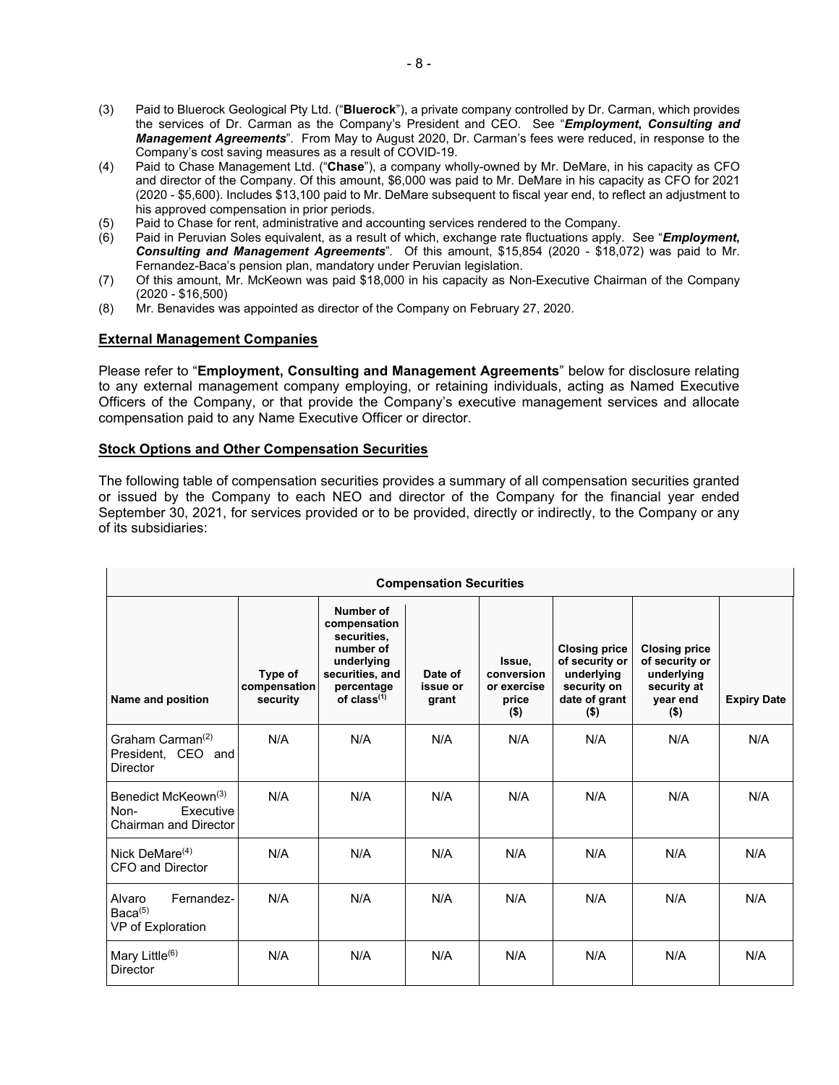- (3) Paid to Bluerock Geological Pty Ltd. ("**Bluerock**"), a private company controlled by Dr. Carman, which provides the services of Dr. Carman as the Company's President and CEO. See "*Employment***,** *Consulting and Management Agreements*"*.* From May to August 2020, Dr. Carman's fees were reduced, in response to the Company's cost saving measures as a result of COVID-19.
- (4) Paid to Chase Management Ltd. ("**Chase**"), a company wholly-owned by Mr. DeMare, in his capacity as CFO and director of the Company. Of this amount, \$6,000 was paid to Mr. DeMare in his capacity as CFO for 2021 (2020 - \$5,600). Includes \$13,100 paid to Mr. DeMare subsequent to fiscal year end, to reflect an adjustment to his approved compensation in prior periods.
- (5) Paid to Chase for rent, administrative and accounting services rendered to the Company.
- (6) Paid in Peruvian Soles equivalent, as a result of which, exchange rate fluctuations apply. See "*Employment***,**  *Consulting and Management Agreements*"*.* Of this amount, \$15,854 (2020 - \$18,072) was paid to Mr. Fernandez-Baca's pension plan, mandatory under Peruvian legislation.
- (7) Of this amount, Mr. McKeown was paid \$18,000 in his capacity as Non-Executive Chairman of the Company (2020 - \$16,500)
- (8) Mr. Benavides was appointed as director of the Company on February 27, 2020.

### **External Management Companies**

Please refer to "**Employment, Consulting and Management Agreements**" below for disclosure relating to any external management company employing, or retaining individuals, acting as Named Executive Officers of the Company, or that provide the Company's executive management services and allocate compensation paid to any Name Executive Officer or director.

# **Stock Options and Other Compensation Securities**

The following table of compensation securities provides a summary of all compensation securities granted or issued by the Company to each NEO and director of the Company for the financial year ended September 30, 2021, for services provided or to be provided, directly or indirectly, to the Company or any of its subsidiaries:

| <b>Compensation Securities</b>                                                       |                                     |                                                                                                                          |                              |                                                         |                                                                                                 |                                                                                            |                    |
|--------------------------------------------------------------------------------------|-------------------------------------|--------------------------------------------------------------------------------------------------------------------------|------------------------------|---------------------------------------------------------|-------------------------------------------------------------------------------------------------|--------------------------------------------------------------------------------------------|--------------------|
| Name and position                                                                    | Type of<br>compensation<br>security | Number of<br>compensation<br>securities.<br>number of<br>underlying<br>securities, and<br>percentage<br>of $class^{(1)}$ | Date of<br>issue or<br>grant | Issue.<br>conversion<br>or exercise<br>price<br>$($ \$) | <b>Closing price</b><br>of security or<br>underlying<br>security on<br>date of grant<br>$($ \$) | <b>Closing price</b><br>of security or<br>underlying<br>security at<br>year end<br>$($ \$) | <b>Expiry Date</b> |
| Graham Carman $(2)$<br>President, CEO and<br><b>Director</b>                         | N/A                                 | N/A                                                                                                                      | N/A                          | N/A                                                     | N/A                                                                                             | N/A                                                                                        | N/A                |
| Benedict McKeown <sup>(3)</sup><br>Non-<br>Executive<br><b>Chairman and Director</b> | N/A                                 | N/A                                                                                                                      | N/A                          | N/A                                                     | N/A                                                                                             | N/A                                                                                        | N/A                |
| Nick DeMare <sup>(4)</sup><br>CFO and Director                                       | N/A                                 | N/A                                                                                                                      | N/A                          | N/A                                                     | N/A                                                                                             | N/A                                                                                        | N/A                |
| Fernandez-<br>Alvaro<br>Baca <sup>(5)</sup><br>VP of Exploration                     | N/A                                 | N/A                                                                                                                      | N/A                          | N/A                                                     | N/A                                                                                             | N/A                                                                                        | N/A                |
| Mary Little <sup>(6)</sup><br><b>Director</b>                                        | N/A                                 | N/A                                                                                                                      | N/A                          | N/A                                                     | N/A                                                                                             | N/A                                                                                        | N/A                |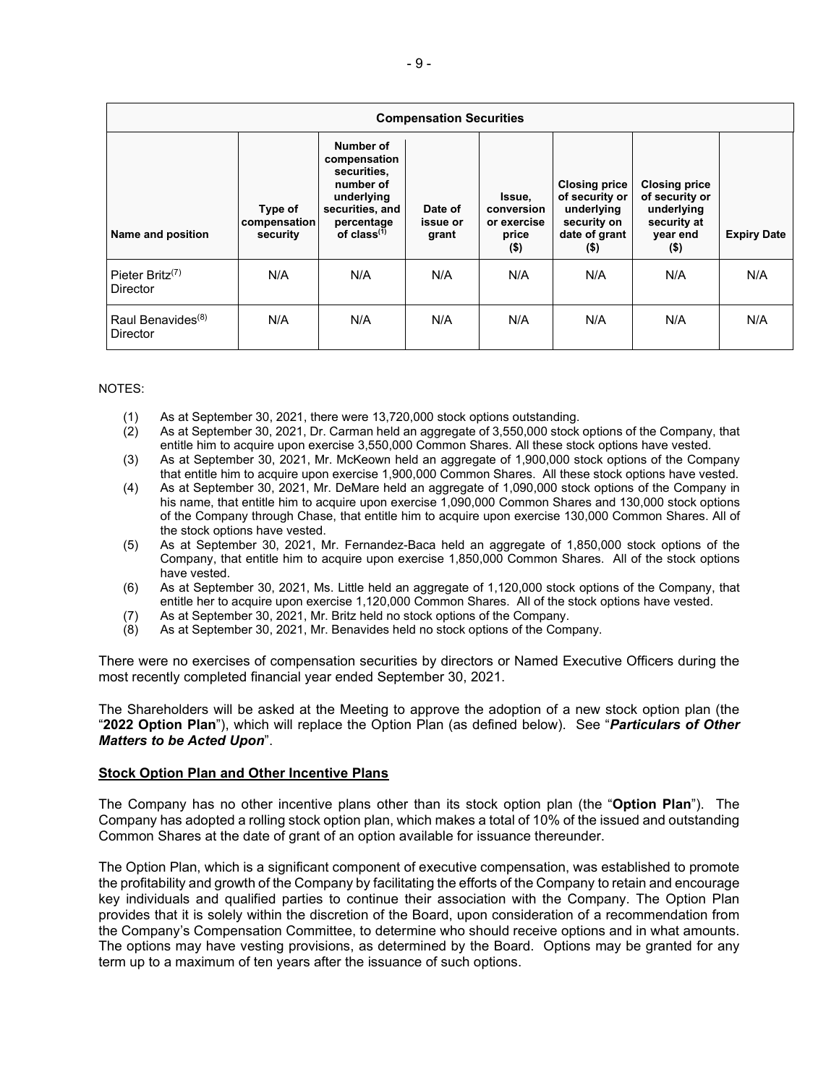| <b>Compensation Securities</b>                              |                                     |                                                                                                                          |                              |                                                         |                                                                                                 |                                                                                            |                    |
|-------------------------------------------------------------|-------------------------------------|--------------------------------------------------------------------------------------------------------------------------|------------------------------|---------------------------------------------------------|-------------------------------------------------------------------------------------------------|--------------------------------------------------------------------------------------------|--------------------|
| Name and position                                           | Type of<br>compensation<br>security | Number of<br>compensation<br>securities.<br>number of<br>underlying<br>securities, and<br>percentage<br>of $class^{(1)}$ | Date of<br>issue or<br>grant | Issue,<br>conversion<br>or exercise<br>price<br>$($ \$) | <b>Closing price</b><br>of security or<br>underlying<br>security on<br>date of grant<br>$($ \$) | <b>Closing price</b><br>of security or<br>underlying<br>security at<br>year end<br>$($ \$) | <b>Expiry Date</b> |
| Pieter Britz <sup><math>(7)</math></sup><br><b>Director</b> | N/A                                 | N/A                                                                                                                      | N/A                          | N/A                                                     | N/A                                                                                             | N/A                                                                                        | N/A                |
| Raul Benavides <sup>(8)</sup><br><b>Director</b>            | N/A                                 | N/A                                                                                                                      | N/A                          | N/A                                                     | N/A                                                                                             | N/A                                                                                        | N/A                |

NOTES:

- (1) As at September 30, 2021, there were 13,720,000 stock options outstanding.
- As at September 30, 2021, Dr. Carman held an aggregate of 3,550,000 stock options of the Company, that entitle him to acquire upon exercise 3,550,000 Common Shares. All these stock options have vested.
- (3) As at September 30, 2021, Mr. McKeown held an aggregate of 1,900,000 stock options of the Company that entitle him to acquire upon exercise 1,900,000 Common Shares. All these stock options have vested.
- (4) As at September 30, 2021, Mr. DeMare held an aggregate of 1,090,000 stock options of the Company in his name, that entitle him to acquire upon exercise 1,090,000 Common Shares and 130,000 stock options of the Company through Chase, that entitle him to acquire upon exercise 130,000 Common Shares. All of the stock options have vested.
- (5) As at September 30, 2021, Mr. Fernandez-Baca held an aggregate of 1,850,000 stock options of the Company, that entitle him to acquire upon exercise 1,850,000 Common Shares. All of the stock options have vested.
- (6) As at September 30, 2021, Ms. Little held an aggregate of 1,120,000 stock options of the Company, that entitle her to acquire upon exercise 1,120,000 Common Shares. All of the stock options have vested.
- (7) As at September 30, 2021, Mr. Britz held no stock options of the Company.
- (8) As at September 30, 2021, Mr. Benavides held no stock options of the Company.

There were no exercises of compensation securities by directors or Named Executive Officers during the most recently completed financial year ended September 30, 2021.

The Shareholders will be asked at the Meeting to approve the adoption of a new stock option plan (the "**2022 Option Plan**"), which will replace the Option Plan (as defined below). See "*Particulars of Other Matters to be Acted Upon*".

### **Stock Option Plan and Other Incentive Plans**

The Company has no other incentive plans other than its stock option plan (the "**Option Plan**"). The Company has adopted a rolling stock option plan, which makes a total of 10% of the issued and outstanding Common Shares at the date of grant of an option available for issuance thereunder.

The Option Plan, which is a significant component of executive compensation, was established to promote the profitability and growth of the Company by facilitating the efforts of the Company to retain and encourage key individuals and qualified parties to continue their association with the Company. The Option Plan provides that it is solely within the discretion of the Board, upon consideration of a recommendation from the Company's Compensation Committee, to determine who should receive options and in what amounts. The options may have vesting provisions, as determined by the Board. Options may be granted for any term up to a maximum of ten years after the issuance of such options.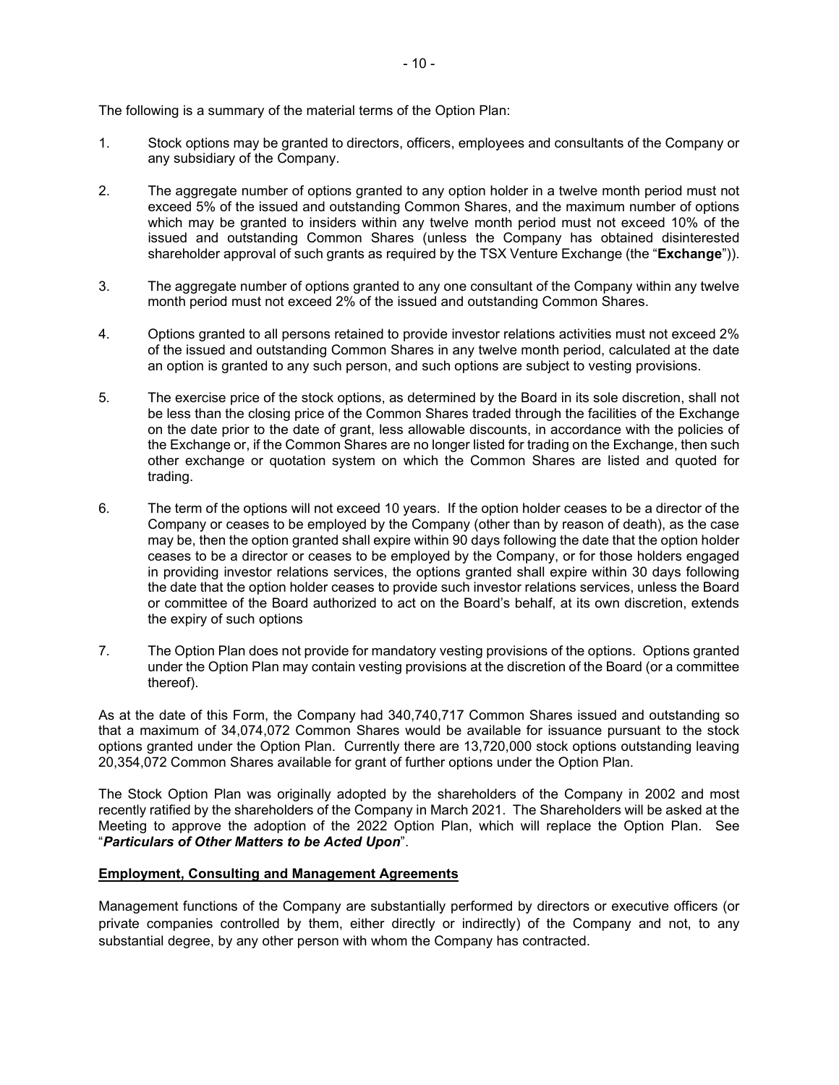The following is a summary of the material terms of the Option Plan:

- 1. Stock options may be granted to directors, officers, employees and consultants of the Company or any subsidiary of the Company.
- 2. The aggregate number of options granted to any option holder in a twelve month period must not exceed 5% of the issued and outstanding Common Shares, and the maximum number of options which may be granted to insiders within any twelve month period must not exceed 10% of the issued and outstanding Common Shares (unless the Company has obtained disinterested shareholder approval of such grants as required by the TSX Venture Exchange (the "**Exchange**")).
- 3. The aggregate number of options granted to any one consultant of the Company within any twelve month period must not exceed 2% of the issued and outstanding Common Shares.
- 4. Options granted to all persons retained to provide investor relations activities must not exceed 2% of the issued and outstanding Common Shares in any twelve month period, calculated at the date an option is granted to any such person, and such options are subject to vesting provisions.
- 5. The exercise price of the stock options, as determined by the Board in its sole discretion, shall not be less than the closing price of the Common Shares traded through the facilities of the Exchange on the date prior to the date of grant, less allowable discounts, in accordance with the policies of the Exchange or, if the Common Shares are no longer listed for trading on the Exchange, then such other exchange or quotation system on which the Common Shares are listed and quoted for trading.
- 6. The term of the options will not exceed 10 years. If the option holder ceases to be a director of the Company or ceases to be employed by the Company (other than by reason of death), as the case may be, then the option granted shall expire within 90 days following the date that the option holder ceases to be a director or ceases to be employed by the Company, or for those holders engaged in providing investor relations services, the options granted shall expire within 30 days following the date that the option holder ceases to provide such investor relations services, unless the Board or committee of the Board authorized to act on the Board's behalf, at its own discretion, extends the expiry of such options
- 7. The Option Plan does not provide for mandatory vesting provisions of the options. Options granted under the Option Plan may contain vesting provisions at the discretion of the Board (or a committee thereof).

As at the date of this Form, the Company had 340,740,717 Common Shares issued and outstanding so that a maximum of 34,074,072 Common Shares would be available for issuance pursuant to the stock options granted under the Option Plan. Currently there are 13,720,000 stock options outstanding leaving 20,354,072 Common Shares available for grant of further options under the Option Plan.

The Stock Option Plan was originally adopted by the shareholders of the Company in 2002 and most recently ratified by the shareholders of the Company in March 2021. The Shareholders will be asked at the Meeting to approve the adoption of the 2022 Option Plan, which will replace the Option Plan. See "*Particulars of Other Matters to be Acted Upon*".

### **Employment, Consulting and Management Agreements**

Management functions of the Company are substantially performed by directors or executive officers (or private companies controlled by them, either directly or indirectly) of the Company and not, to any substantial degree, by any other person with whom the Company has contracted.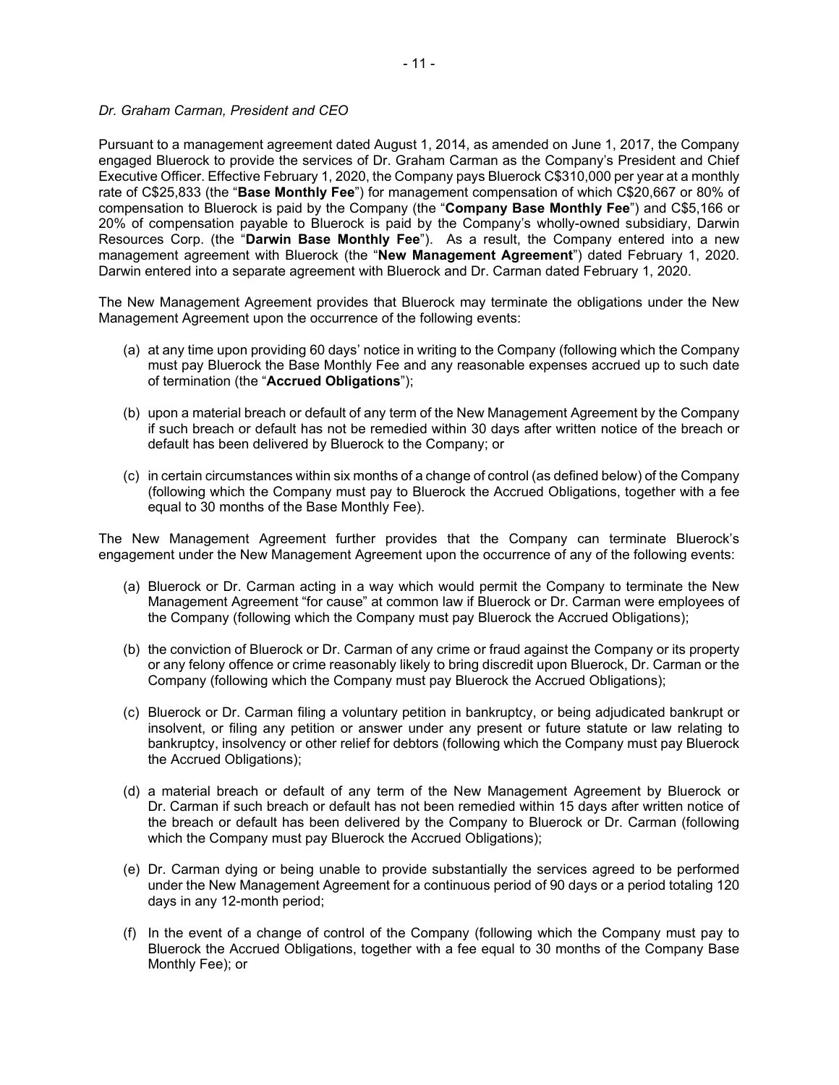### *Dr. Graham Carman, President and CEO*

Pursuant to a management agreement dated August 1, 2014, as amended on June 1, 2017, the Company engaged Bluerock to provide the services of Dr. Graham Carman as the Company's President and Chief Executive Officer. Effective February 1, 2020, the Company pays Bluerock C\$310,000 per year at a monthly rate of C\$25,833 (the "**Base Monthly Fee**") for management compensation of which C\$20,667 or 80% of compensation to Bluerock is paid by the Company (the "**Company Base Monthly Fee**") and C\$5,166 or 20% of compensation payable to Bluerock is paid by the Company's wholly-owned subsidiary, Darwin Resources Corp. (the "**Darwin Base Monthly Fee**"). As a result, the Company entered into a new management agreement with Bluerock (the "**New Management Agreement**") dated February 1, 2020. Darwin entered into a separate agreement with Bluerock and Dr. Carman dated February 1, 2020.

The New Management Agreement provides that Bluerock may terminate the obligations under the New Management Agreement upon the occurrence of the following events:

- (a) at any time upon providing 60 days' notice in writing to the Company (following which the Company must pay Bluerock the Base Monthly Fee and any reasonable expenses accrued up to such date of termination (the "**Accrued Obligations**");
- (b) upon a material breach or default of any term of the New Management Agreement by the Company if such breach or default has not be remedied within 30 days after written notice of the breach or default has been delivered by Bluerock to the Company; or
- (c) in certain circumstances within six months of a change of control (as defined below) of the Company (following which the Company must pay to Bluerock the Accrued Obligations, together with a fee equal to 30 months of the Base Monthly Fee).

The New Management Agreement further provides that the Company can terminate Bluerock's engagement under the New Management Agreement upon the occurrence of any of the following events:

- (a) Bluerock or Dr. Carman acting in a way which would permit the Company to terminate the New Management Agreement "for cause" at common law if Bluerock or Dr. Carman were employees of the Company (following which the Company must pay Bluerock the Accrued Obligations);
- (b) the conviction of Bluerock or Dr. Carman of any crime or fraud against the Company or its property or any felony offence or crime reasonably likely to bring discredit upon Bluerock, Dr. Carman or the Company (following which the Company must pay Bluerock the Accrued Obligations);
- (c) Bluerock or Dr. Carman filing a voluntary petition in bankruptcy, or being adjudicated bankrupt or insolvent, or filing any petition or answer under any present or future statute or law relating to bankruptcy, insolvency or other relief for debtors (following which the Company must pay Bluerock the Accrued Obligations);
- (d) a material breach or default of any term of the New Management Agreement by Bluerock or Dr. Carman if such breach or default has not been remedied within 15 days after written notice of the breach or default has been delivered by the Company to Bluerock or Dr. Carman (following which the Company must pay Bluerock the Accrued Obligations);
- (e) Dr. Carman dying or being unable to provide substantially the services agreed to be performed under the New Management Agreement for a continuous period of 90 days or a period totaling 120 days in any 12-month period;
- (f) In the event of a change of control of the Company (following which the Company must pay to Bluerock the Accrued Obligations, together with a fee equal to 30 months of the Company Base Monthly Fee); or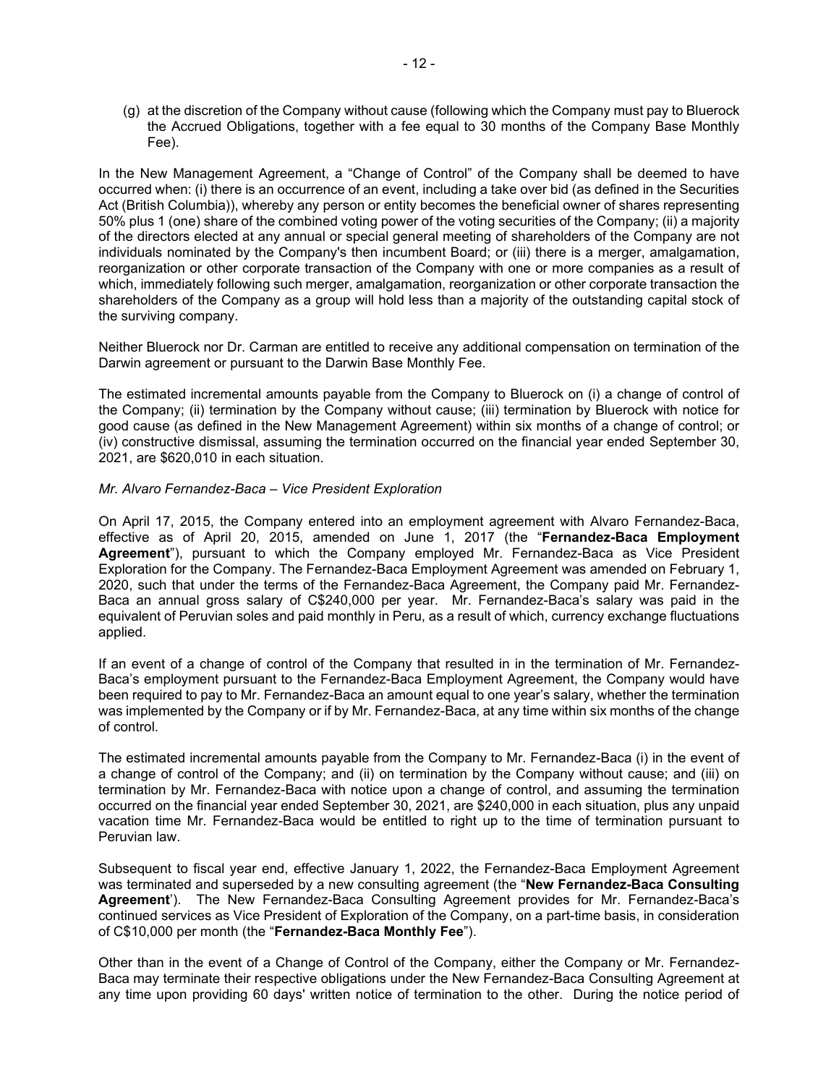(g) at the discretion of the Company without cause (following which the Company must pay to Bluerock the Accrued Obligations, together with a fee equal to 30 months of the Company Base Monthly Fee).

In the New Management Agreement, a "Change of Control" of the Company shall be deemed to have occurred when: (i) there is an occurrence of an event, including a take over bid (as defined in the Securities Act (British Columbia)), whereby any person or entity becomes the beneficial owner of shares representing 50% plus 1 (one) share of the combined voting power of the voting securities of the Company; (ii) a majority of the directors elected at any annual or special general meeting of shareholders of the Company are not individuals nominated by the Company's then incumbent Board; or (iii) there is a merger, amalgamation, reorganization or other corporate transaction of the Company with one or more companies as a result of which, immediately following such merger, amalgamation, reorganization or other corporate transaction the shareholders of the Company as a group will hold less than a majority of the outstanding capital stock of the surviving company.

Neither Bluerock nor Dr. Carman are entitled to receive any additional compensation on termination of the Darwin agreement or pursuant to the Darwin Base Monthly Fee.

The estimated incremental amounts payable from the Company to Bluerock on (i) a change of control of the Company; (ii) termination by the Company without cause; (iii) termination by Bluerock with notice for good cause (as defined in the New Management Agreement) within six months of a change of control; or (iv) constructive dismissal, assuming the termination occurred on the financial year ended September 30, 2021, are \$620,010 in each situation.

#### *Mr. Alvaro Fernandez-Baca – Vice President Exploration*

On April 17, 2015, the Company entered into an employment agreement with Alvaro Fernandez-Baca, effective as of April 20, 2015, amended on June 1, 2017 (the "**Fernandez-Baca Employment Agreement**"), pursuant to which the Company employed Mr. Fernandez-Baca as Vice President Exploration for the Company. The Fernandez-Baca Employment Agreement was amended on February 1, 2020, such that under the terms of the Fernandez-Baca Agreement, the Company paid Mr. Fernandez-Baca an annual gross salary of C\$240,000 per year. Mr. Fernandez-Baca's salary was paid in the equivalent of Peruvian soles and paid monthly in Peru, as a result of which, currency exchange fluctuations applied.

If an event of a change of control of the Company that resulted in in the termination of Mr. Fernandez-Baca's employment pursuant to the Fernandez-Baca Employment Agreement, the Company would have been required to pay to Mr. Fernandez-Baca an amount equal to one year's salary, whether the termination was implemented by the Company or if by Mr. Fernandez-Baca, at any time within six months of the change of control.

The estimated incremental amounts payable from the Company to Mr. Fernandez-Baca (i) in the event of a change of control of the Company; and (ii) on termination by the Company without cause; and (iii) on termination by Mr. Fernandez-Baca with notice upon a change of control, and assuming the termination occurred on the financial year ended September 30, 2021, are \$240,000 in each situation, plus any unpaid vacation time Mr. Fernandez-Baca would be entitled to right up to the time of termination pursuant to Peruvian law.

Subsequent to fiscal year end, effective January 1, 2022, the Fernandez-Baca Employment Agreement was terminated and superseded by a new consulting agreement (the "**New Fernandez-Baca Consulting Agreement**'). The New Fernandez-Baca Consulting Agreement provides for Mr. Fernandez-Baca's continued services as Vice President of Exploration of the Company, on a part-time basis, in consideration of C\$10,000 per month (the "**Fernandez-Baca Monthly Fee**").

Other than in the event of a Change of Control of the Company, either the Company or Mr. Fernandez-Baca may terminate their respective obligations under the New Fernandez-Baca Consulting Agreement at any time upon providing 60 days' written notice of termination to the other. During the notice period of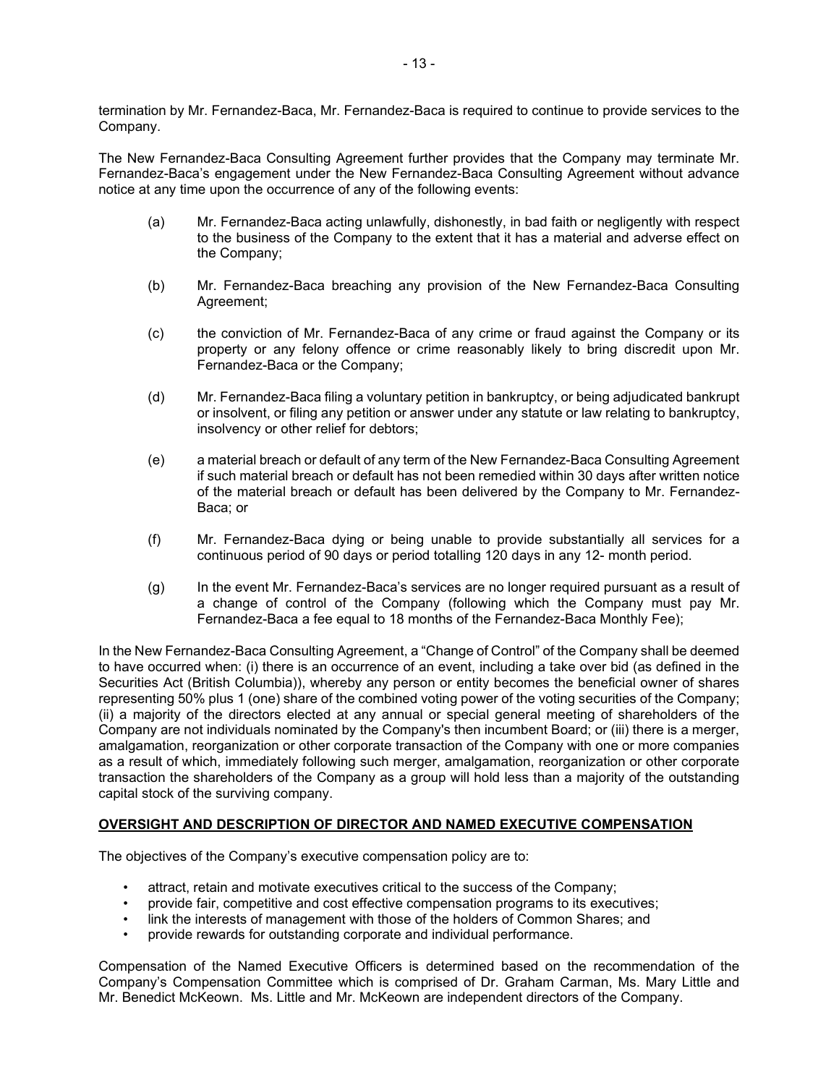termination by Mr. Fernandez-Baca, Mr. Fernandez-Baca is required to continue to provide services to the Company.

The New Fernandez-Baca Consulting Agreement further provides that the Company may terminate Mr. Fernandez-Baca's engagement under the New Fernandez-Baca Consulting Agreement without advance notice at any time upon the occurrence of any of the following events:

- (a) Mr. Fernandez-Baca acting unlawfully, dishonestly, in bad faith or negligently with respect to the business of the Company to the extent that it has a material and adverse effect on the Company;
- (b) Mr. Fernandez-Baca breaching any provision of the New Fernandez-Baca Consulting Agreement;
- (c) the conviction of Mr. Fernandez-Baca of any crime or fraud against the Company or its property or any felony offence or crime reasonably likely to bring discredit upon Mr. Fernandez-Baca or the Company;
- (d) Mr. Fernandez-Baca filing a voluntary petition in bankruptcy, or being adjudicated bankrupt or insolvent, or filing any petition or answer under any statute or law relating to bankruptcy, insolvency or other relief for debtors;
- (e) a material breach or default of any term of the New Fernandez-Baca Consulting Agreement if such material breach or default has not been remedied within 30 days after written notice of the material breach or default has been delivered by the Company to Mr. Fernandez-Baca; or
- (f) Mr. Fernandez-Baca dying or being unable to provide substantially all services for a continuous period of 90 days or period totalling 120 days in any 12- month period.
- (g) In the event Mr. Fernandez-Baca's services are no longer required pursuant as a result of a change of control of the Company (following which the Company must pay Mr. Fernandez-Baca a fee equal to 18 months of the Fernandez-Baca Monthly Fee);

In the New Fernandez-Baca Consulting Agreement, a "Change of Control" of the Company shall be deemed to have occurred when: (i) there is an occurrence of an event, including a take over bid (as defined in the Securities Act (British Columbia)), whereby any person or entity becomes the beneficial owner of shares representing 50% plus 1 (one) share of the combined voting power of the voting securities of the Company; (ii) a majority of the directors elected at any annual or special general meeting of shareholders of the Company are not individuals nominated by the Company's then incumbent Board; or (iii) there is a merger, amalgamation, reorganization or other corporate transaction of the Company with one or more companies as a result of which, immediately following such merger, amalgamation, reorganization or other corporate transaction the shareholders of the Company as a group will hold less than a majority of the outstanding capital stock of the surviving company.

### **OVERSIGHT AND DESCRIPTION OF DIRECTOR AND NAMED EXECUTIVE COMPENSATION**

The objectives of the Company's executive compensation policy are to:

- attract, retain and motivate executives critical to the success of the Company;
- provide fair, competitive and cost effective compensation programs to its executives;
- link the interests of management with those of the holders of Common Shares; and
- provide rewards for outstanding corporate and individual performance.

Compensation of the Named Executive Officers is determined based on the recommendation of the Company's Compensation Committee which is comprised of Dr. Graham Carman, Ms. Mary Little and Mr. Benedict McKeown. Ms. Little and Mr. McKeown are independent directors of the Company.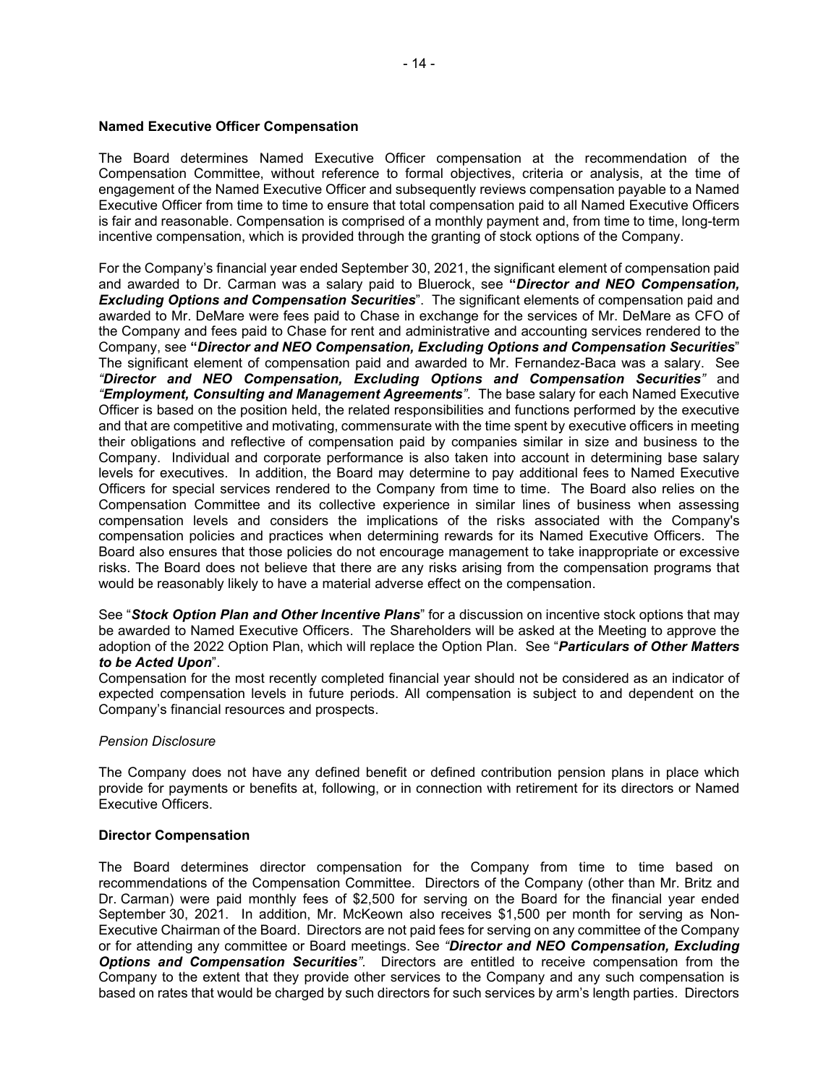#### **Named Executive Officer Compensation**

The Board determines Named Executive Officer compensation at the recommendation of the Compensation Committee, without reference to formal objectives, criteria or analysis, at the time of engagement of the Named Executive Officer and subsequently reviews compensation payable to a Named Executive Officer from time to time to ensure that total compensation paid to all Named Executive Officers is fair and reasonable. Compensation is comprised of a monthly payment and, from time to time, long-term incentive compensation, which is provided through the granting of stock options of the Company.

For the Company's financial year ended September 30, 2021, the significant element of compensation paid and awarded to Dr. Carman was a salary paid to Bluerock, see **"***Director and NEO Compensation, Excluding Options and Compensation Securities*". The significant elements of compensation paid and awarded to Mr. DeMare were fees paid to Chase in exchange for the services of Mr. DeMare as CFO of the Company and fees paid to Chase for rent and administrative and accounting services rendered to the Company, see **"***Director and NEO Compensation, Excluding Options and Compensation Securities*" The significant element of compensation paid and awarded to Mr. Fernandez-Baca was a salary. See *"Director and NEO Compensation, Excluding Options and Compensation Securities"* and *"Employment, Consulting and Management Agreements".* The base salary for each Named Executive Officer is based on the position held, the related responsibilities and functions performed by the executive and that are competitive and motivating, commensurate with the time spent by executive officers in meeting their obligations and reflective of compensation paid by companies similar in size and business to the Company.Individual and corporate performance is also taken into account in determining base salary levels for executives. In addition, the Board may determine to pay additional fees to Named Executive Officers for special services rendered to the Company from time to time. The Board also relies on the Compensation Committee and its collective experience in similar lines of business when assessing compensation levels and considers the implications of the risks associated with the Company's compensation policies and practices when determining rewards for its Named Executive Officers. The Board also ensures that those policies do not encourage management to take inappropriate or excessive risks. The Board does not believe that there are any risks arising from the compensation programs that would be reasonably likely to have a material adverse effect on the compensation.

See "*Stock Option Plan and Other Incentive Plans*" for a discussion on incentive stock options that may be awarded to Named Executive Officers. The Shareholders will be asked at the Meeting to approve the adoption of the 2022 Option Plan, which will replace the Option Plan. See "*Particulars of Other Matters to be Acted Upon*".

Compensation for the most recently completed financial year should not be considered as an indicator of expected compensation levels in future periods. All compensation is subject to and dependent on the Company's financial resources and prospects.

#### *Pension Disclosure*

The Company does not have any defined benefit or defined contribution pension plans in place which provide for payments or benefits at, following, or in connection with retirement for its directors or Named Executive Officers.

#### **Director Compensation**

The Board determines director compensation for the Company from time to time based on recommendations of the Compensation Committee. Directors of the Company (other than Mr. Britz and Dr. Carman) were paid monthly fees of \$2,500 for serving on the Board for the financial year ended September 30, 2021. In addition, Mr. McKeown also receives \$1,500 per month for serving as Non-Executive Chairman of the Board. Directors are not paid fees for serving on any committee of the Company or for attending any committee or Board meetings. See *"Director and NEO Compensation, Excluding Options and Compensation Securities".* Directors are entitled to receive compensation from the Company to the extent that they provide other services to the Company and any such compensation is based on rates that would be charged by such directors for such services by arm's length parties. Directors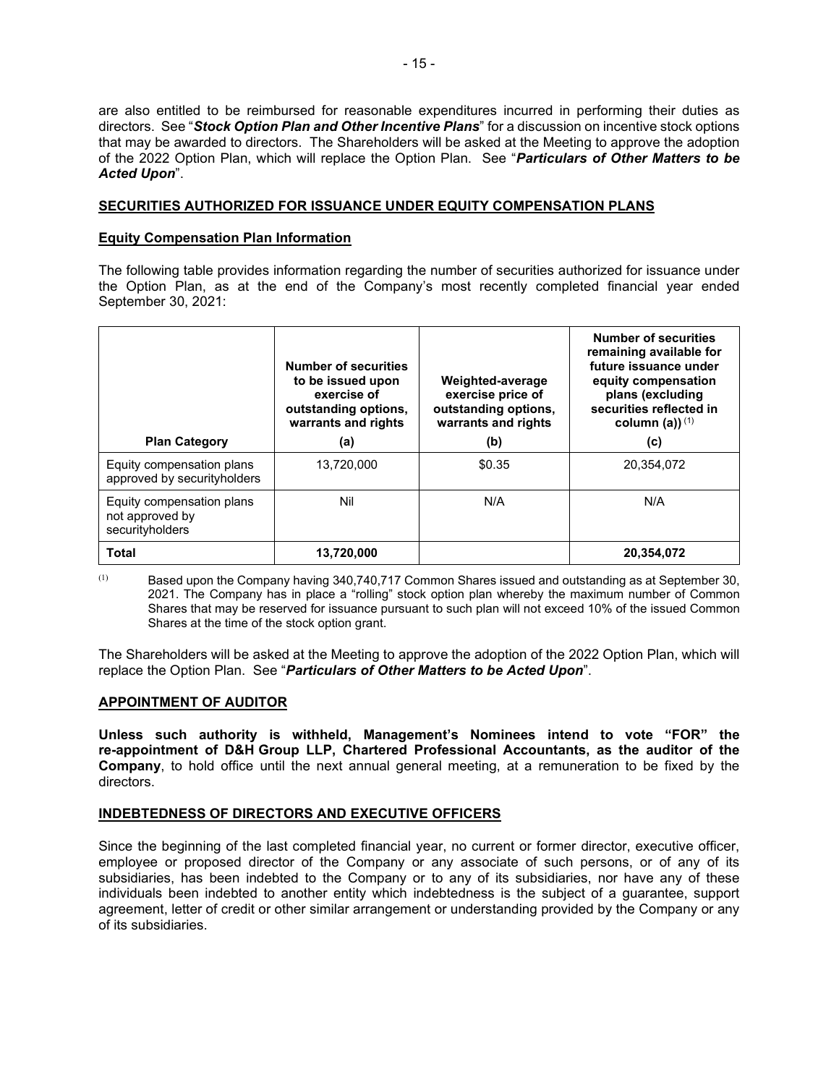are also entitled to be reimbursed for reasonable expenditures incurred in performing their duties as directors. See "*Stock Option Plan and Other Incentive Plans*" for a discussion on incentive stock options that may be awarded to directors. The Shareholders will be asked at the Meeting to approve the adoption of the 2022 Option Plan, which will replace the Option Plan. See "*Particulars of Other Matters to be Acted Upon*".

### **SECURITIES AUTHORIZED FOR ISSUANCE UNDER EQUITY COMPENSATION PLANS**

#### **Equity Compensation Plan Information**

The following table provides information regarding the number of securities authorized for issuance under the Option Plan, as at the end of the Company's most recently completed financial year ended September 30, 2021:

| <b>Plan Category</b>                                            | <b>Number of securities</b><br>to be issued upon<br>exercise of<br>outstanding options,<br>warrants and rights<br>(a) | Weighted-average<br>exercise price of<br>outstanding options,<br>warrants and rights<br>(b) | <b>Number of securities</b><br>remaining available for<br>future issuance under<br>equity compensation<br>plans (excluding<br>securities reflected in<br>column (a)) $(1)$<br>(c) |
|-----------------------------------------------------------------|-----------------------------------------------------------------------------------------------------------------------|---------------------------------------------------------------------------------------------|-----------------------------------------------------------------------------------------------------------------------------------------------------------------------------------|
| Equity compensation plans<br>approved by securityholders        | 13,720,000                                                                                                            | \$0.35                                                                                      | 20,354,072                                                                                                                                                                        |
| Equity compensation plans<br>not approved by<br>securityholders | Nil                                                                                                                   | N/A                                                                                         | N/A                                                                                                                                                                               |
| <b>Total</b>                                                    | 13,720,000                                                                                                            |                                                                                             | 20,354,072                                                                                                                                                                        |

(1) Based upon the Company having 340,740,717 Common Shares issued and outstanding as at September 30, 2021. The Company has in place a "rolling" stock option plan whereby the maximum number of Common Shares that may be reserved for issuance pursuant to such plan will not exceed 10% of the issued Common Shares at the time of the stock option grant.

The Shareholders will be asked at the Meeting to approve the adoption of the 2022 Option Plan, which will replace the Option Plan. See "*Particulars of Other Matters to be Acted Upon*".

#### **APPOINTMENT OF AUDITOR**

**Unless such authority is withheld, Management's Nominees intend to vote "FOR" the re-appointment of D&H Group LLP, Chartered Professional Accountants, as the auditor of the Company**, to hold office until the next annual general meeting, at a remuneration to be fixed by the directors.

### **INDEBTEDNESS OF DIRECTORS AND EXECUTIVE OFFICERS**

Since the beginning of the last completed financial year, no current or former director, executive officer, employee or proposed director of the Company or any associate of such persons, or of any of its subsidiaries, has been indebted to the Company or to any of its subsidiaries, nor have any of these individuals been indebted to another entity which indebtedness is the subject of a guarantee, support agreement, letter of credit or other similar arrangement or understanding provided by the Company or any of its subsidiaries.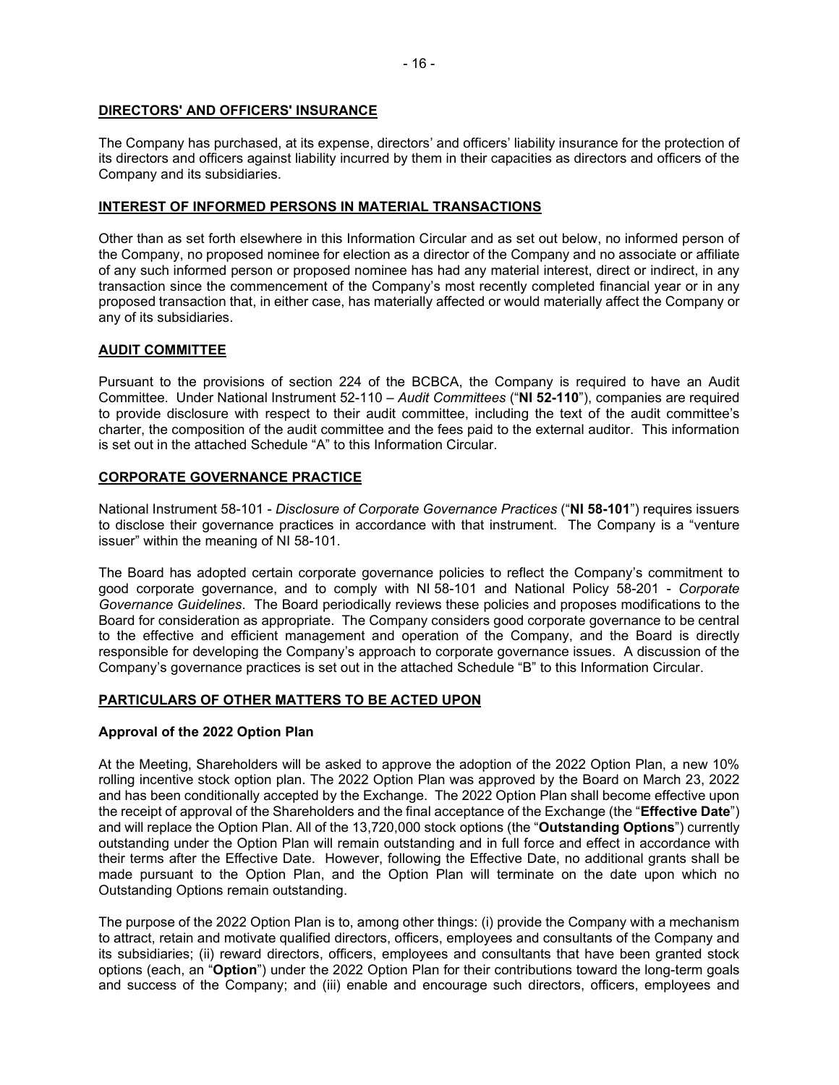### **DIRECTORS' AND OFFICERS' INSURANCE**

The Company has purchased, at its expense, directors' and officers' liability insurance for the protection of its directors and officers against liability incurred by them in their capacities as directors and officers of the Company and its subsidiaries.

# **INTEREST OF INFORMED PERSONS IN MATERIAL TRANSACTIONS**

Other than as set forth elsewhere in this Information Circular and as set out below, no informed person of the Company, no proposed nominee for election as a director of the Company and no associate or affiliate of any such informed person or proposed nominee has had any material interest, direct or indirect, in any transaction since the commencement of the Company's most recently completed financial year or in any proposed transaction that, in either case, has materially affected or would materially affect the Company or any of its subsidiaries.

# **AUDIT COMMITTEE**

Pursuant to the provisions of section 224 of the BCBCA, the Company is required to have an Audit Committee. Under National Instrument 52-110 – *Audit Committees* ("**NI 52-110**"), companies are required to provide disclosure with respect to their audit committee, including the text of the audit committee's charter, the composition of the audit committee and the fees paid to the external auditor. This information is set out in the attached Schedule "A" to this Information Circular.

# **CORPORATE GOVERNANCE PRACTICE**

National Instrument 58-101 - *Disclosure of Corporate Governance Practices* ("**NI 58-101**") requires issuers to disclose their governance practices in accordance with that instrument. The Company is a "venture issuer" within the meaning of NI 58-101.

The Board has adopted certain corporate governance policies to reflect the Company's commitment to good corporate governance, and to comply with NI 58-101 and National Policy 58-201 - *Corporate Governance Guidelines*. The Board periodically reviews these policies and proposes modifications to the Board for consideration as appropriate. The Company considers good corporate governance to be central to the effective and efficient management and operation of the Company, and the Board is directly responsible for developing the Company's approach to corporate governance issues. A discussion of the Company's governance practices is set out in the attached Schedule "B" to this Information Circular.

# **PARTICULARS OF OTHER MATTERS TO BE ACTED UPON**

### **Approval of the 2022 Option Plan**

At the Meeting, Shareholders will be asked to approve the adoption of the 2022 Option Plan, a new 10% rolling incentive stock option plan. The 2022 Option Plan was approved by the Board on March 23, 2022 and has been conditionally accepted by the Exchange. The 2022 Option Plan shall become effective upon the receipt of approval of the Shareholders and the final acceptance of the Exchange (the "**Effective Date**") and will replace the Option Plan. All of the 13,720,000 stock options (the "**Outstanding Options**") currently outstanding under the Option Plan will remain outstanding and in full force and effect in accordance with their terms after the Effective Date. However, following the Effective Date, no additional grants shall be made pursuant to the Option Plan, and the Option Plan will terminate on the date upon which no Outstanding Options remain outstanding.

The purpose of the 2022 Option Plan is to, among other things: (i) provide the Company with a mechanism to attract, retain and motivate qualified directors, officers, employees and consultants of the Company and its subsidiaries; (ii) reward directors, officers, employees and consultants that have been granted stock options (each, an "**Option**") under the 2022 Option Plan for their contributions toward the long-term goals and success of the Company; and (iii) enable and encourage such directors, officers, employees and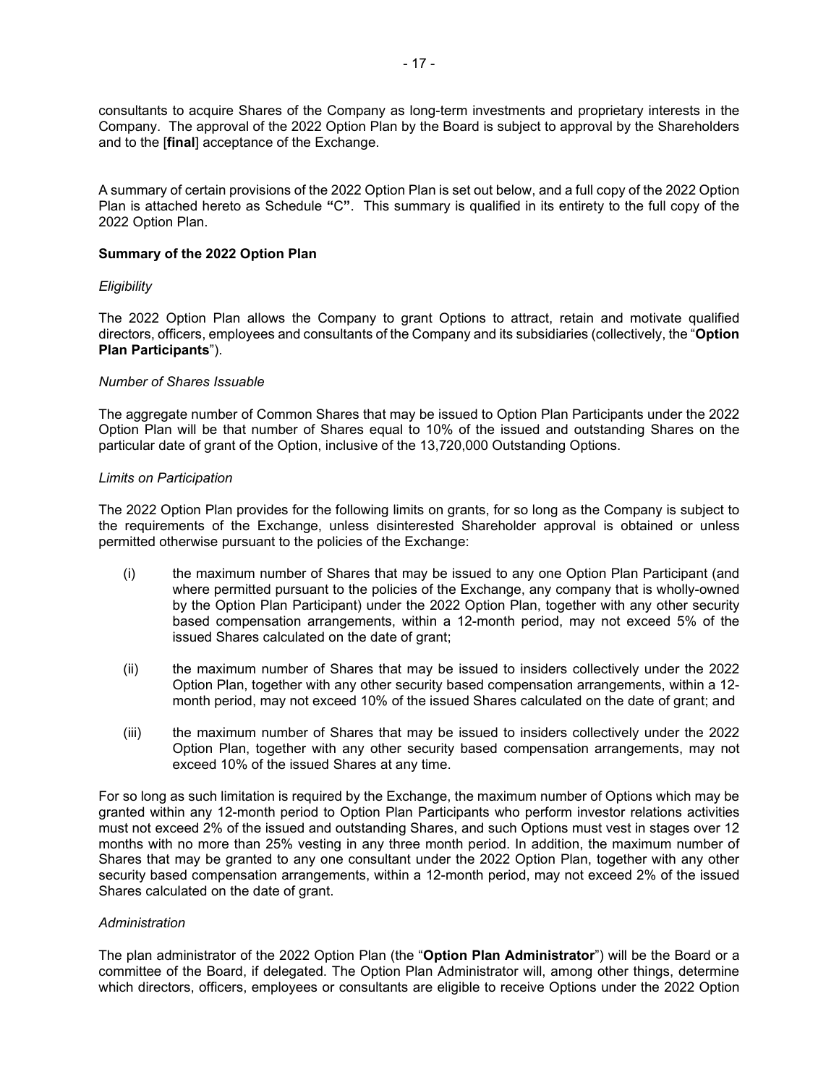consultants to acquire Shares of the Company as long-term investments and proprietary interests in the Company. The approval of the 2022 Option Plan by the Board is subject to approval by the Shareholders and to the [**final**] acceptance of the Exchange.

A summary of certain provisions of the 2022 Option Plan is set out below, and a full copy of the 2022 Option Plan is attached hereto as Schedule **"**C**"**. This summary is qualified in its entirety to the full copy of the 2022 Option Plan.

#### **Summary of the 2022 Option Plan**

#### *Eligibility*

The 2022 Option Plan allows the Company to grant Options to attract, retain and motivate qualified directors, officers, employees and consultants of the Company and its subsidiaries (collectively, the "**Option Plan Participants**").

#### *Number of Shares Issuable*

The aggregate number of Common Shares that may be issued to Option Plan Participants under the 2022 Option Plan will be that number of Shares equal to 10% of the issued and outstanding Shares on the particular date of grant of the Option, inclusive of the 13,720,000 Outstanding Options.

#### *Limits on Participation*

The 2022 Option Plan provides for the following limits on grants, for so long as the Company is subject to the requirements of the Exchange, unless disinterested Shareholder approval is obtained or unless permitted otherwise pursuant to the policies of the Exchange:

- (i) the maximum number of Shares that may be issued to any one Option Plan Participant (and where permitted pursuant to the policies of the Exchange, any company that is wholly-owned by the Option Plan Participant) under the 2022 Option Plan, together with any other security based compensation arrangements, within a 12-month period, may not exceed 5% of the issued Shares calculated on the date of grant;
- (ii) the maximum number of Shares that may be issued to insiders collectively under the 2022 Option Plan, together with any other security based compensation arrangements, within a 12 month period, may not exceed 10% of the issued Shares calculated on the date of grant; and
- (iii) the maximum number of Shares that may be issued to insiders collectively under the 2022 Option Plan, together with any other security based compensation arrangements, may not exceed 10% of the issued Shares at any time.

For so long as such limitation is required by the Exchange, the maximum number of Options which may be granted within any 12-month period to Option Plan Participants who perform investor relations activities must not exceed 2% of the issued and outstanding Shares, and such Options must vest in stages over 12 months with no more than 25% vesting in any three month period. In addition, the maximum number of Shares that may be granted to any one consultant under the 2022 Option Plan, together with any other security based compensation arrangements, within a 12-month period, may not exceed 2% of the issued Shares calculated on the date of grant.

### *Administration*

The plan administrator of the 2022 Option Plan (the "**Option Plan Administrator**") will be the Board or a committee of the Board, if delegated. The Option Plan Administrator will, among other things, determine which directors, officers, employees or consultants are eligible to receive Options under the 2022 Option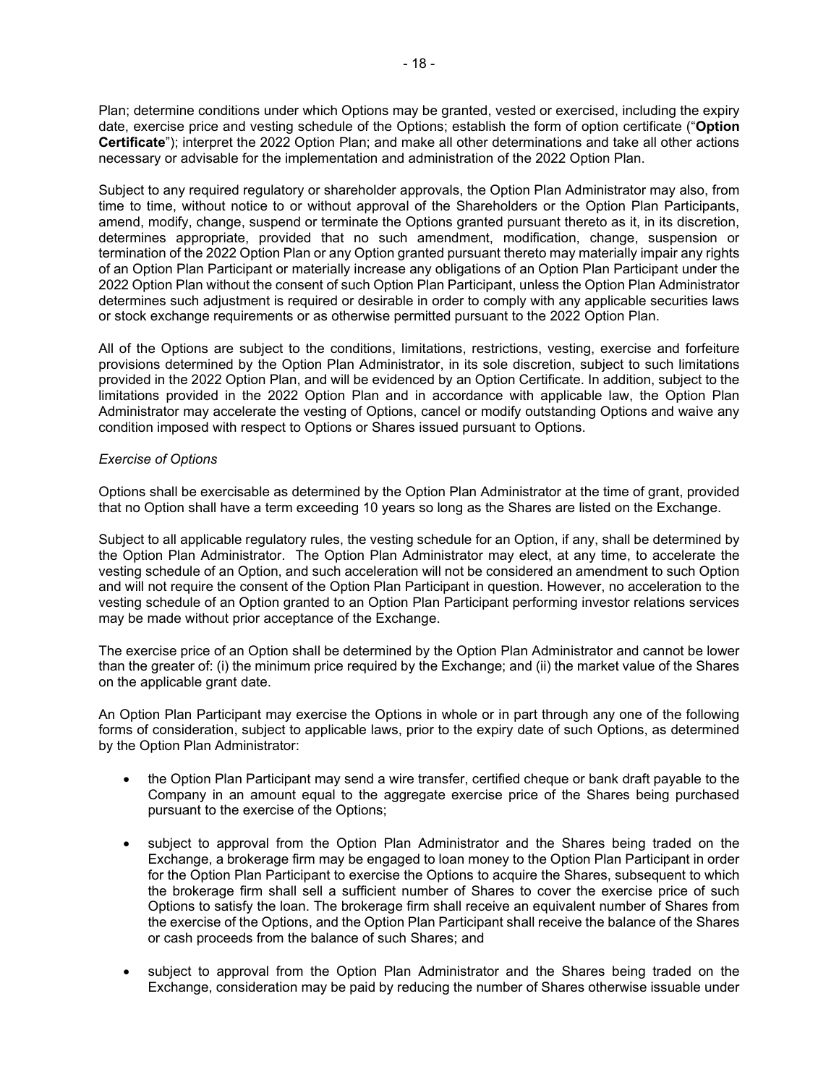Plan; determine conditions under which Options may be granted, vested or exercised, including the expiry date, exercise price and vesting schedule of the Options; establish the form of option certificate ("**Option Certificate**"); interpret the 2022 Option Plan; and make all other determinations and take all other actions necessary or advisable for the implementation and administration of the 2022 Option Plan.

Subject to any required regulatory or shareholder approvals, the Option Plan Administrator may also, from time to time, without notice to or without approval of the Shareholders or the Option Plan Participants, amend, modify, change, suspend or terminate the Options granted pursuant thereto as it, in its discretion, determines appropriate, provided that no such amendment, modification, change, suspension or termination of the 2022 Option Plan or any Option granted pursuant thereto may materially impair any rights of an Option Plan Participant or materially increase any obligations of an Option Plan Participant under the 2022 Option Plan without the consent of such Option Plan Participant, unless the Option Plan Administrator determines such adjustment is required or desirable in order to comply with any applicable securities laws or stock exchange requirements or as otherwise permitted pursuant to the 2022 Option Plan.

All of the Options are subject to the conditions, limitations, restrictions, vesting, exercise and forfeiture provisions determined by the Option Plan Administrator, in its sole discretion, subject to such limitations provided in the 2022 Option Plan, and will be evidenced by an Option Certificate. In addition, subject to the limitations provided in the 2022 Option Plan and in accordance with applicable law, the Option Plan Administrator may accelerate the vesting of Options, cancel or modify outstanding Options and waive any condition imposed with respect to Options or Shares issued pursuant to Options.

#### *Exercise of Options*

Options shall be exercisable as determined by the Option Plan Administrator at the time of grant, provided that no Option shall have a term exceeding 10 years so long as the Shares are listed on the Exchange.

Subject to all applicable regulatory rules, the vesting schedule for an Option, if any, shall be determined by the Option Plan Administrator. The Option Plan Administrator may elect, at any time, to accelerate the vesting schedule of an Option, and such acceleration will not be considered an amendment to such Option and will not require the consent of the Option Plan Participant in question. However, no acceleration to the vesting schedule of an Option granted to an Option Plan Participant performing investor relations services may be made without prior acceptance of the Exchange.

The exercise price of an Option shall be determined by the Option Plan Administrator and cannot be lower than the greater of: (i) the minimum price required by the Exchange; and (ii) the market value of the Shares on the applicable grant date.

An Option Plan Participant may exercise the Options in whole or in part through any one of the following forms of consideration, subject to applicable laws, prior to the expiry date of such Options, as determined by the Option Plan Administrator:

- the Option Plan Participant may send a wire transfer, certified cheque or bank draft payable to the Company in an amount equal to the aggregate exercise price of the Shares being purchased pursuant to the exercise of the Options;
- subject to approval from the Option Plan Administrator and the Shares being traded on the Exchange, a brokerage firm may be engaged to loan money to the Option Plan Participant in order for the Option Plan Participant to exercise the Options to acquire the Shares, subsequent to which the brokerage firm shall sell a sufficient number of Shares to cover the exercise price of such Options to satisfy the loan. The brokerage firm shall receive an equivalent number of Shares from the exercise of the Options, and the Option Plan Participant shall receive the balance of the Shares or cash proceeds from the balance of such Shares; and
- subject to approval from the Option Plan Administrator and the Shares being traded on the Exchange, consideration may be paid by reducing the number of Shares otherwise issuable under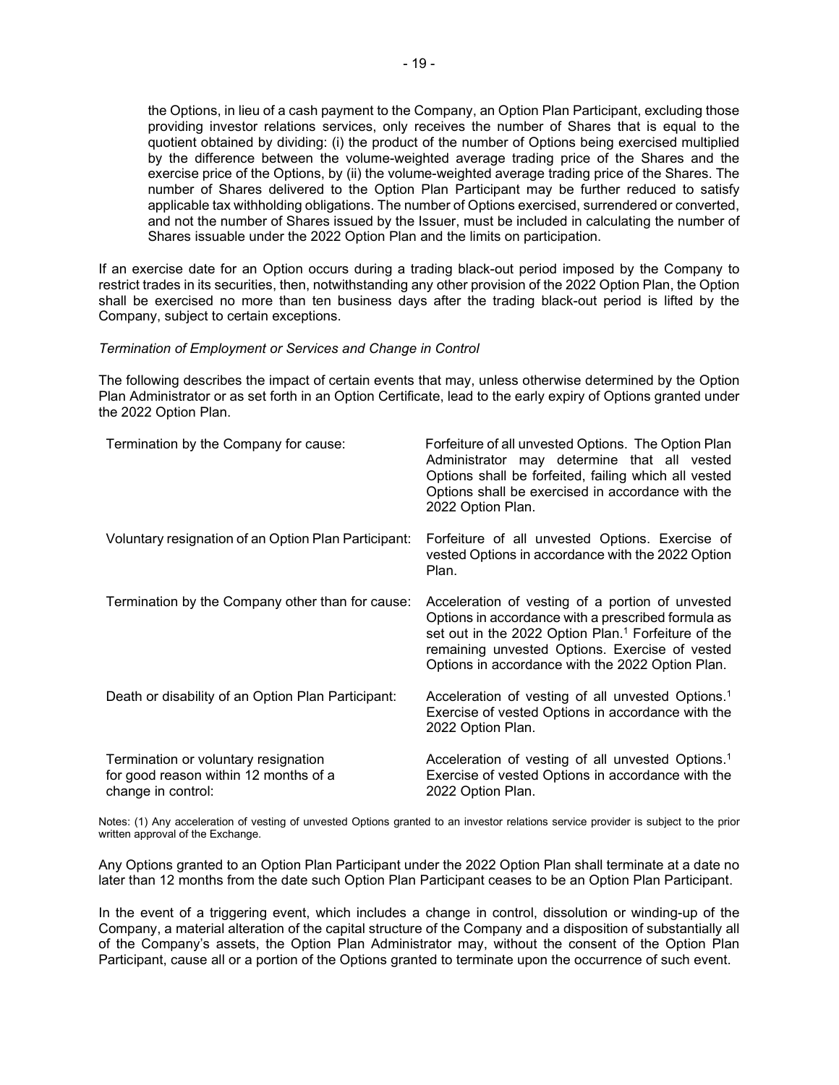the Options, in lieu of a cash payment to the Company, an Option Plan Participant, excluding those providing investor relations services, only receives the number of Shares that is equal to the quotient obtained by dividing: (i) the product of the number of Options being exercised multiplied by the difference between the volume-weighted average trading price of the Shares and the exercise price of the Options, by (ii) the volume-weighted average trading price of the Shares. The number of Shares delivered to the Option Plan Participant may be further reduced to satisfy applicable tax withholding obligations. The number of Options exercised, surrendered or converted, and not the number of Shares issued by the Issuer, must be included in calculating the number of Shares issuable under the 2022 Option Plan and the limits on participation.

If an exercise date for an Option occurs during a trading black-out period imposed by the Company to restrict trades in its securities, then, notwithstanding any other provision of the 2022 Option Plan, the Option shall be exercised no more than ten business days after the trading black-out period is lifted by the Company, subject to certain exceptions.

#### *Termination of Employment or Services and Change in Control*

The following describes the impact of certain events that may, unless otherwise determined by the Option Plan Administrator or as set forth in an Option Certificate, lead to the early expiry of Options granted under the 2022 Option Plan.

| Termination by the Company for cause:                                                               | Forfeiture of all unvested Options. The Option Plan<br>Administrator may determine that all vested<br>Options shall be forfeited, failing which all vested<br>Options shall be exercised in accordance with the<br>2022 Option Plan.                                            |
|-----------------------------------------------------------------------------------------------------|---------------------------------------------------------------------------------------------------------------------------------------------------------------------------------------------------------------------------------------------------------------------------------|
| Voluntary resignation of an Option Plan Participant:                                                | Forfeiture of all unvested Options. Exercise of<br>vested Options in accordance with the 2022 Option<br>Plan.                                                                                                                                                                   |
| Termination by the Company other than for cause:                                                    | Acceleration of vesting of a portion of unvested<br>Options in accordance with a prescribed formula as<br>set out in the 2022 Option Plan. <sup>1</sup> Forfeiture of the<br>remaining unvested Options. Exercise of vested<br>Options in accordance with the 2022 Option Plan. |
| Death or disability of an Option Plan Participant:                                                  | Acceleration of vesting of all unvested Options. <sup>1</sup><br>Exercise of vested Options in accordance with the<br>2022 Option Plan.                                                                                                                                         |
| Termination or voluntary resignation<br>for good reason within 12 months of a<br>change in control: | Acceleration of vesting of all unvested Options. <sup>1</sup><br>Exercise of vested Options in accordance with the<br>2022 Option Plan.                                                                                                                                         |

Notes: (1) Any acceleration of vesting of unvested Options granted to an investor relations service provider is subject to the prior written approval of the Exchange.

Any Options granted to an Option Plan Participant under the 2022 Option Plan shall terminate at a date no later than 12 months from the date such Option Plan Participant ceases to be an Option Plan Participant.

In the event of a triggering event, which includes a change in control, dissolution or winding-up of the Company, a material alteration of the capital structure of the Company and a disposition of substantially all of the Company's assets, the Option Plan Administrator may, without the consent of the Option Plan Participant, cause all or a portion of the Options granted to terminate upon the occurrence of such event.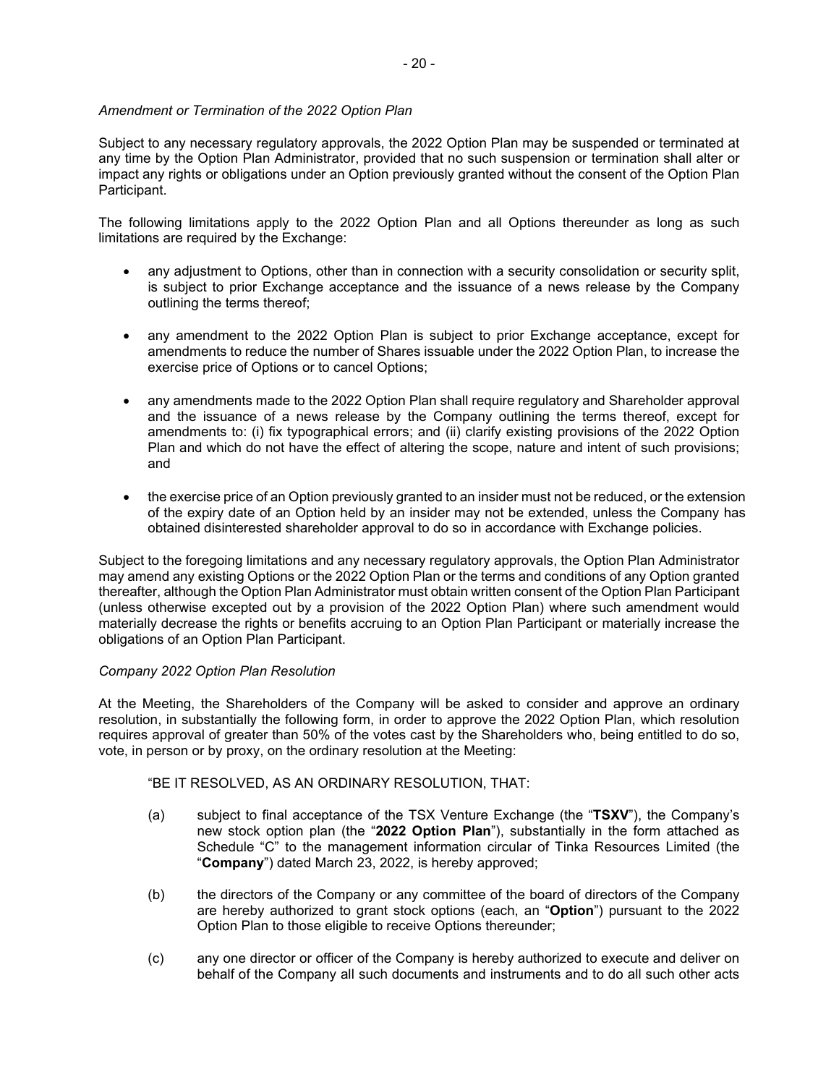# *Amendment or Termination of the 2022 Option Plan*

Subject to any necessary regulatory approvals, the 2022 Option Plan may be suspended or terminated at any time by the Option Plan Administrator, provided that no such suspension or termination shall alter or impact any rights or obligations under an Option previously granted without the consent of the Option Plan Participant.

The following limitations apply to the 2022 Option Plan and all Options thereunder as long as such limitations are required by the Exchange:

- any adjustment to Options, other than in connection with a security consolidation or security split, is subject to prior Exchange acceptance and the issuance of a news release by the Company outlining the terms thereof;
- any amendment to the 2022 Option Plan is subject to prior Exchange acceptance, except for amendments to reduce the number of Shares issuable under the 2022 Option Plan, to increase the exercise price of Options or to cancel Options;
- any amendments made to the 2022 Option Plan shall require regulatory and Shareholder approval and the issuance of a news release by the Company outlining the terms thereof, except for amendments to: (i) fix typographical errors; and (ii) clarify existing provisions of the 2022 Option Plan and which do not have the effect of altering the scope, nature and intent of such provisions; and
- the exercise price of an Option previously granted to an insider must not be reduced, or the extension of the expiry date of an Option held by an insider may not be extended, unless the Company has obtained disinterested shareholder approval to do so in accordance with Exchange policies.

Subject to the foregoing limitations and any necessary regulatory approvals, the Option Plan Administrator may amend any existing Options or the 2022 Option Plan or the terms and conditions of any Option granted thereafter, although the Option Plan Administrator must obtain written consent of the Option Plan Participant (unless otherwise excepted out by a provision of the 2022 Option Plan) where such amendment would materially decrease the rights or benefits accruing to an Option Plan Participant or materially increase the obligations of an Option Plan Participant.

### *Company 2022 Option Plan Resolution*

At the Meeting, the Shareholders of the Company will be asked to consider and approve an ordinary resolution, in substantially the following form, in order to approve the 2022 Option Plan, which resolution requires approval of greater than 50% of the votes cast by the Shareholders who, being entitled to do so, vote, in person or by proxy, on the ordinary resolution at the Meeting:

"BE IT RESOLVED, AS AN ORDINARY RESOLUTION, THAT:

- (a) subject to final acceptance of the TSX Venture Exchange (the "**TSXV**"), the Company's new stock option plan (the "**2022 Option Plan**"), substantially in the form attached as Schedule "C" to the management information circular of Tinka Resources Limited (the "**Company**") dated March 23, 2022, is hereby approved;
- (b) the directors of the Company or any committee of the board of directors of the Company are hereby authorized to grant stock options (each, an "**Option**") pursuant to the 2022 Option Plan to those eligible to receive Options thereunder;
- (c) any one director or officer of the Company is hereby authorized to execute and deliver on behalf of the Company all such documents and instruments and to do all such other acts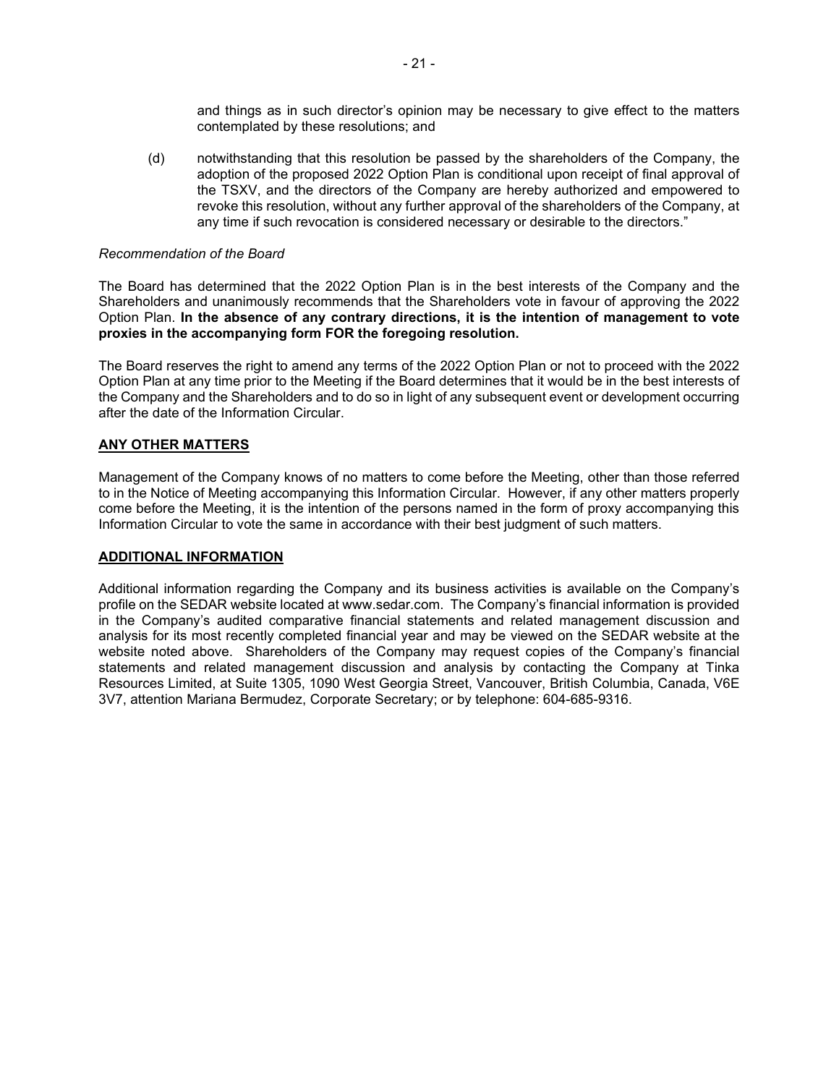and things as in such director's opinion may be necessary to give effect to the matters contemplated by these resolutions; and

(d) notwithstanding that this resolution be passed by the shareholders of the Company, the adoption of the proposed 2022 Option Plan is conditional upon receipt of final approval of the TSXV, and the directors of the Company are hereby authorized and empowered to revoke this resolution, without any further approval of the shareholders of the Company, at any time if such revocation is considered necessary or desirable to the directors."

#### *Recommendation of the Board*

The Board has determined that the 2022 Option Plan is in the best interests of the Company and the Shareholders and unanimously recommends that the Shareholders vote in favour of approving the 2022 Option Plan. **In the absence of any contrary directions, it is the intention of management to vote proxies in the accompanying form FOR the foregoing resolution.** 

The Board reserves the right to amend any terms of the 2022 Option Plan or not to proceed with the 2022 Option Plan at any time prior to the Meeting if the Board determines that it would be in the best interests of the Company and the Shareholders and to do so in light of any subsequent event or development occurring after the date of the Information Circular.

### **ANY OTHER MATTERS**

Management of the Company knows of no matters to come before the Meeting, other than those referred to in the Notice of Meeting accompanying this Information Circular. However, if any other matters properly come before the Meeting, it is the intention of the persons named in the form of proxy accompanying this Information Circular to vote the same in accordance with their best judgment of such matters.

#### **ADDITIONAL INFORMATION**

Additional information regarding the Company and its business activities is available on the Company's profile on the SEDAR website located at www.sedar.com. The Company's financial information is provided in the Company's audited comparative financial statements and related management discussion and analysis for its most recently completed financial year and may be viewed on the SEDAR website at the website noted above. Shareholders of the Company may request copies of the Company's financial statements and related management discussion and analysis by contacting the Company at Tinka Resources Limited, at Suite 1305, 1090 West Georgia Street, Vancouver, British Columbia, Canada, V6E 3V7, attention Mariana Bermudez, Corporate Secretary; or by telephone: 604-685-9316.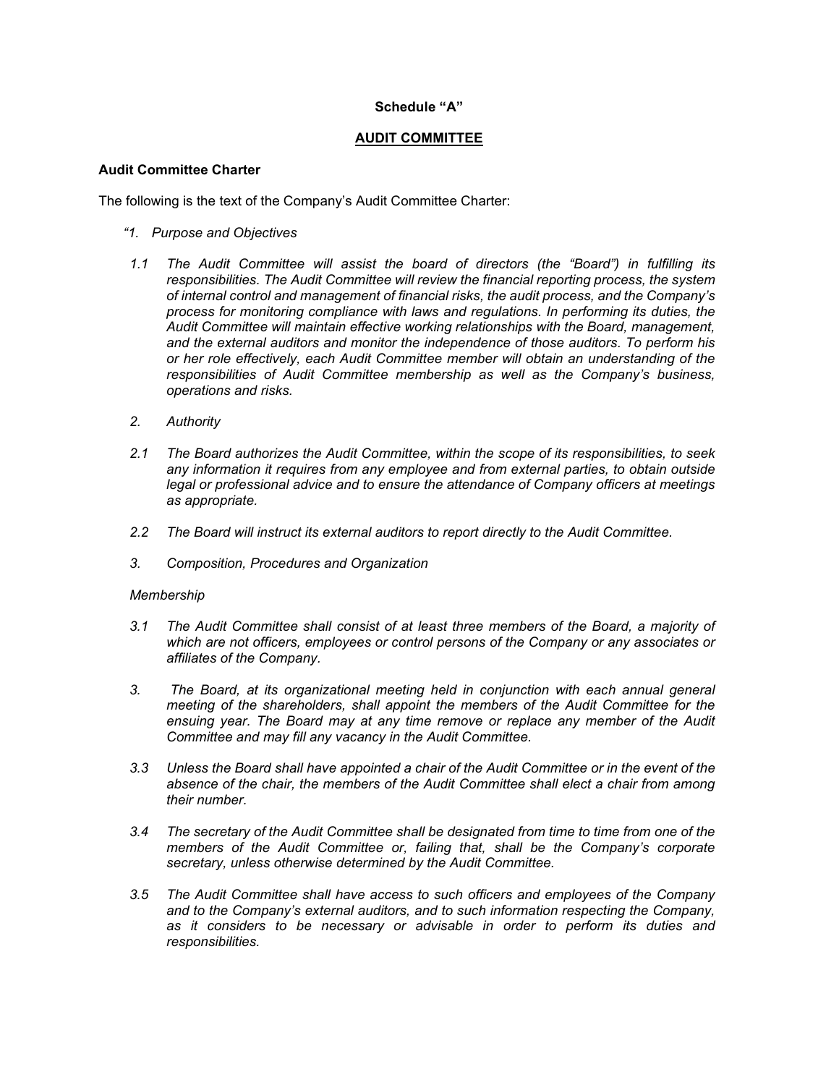### **Schedule "A"**

#### **AUDIT COMMITTEE**

#### **Audit Committee Charter**

The following is the text of the Company's Audit Committee Charter:

#### *"1. Purpose and Objectives*

- *1.1 The Audit Committee will assist the board of directors (the "Board") in fulfilling its responsibilities. The Audit Committee will review the financial reporting process, the system of internal control and management of financial risks, the audit process, and the Company's process for monitoring compliance with laws and regulations. In performing its duties, the Audit Committee will maintain effective working relationships with the Board, management, and the external auditors and monitor the independence of those auditors. To perform his or her role effectively, each Audit Committee member will obtain an understanding of the responsibilities of Audit Committee membership as well as the Company's business, operations and risks.*
- *2. Authority*
- *2.1 The Board authorizes the Audit Committee, within the scope of its responsibilities, to seek any information it requires from any employee and from external parties, to obtain outside legal or professional advice and to ensure the attendance of Company officers at meetings as appropriate.*
- *2.2 The Board will instruct its external auditors to report directly to the Audit Committee.*
- *3. Composition, Procedures and Organization*

### *Membership*

- *3.1 The Audit Committee shall consist of at least three members of the Board, a majority of which are not officers, employees or control persons of the Company or any associates or affiliates of the Company.*
- *3. The Board, at its organizational meeting held in conjunction with each annual general meeting of the shareholders, shall appoint the members of the Audit Committee for the ensuing year. The Board may at any time remove or replace any member of the Audit Committee and may fill any vacancy in the Audit Committee.*
- *3.3 Unless the Board shall have appointed a chair of the Audit Committee or in the event of the absence of the chair, the members of the Audit Committee shall elect a chair from among their number.*
- *3.4 The secretary of the Audit Committee shall be designated from time to time from one of the members of the Audit Committee or, failing that, shall be the Company's corporate secretary, unless otherwise determined by the Audit Committee.*
- *3.5 The Audit Committee shall have access to such officers and employees of the Company and to the Company's external auditors, and to such information respecting the Company, as it considers to be necessary or advisable in order to perform its duties and responsibilities.*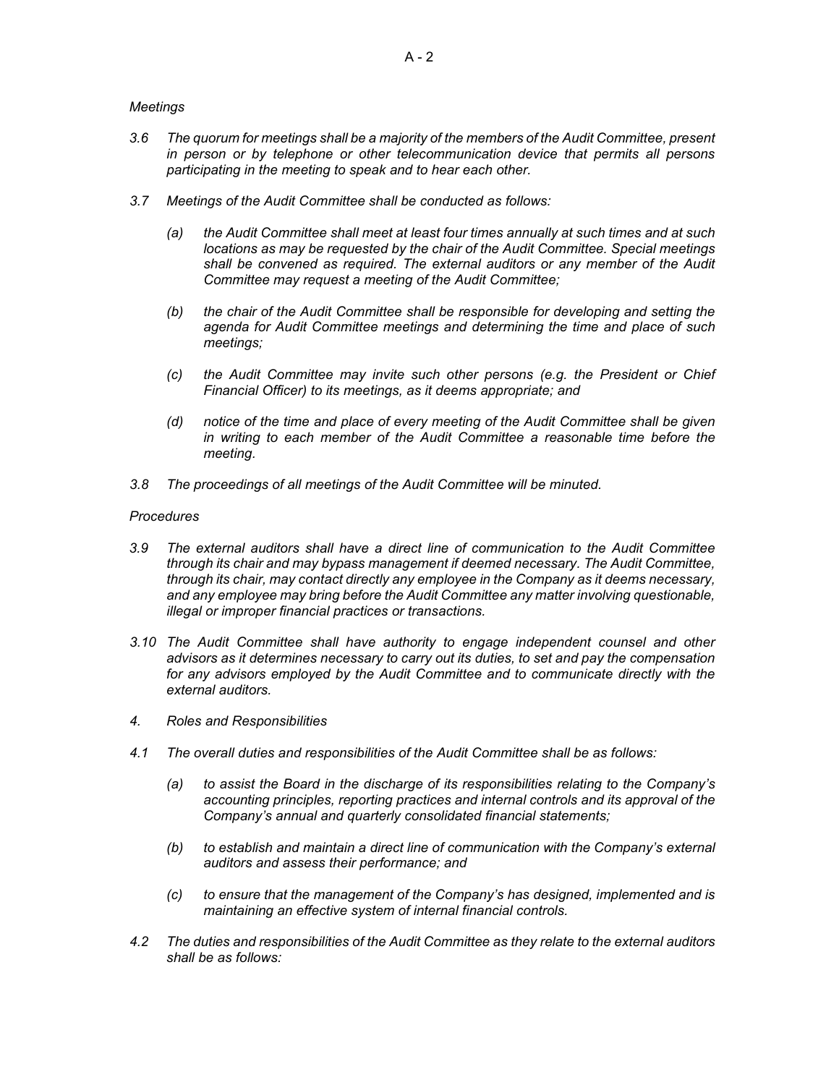#### *Meetings*

- *3.6 The quorum for meetings shall be a majority of the members of the Audit Committee, present in person or by telephone or other telecommunication device that permits all persons participating in the meeting to speak and to hear each other.*
- *3.7 Meetings of the Audit Committee shall be conducted as follows:* 
	- *(a) the Audit Committee shall meet at least four times annually at such times and at such locations as may be requested by the chair of the Audit Committee. Special meetings shall be convened as required. The external auditors or any member of the Audit Committee may request a meeting of the Audit Committee;*
	- *(b) the chair of the Audit Committee shall be responsible for developing and setting the agenda for Audit Committee meetings and determining the time and place of such meetings;*
	- *(c) the Audit Committee may invite such other persons (e.g. the President or Chief Financial Officer) to its meetings, as it deems appropriate; and*
	- *(d) notice of the time and place of every meeting of the Audit Committee shall be given in writing to each member of the Audit Committee a reasonable time before the meeting.*
- *3.8 The proceedings of all meetings of the Audit Committee will be minuted.*

#### *Procedures*

- *3.9 The external auditors shall have a direct line of communication to the Audit Committee through its chair and may bypass management if deemed necessary. The Audit Committee, through its chair, may contact directly any employee in the Company as it deems necessary, and any employee may bring before the Audit Committee any matter involving questionable, illegal or improper financial practices or transactions.*
- *3.10 The Audit Committee shall have authority to engage independent counsel and other advisors as it determines necessary to carry out its duties, to set and pay the compensation*  for any advisors employed by the Audit Committee and to communicate directly with the *external auditors.*
- *4. Roles and Responsibilities*
- *4.1 The overall duties and responsibilities of the Audit Committee shall be as follows:*
	- *(a) to assist the Board in the discharge of its responsibilities relating to the Company's accounting principles, reporting practices and internal controls and its approval of the Company's annual and quarterly consolidated financial statements;*
	- *(b) to establish and maintain a direct line of communication with the Company's external auditors and assess their performance; and*
	- *(c) to ensure that the management of the Company's has designed, implemented and is maintaining an effective system of internal financial controls.*
- *4.2 The duties and responsibilities of the Audit Committee as they relate to the external auditors shall be as follows:*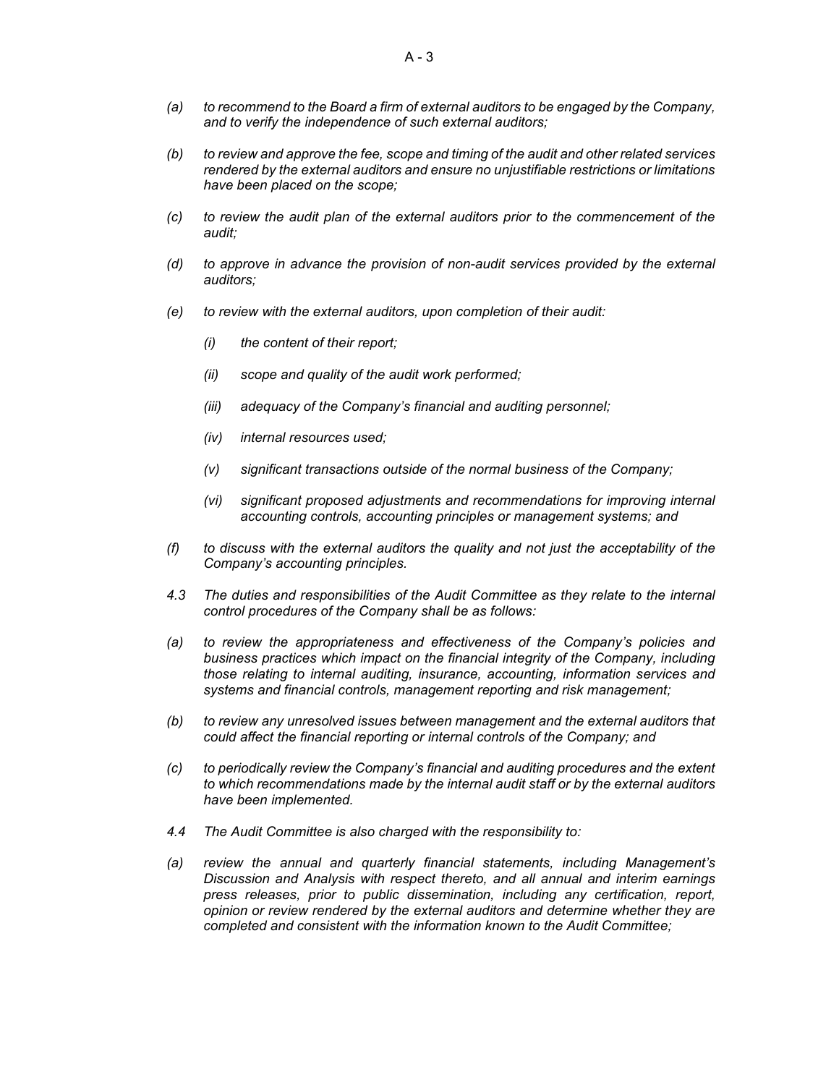- *(a) to recommend to the Board a firm of external auditors to be engaged by the Company, and to verify the independence of such external auditors;*
- *(b) to review and approve the fee, scope and timing of the audit and other related services rendered by the external auditors and ensure no unjustifiable restrictions or limitations have been placed on the scope;*
- *(c) to review the audit plan of the external auditors prior to the commencement of the audit;*
- *(d) to approve in advance the provision of non-audit services provided by the external auditors;*
- *(e) to review with the external auditors, upon completion of their audit:*
	- *(i) the content of their report;*
	- *(ii) scope and quality of the audit work performed;*
	- *(iii) adequacy of the Company's financial and auditing personnel;*
	- *(iv) internal resources used;*
	- *(v) significant transactions outside of the normal business of the Company;*
	- *(vi) significant proposed adjustments and recommendations for improving internal accounting controls, accounting principles or management systems; and*
- *(f) to discuss with the external auditors the quality and not just the acceptability of the Company's accounting principles.*
- *4.3 The duties and responsibilities of the Audit Committee as they relate to the internal control procedures of the Company shall be as follows:*
- *(a) to review the appropriateness and effectiveness of the Company's policies and business practices which impact on the financial integrity of the Company, including those relating to internal auditing, insurance, accounting, information services and systems and financial controls, management reporting and risk management;*
- *(b) to review any unresolved issues between management and the external auditors that could affect the financial reporting or internal controls of the Company; and*
- *(c) to periodically review the Company's financial and auditing procedures and the extent to which recommendations made by the internal audit staff or by the external auditors have been implemented.*
- *4.4 The Audit Committee is also charged with the responsibility to:*
- *(a) review the annual and quarterly financial statements, including Management's Discussion and Analysis with respect thereto, and all annual and interim earnings press releases, prior to public dissemination, including any certification, report, opinion or review rendered by the external auditors and determine whether they are completed and consistent with the information known to the Audit Committee;*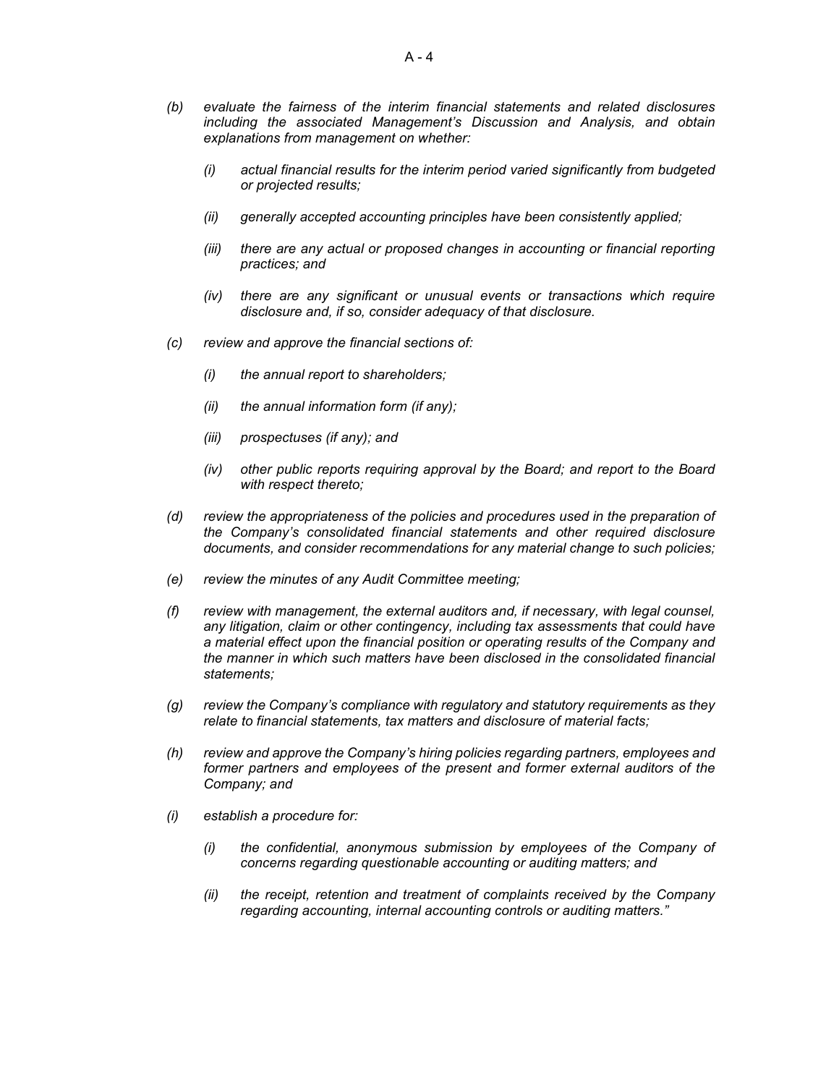- *(b) evaluate the fairness of the interim financial statements and related disclosures including the associated Management's Discussion and Analysis, and obtain explanations from management on whether:*
	- *(i) actual financial results for the interim period varied significantly from budgeted or projected results;*
	- *(ii) generally accepted accounting principles have been consistently applied;*
	- *(iii) there are any actual or proposed changes in accounting or financial reporting practices; and*
	- *(iv) there are any significant or unusual events or transactions which require disclosure and, if so, consider adequacy of that disclosure.*
- *(c) review and approve the financial sections of:*
	- *(i) the annual report to shareholders;*
	- *(ii) the annual information form (if any);*
	- *(iii) prospectuses (if any); and*
	- *(iv) other public reports requiring approval by the Board; and report to the Board with respect thereto;*
- *(d) review the appropriateness of the policies and procedures used in the preparation of the Company's consolidated financial statements and other required disclosure documents, and consider recommendations for any material change to such policies;*
- *(e) review the minutes of any Audit Committee meeting;*
- *(f) review with management, the external auditors and, if necessary, with legal counsel, any litigation, claim or other contingency, including tax assessments that could have a material effect upon the financial position or operating results of the Company and the manner in which such matters have been disclosed in the consolidated financial statements;*
- *(g) review the Company's compliance with regulatory and statutory requirements as they relate to financial statements, tax matters and disclosure of material facts;*
- *(h) review and approve the Company's hiring policies regarding partners, employees and former partners and employees of the present and former external auditors of the Company; and*
- *(i) establish a procedure for:*
	- *(i) the confidential, anonymous submission by employees of the Company of concerns regarding questionable accounting or auditing matters; and*
	- *(ii) the receipt, retention and treatment of complaints received by the Company regarding accounting, internal accounting controls or auditing matters."*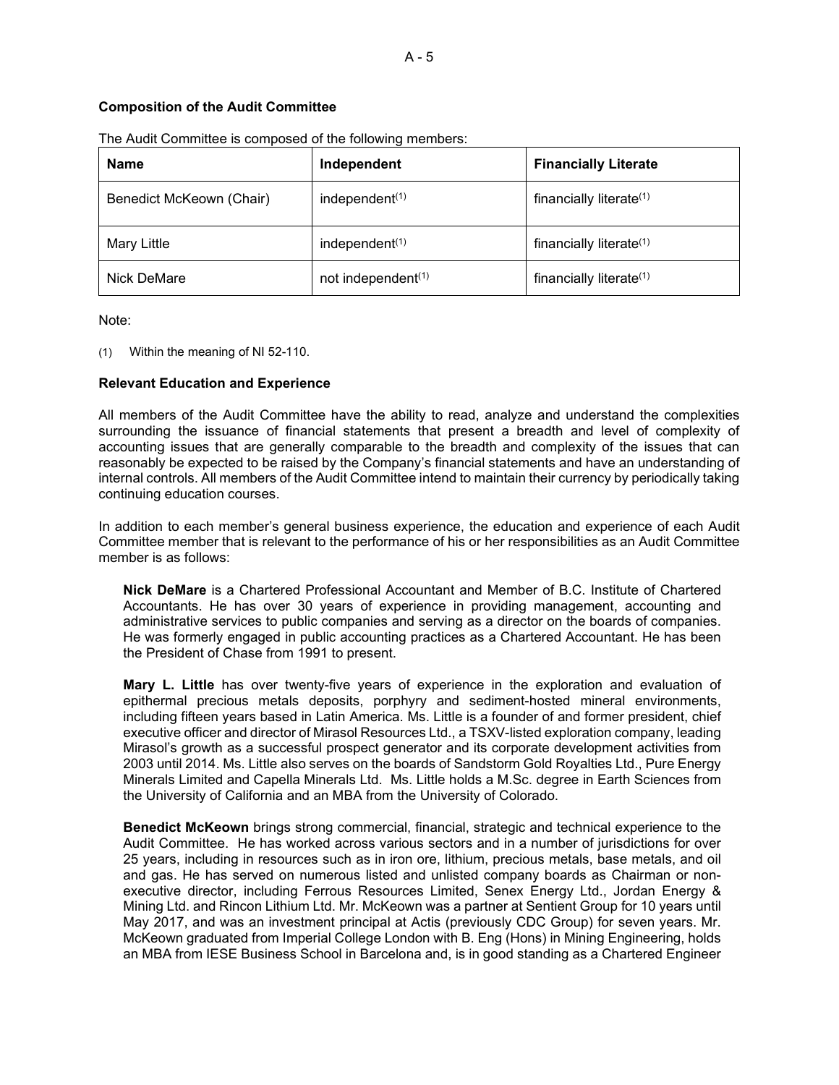# **Composition of the Audit Committee**

| <b>Name</b>              | Independent                    | <b>Financially Literate</b>         |
|--------------------------|--------------------------------|-------------------------------------|
| Benedict McKeown (Chair) | independent $(1)$              | financially literate $(1)$          |
| Mary Little              | independent <sup>(1)</sup>     | financially literate <sup>(1)</sup> |
| Nick DeMare              | not independent <sup>(1)</sup> | financially literate $(1)$          |

The Audit Committee is composed of the following members:

Note:

(1) Within the meaning of NI 52-110.

### **Relevant Education and Experience**

All members of the Audit Committee have the ability to read, analyze and understand the complexities surrounding the issuance of financial statements that present a breadth and level of complexity of accounting issues that are generally comparable to the breadth and complexity of the issues that can reasonably be expected to be raised by the Company's financial statements and have an understanding of internal controls. All members of the Audit Committee intend to maintain their currency by periodically taking continuing education courses.

In addition to each member's general business experience, the education and experience of each Audit Committee member that is relevant to the performance of his or her responsibilities as an Audit Committee member is as follows:

**Nick DeMare** is a Chartered Professional Accountant and Member of B.C. Institute of Chartered Accountants. He has over 30 years of experience in providing management, accounting and administrative services to public companies and serving as a director on the boards of companies. He was formerly engaged in public accounting practices as a Chartered Accountant. He has been the President of Chase from 1991 to present.

**Mary L. Little** has over twenty-five years of experience in the exploration and evaluation of epithermal precious metals deposits, porphyry and sediment-hosted mineral environments, including fifteen years based in Latin America. Ms. Little is a founder of and former president, chief executive officer and director of Mirasol Resources Ltd., a TSXV-listed exploration company, leading Mirasol's growth as a successful prospect generator and its corporate development activities from 2003 until 2014. Ms. Little also serves on the boards of Sandstorm Gold Royalties Ltd., Pure Energy Minerals Limited and Capella Minerals Ltd. Ms. Little holds a M.Sc. degree in Earth Sciences from the University of California and an MBA from the University of Colorado.

**Benedict McKeown** brings strong commercial, financial, strategic and technical experience to the Audit Committee. He has worked across various sectors and in a number of jurisdictions for over 25 years, including in resources such as in iron ore, lithium, precious metals, base metals, and oil and gas. He has served on numerous listed and unlisted company boards as Chairman or nonexecutive director, including Ferrous Resources Limited, Senex Energy Ltd., Jordan Energy & Mining Ltd. and Rincon Lithium Ltd. Mr. McKeown was a partner at Sentient Group for 10 years until May 2017, and was an investment principal at Actis (previously CDC Group) for seven years. Mr. McKeown graduated from Imperial College London with B. Eng (Hons) in Mining Engineering, holds an MBA from IESE Business School in Barcelona and, is in good standing as a Chartered Engineer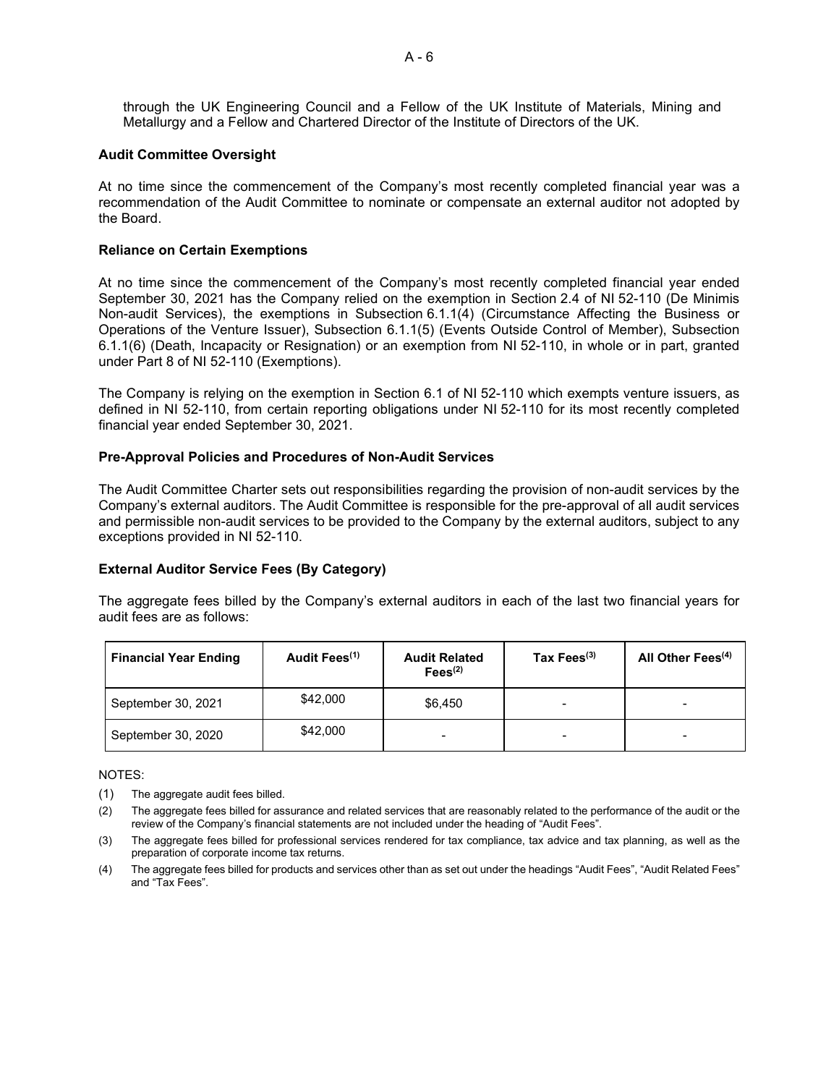through the UK Engineering Council and a Fellow of the UK Institute of Materials, Mining and Metallurgy and a Fellow and Chartered Director of the Institute of Directors of the UK.

#### **Audit Committee Oversight**

At no time since the commencement of the Company's most recently completed financial year was a recommendation of the Audit Committee to nominate or compensate an external auditor not adopted by the Board.

#### **Reliance on Certain Exemptions**

At no time since the commencement of the Company's most recently completed financial year ended September 30, 2021 has the Company relied on the exemption in Section 2.4 of NI 52-110 (De Minimis Non-audit Services), the exemptions in Subsection 6.1.1(4) (Circumstance Affecting the Business or Operations of the Venture Issuer), Subsection 6.1.1(5) (Events Outside Control of Member), Subsection 6.1.1(6) (Death, Incapacity or Resignation) or an exemption from NI 52-110, in whole or in part, granted under Part 8 of NI 52-110 (Exemptions).

The Company is relying on the exemption in Section 6.1 of NI 52-110 which exempts venture issuers, as defined in NI 52-110, from certain reporting obligations under NI 52-110 for its most recently completed financial year ended September 30, 2021.

#### **Pre-Approval Policies and Procedures of Non-Audit Services**

The Audit Committee Charter sets out responsibilities regarding the provision of non-audit services by the Company's external auditors. The Audit Committee is responsible for the pre-approval of all audit services and permissible non-audit services to be provided to the Company by the external auditors, subject to any exceptions provided in NI 52-110.

### **External Auditor Service Fees (By Category)**

The aggregate fees billed by the Company's external auditors in each of the last two financial years for audit fees are as follows:

| <b>Financial Year Ending</b> | Audit Fees <sup>(1)</sup> | <b>Audit Related</b><br>$\text{Fees}^{(2)}$ | Tax Fees $^{(3)}$ | All Other Fees <sup>(4)</sup> |
|------------------------------|---------------------------|---------------------------------------------|-------------------|-------------------------------|
| September 30, 2021           | \$42,000                  | \$6,450                                     |                   |                               |
| September 30, 2020           | \$42,000                  |                                             |                   |                               |

#### NOTES:

- (1) The aggregate audit fees billed.
- (2) The aggregate fees billed for assurance and related services that are reasonably related to the performance of the audit or the review of the Company's financial statements are not included under the heading of "Audit Fees".
- (3) The aggregate fees billed for professional services rendered for tax compliance, tax advice and tax planning, as well as the preparation of corporate income tax returns.
- (4) The aggregate fees billed for products and services other than as set out under the headings "Audit Fees", "Audit Related Fees" and "Tax Fees".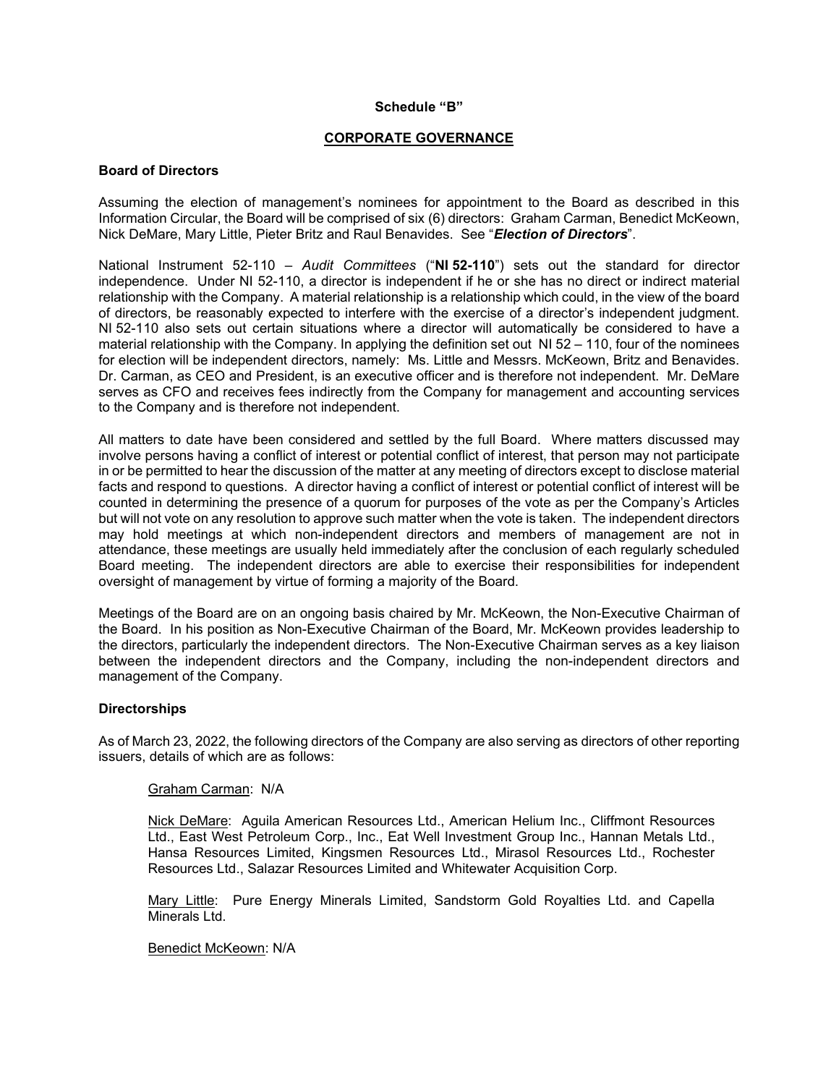#### **Schedule "B"**

#### **CORPORATE GOVERNANCE**

#### **Board of Directors**

Assuming the election of management's nominees for appointment to the Board as described in this Information Circular, the Board will be comprised of six (6) directors: Graham Carman, Benedict McKeown, Nick DeMare, Mary Little, Pieter Britz and Raul Benavides. See "*Election of Directors*".

National Instrument 52-110 – *Audit Committees* ("**NI 52-110**") sets out the standard for director independence. Under NI 52-110, a director is independent if he or she has no direct or indirect material relationship with the Company. A material relationship is a relationship which could, in the view of the board of directors, be reasonably expected to interfere with the exercise of a director's independent judgment. NI 52-110 also sets out certain situations where a director will automatically be considered to have a material relationship with the Company. In applying the definition set out NI 52 – 110, four of the nominees for election will be independent directors, namely: Ms. Little and Messrs. McKeown, Britz and Benavides. Dr. Carman, as CEO and President, is an executive officer and is therefore not independent. Mr. DeMare serves as CFO and receives fees indirectly from the Company for management and accounting services to the Company and is therefore not independent.

All matters to date have been considered and settled by the full Board. Where matters discussed may involve persons having a conflict of interest or potential conflict of interest, that person may not participate in or be permitted to hear the discussion of the matter at any meeting of directors except to disclose material facts and respond to questions. A director having a conflict of interest or potential conflict of interest will be counted in determining the presence of a quorum for purposes of the vote as per the Company's Articles but will not vote on any resolution to approve such matter when the vote is taken. The independent directors may hold meetings at which non-independent directors and members of management are not in attendance, these meetings are usually held immediately after the conclusion of each regularly scheduled Board meeting. The independent directors are able to exercise their responsibilities for independent oversight of management by virtue of forming a majority of the Board.

Meetings of the Board are on an ongoing basis chaired by Mr. McKeown, the Non-Executive Chairman of the Board. In his position as Non-Executive Chairman of the Board, Mr. McKeown provides leadership to the directors, particularly the independent directors. The Non-Executive Chairman serves as a key liaison between the independent directors and the Company, including the non-independent directors and management of the Company.

### **Directorships**

As of March 23, 2022, the following directors of the Company are also serving as directors of other reporting issuers, details of which are as follows:

#### Graham Carman: N/A

Nick DeMare: Aguila American Resources Ltd., American Helium Inc., Cliffmont Resources Ltd., East West Petroleum Corp., Inc., Eat Well Investment Group Inc., Hannan Metals Ltd., Hansa Resources Limited, Kingsmen Resources Ltd., Mirasol Resources Ltd., Rochester Resources Ltd., Salazar Resources Limited and Whitewater Acquisition Corp.

Mary Little: Pure Energy Minerals Limited, Sandstorm Gold Royalties Ltd. and Capella Minerals I td.

Benedict McKeown: N/A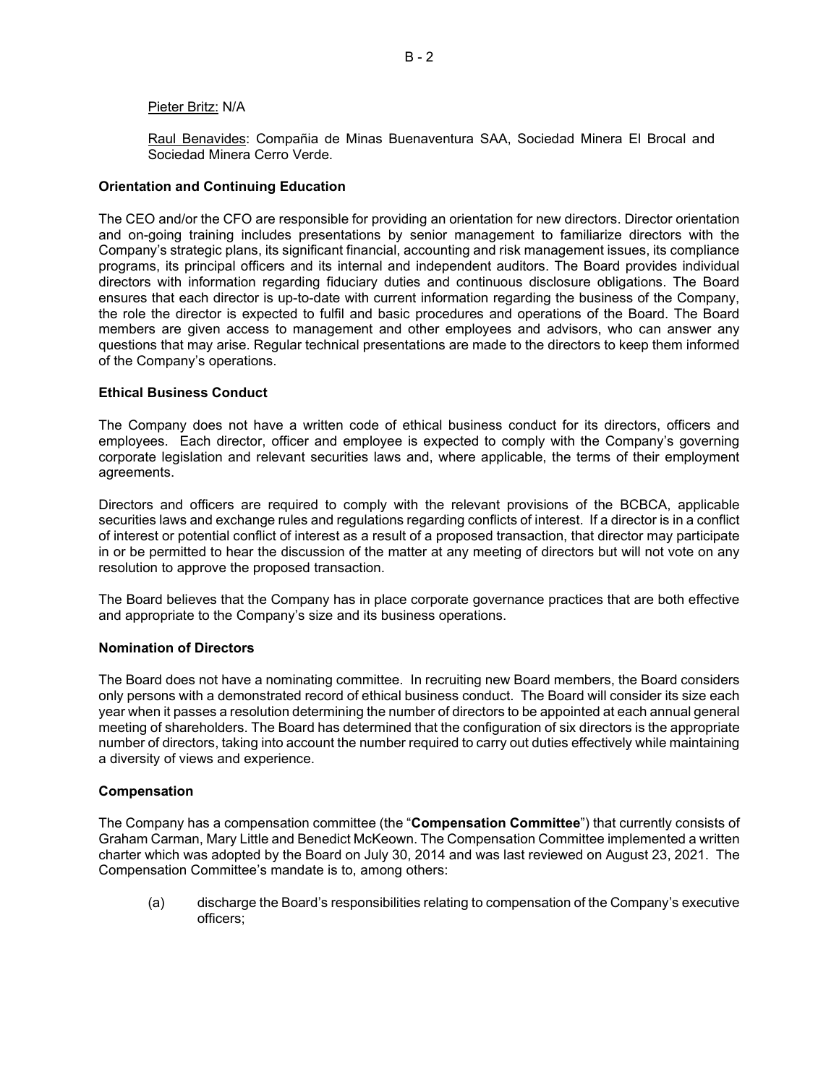#### Pieter Britz: N/A

Raul Benavides: Compañia de Minas Buenaventura SAA, Sociedad Minera El Brocal and Sociedad Minera Cerro Verde.

#### **Orientation and Continuing Education**

The CEO and/or the CFO are responsible for providing an orientation for new directors. Director orientation and on-going training includes presentations by senior management to familiarize directors with the Company's strategic plans, its significant financial, accounting and risk management issues, its compliance programs, its principal officers and its internal and independent auditors. The Board provides individual directors with information regarding fiduciary duties and continuous disclosure obligations. The Board ensures that each director is up-to-date with current information regarding the business of the Company, the role the director is expected to fulfil and basic procedures and operations of the Board. The Board members are given access to management and other employees and advisors, who can answer any questions that may arise. Regular technical presentations are made to the directors to keep them informed of the Company's operations.

#### **Ethical Business Conduct**

The Company does not have a written code of ethical business conduct for its directors, officers and employees. Each director, officer and employee is expected to comply with the Company's governing corporate legislation and relevant securities laws and, where applicable, the terms of their employment agreements.

Directors and officers are required to comply with the relevant provisions of the BCBCA, applicable securities laws and exchange rules and regulations regarding conflicts of interest. If a director is in a conflict of interest or potential conflict of interest as a result of a proposed transaction, that director may participate in or be permitted to hear the discussion of the matter at any meeting of directors but will not vote on any resolution to approve the proposed transaction.

The Board believes that the Company has in place corporate governance practices that are both effective and appropriate to the Company's size and its business operations.

### **Nomination of Directors**

The Board does not have a nominating committee. In recruiting new Board members, the Board considers only persons with a demonstrated record of ethical business conduct. The Board will consider its size each year when it passes a resolution determining the number of directors to be appointed at each annual general meeting of shareholders. The Board has determined that the configuration of six directors is the appropriate number of directors, taking into account the number required to carry out duties effectively while maintaining a diversity of views and experience.

### **Compensation**

The Company has a compensation committee (the "**Compensation Committee**") that currently consists of Graham Carman, Mary Little and Benedict McKeown. The Compensation Committee implemented a written charter which was adopted by the Board on July 30, 2014 and was last reviewed on August 23, 2021. The Compensation Committee's mandate is to, among others:

(a) discharge the Board's responsibilities relating to compensation of the Company's executive officers;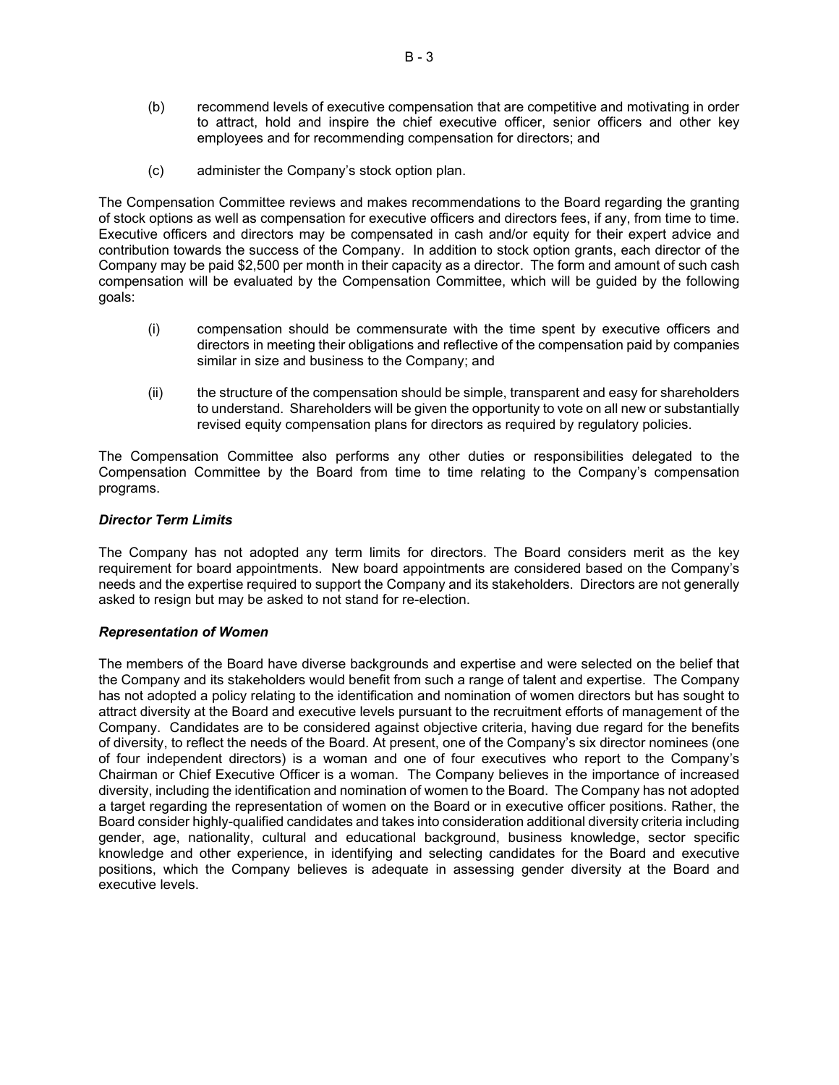- (b) recommend levels of executive compensation that are competitive and motivating in order to attract, hold and inspire the chief executive officer, senior officers and other key employees and for recommending compensation for directors; and
- (c) administer the Company's stock option plan.

The Compensation Committee reviews and makes recommendations to the Board regarding the granting of stock options as well as compensation for executive officers and directors fees, if any, from time to time. Executive officers and directors may be compensated in cash and/or equity for their expert advice and contribution towards the success of the Company. In addition to stock option grants, each director of the Company may be paid \$2,500 per month in their capacity as a director. The form and amount of such cash compensation will be evaluated by the Compensation Committee, which will be guided by the following goals:

- (i) compensation should be commensurate with the time spent by executive officers and directors in meeting their obligations and reflective of the compensation paid by companies similar in size and business to the Company; and
- (ii) the structure of the compensation should be simple, transparent and easy for shareholders to understand. Shareholders will be given the opportunity to vote on all new or substantially revised equity compensation plans for directors as required by regulatory policies.

The Compensation Committee also performs any other duties or responsibilities delegated to the Compensation Committee by the Board from time to time relating to the Company's compensation programs.

### *Director Term Limits*

The Company has not adopted any term limits for directors. The Board considers merit as the key requirement for board appointments. New board appointments are considered based on the Company's needs and the expertise required to support the Company and its stakeholders. Directors are not generally asked to resign but may be asked to not stand for re-election.

### *Representation of Women*

The members of the Board have diverse backgrounds and expertise and were selected on the belief that the Company and its stakeholders would benefit from such a range of talent and expertise. The Company has not adopted a policy relating to the identification and nomination of women directors but has sought to attract diversity at the Board and executive levels pursuant to the recruitment efforts of management of the Company. Candidates are to be considered against objective criteria, having due regard for the benefits of diversity, to reflect the needs of the Board. At present, one of the Company's six director nominees (one of four independent directors) is a woman and one of four executives who report to the Company's Chairman or Chief Executive Officer is a woman. The Company believes in the importance of increased diversity, including the identification and nomination of women to the Board. The Company has not adopted a target regarding the representation of women on the Board or in executive officer positions. Rather, the Board consider highly-qualified candidates and takes into consideration additional diversity criteria including gender, age, nationality, cultural and educational background, business knowledge, sector specific knowledge and other experience, in identifying and selecting candidates for the Board and executive positions, which the Company believes is adequate in assessing gender diversity at the Board and executive levels.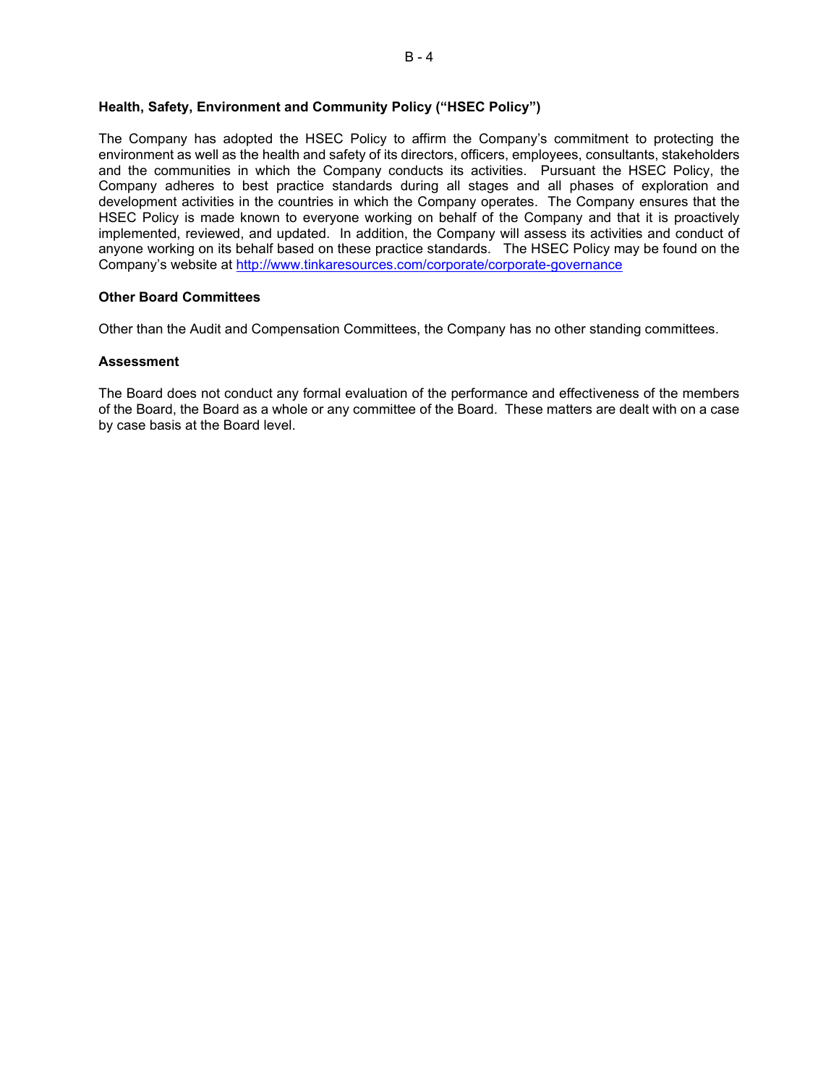# **Health, Safety, Environment and Community Policy ("HSEC Policy")**

The Company has adopted the HSEC Policy to affirm the Company's commitment to protecting the environment as well as the health and safety of its directors, officers, employees, consultants, stakeholders and the communities in which the Company conducts its activities. Pursuant the HSEC Policy, the Company adheres to best practice standards during all stages and all phases of exploration and development activities in the countries in which the Company operates. The Company ensures that the HSEC Policy is made known to everyone working on behalf of the Company and that it is proactively implemented, reviewed, and updated. In addition, the Company will assess its activities and conduct of anyone working on its behalf based on these practice standards. The HSEC Policy may be found on the Company's website at<http://www.tinkaresources.com/corporate/corporate-governance>

### **Other Board Committees**

Other than the Audit and Compensation Committees, the Company has no other standing committees.

#### **Assessment**

The Board does not conduct any formal evaluation of the performance and effectiveness of the members of the Board, the Board as a whole or any committee of the Board. These matters are dealt with on a case by case basis at the Board level.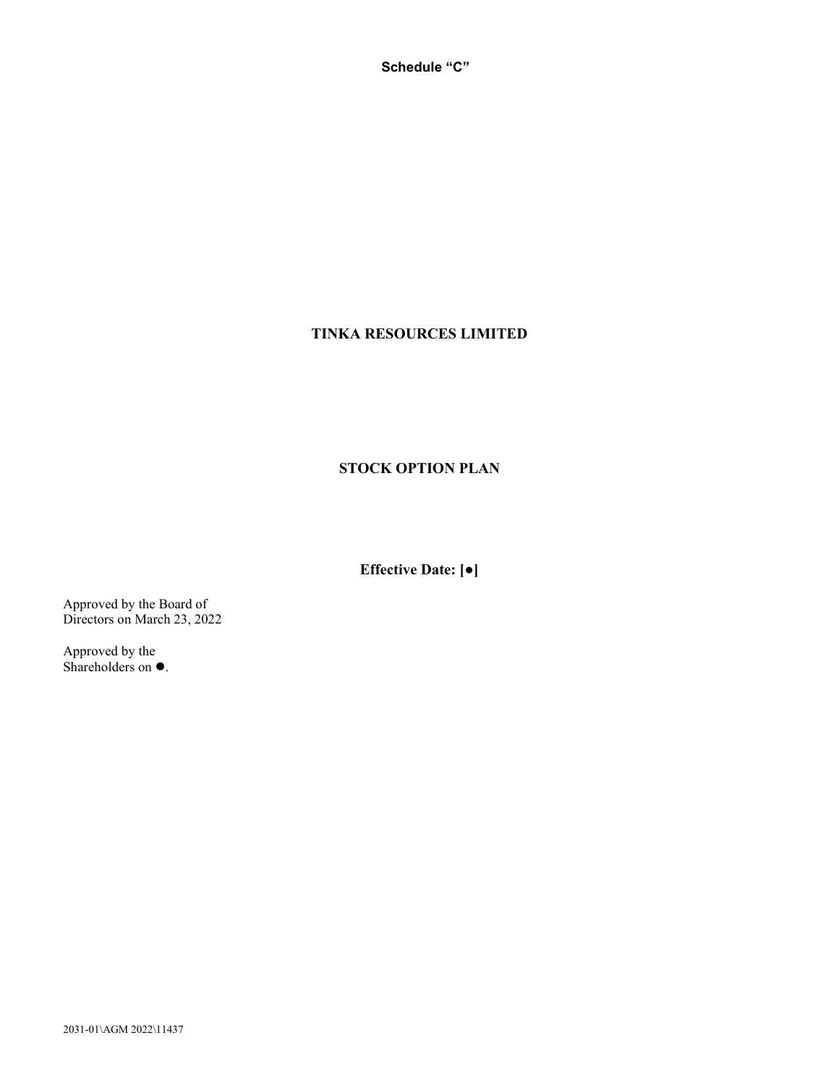**Schedule "C"**

# **TINKA RESOURCES LIMITED**

# **STOCK OPTION PLAN**

**Effective Date: [●]**

Approved by the Board of Directors on March 23, 2022

Approved by the Shareholders on  $\bullet$ .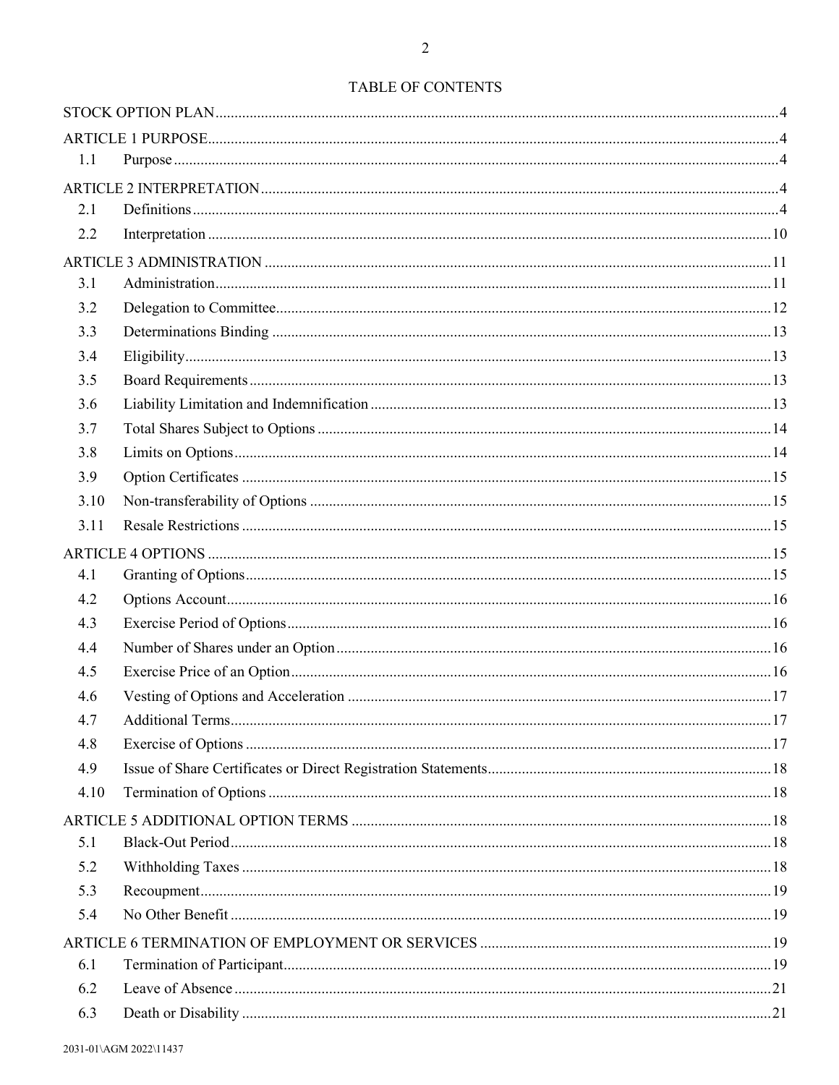| 1.1  |  |
|------|--|
|      |  |
| 2.1  |  |
| 2.2  |  |
|      |  |
| 3.1  |  |
| 3.2  |  |
| 3.3  |  |
| 3.4  |  |
| 3.5  |  |
| 3.6  |  |
| 3.7  |  |
| 3.8  |  |
| 3.9  |  |
| 3.10 |  |
| 3.11 |  |
|      |  |
| 4.1  |  |
| 4.2  |  |
| 4.3  |  |
| 4.4  |  |
| 4.5  |  |
| 4.6  |  |
| 4.7  |  |
| 4.8  |  |
| 4.9  |  |
| 4.10 |  |
|      |  |
| 5.1  |  |
| 5.2  |  |
| 5.3  |  |
| 5.4  |  |
|      |  |
| 6.1  |  |
| 6.2  |  |
| 6.3  |  |
|      |  |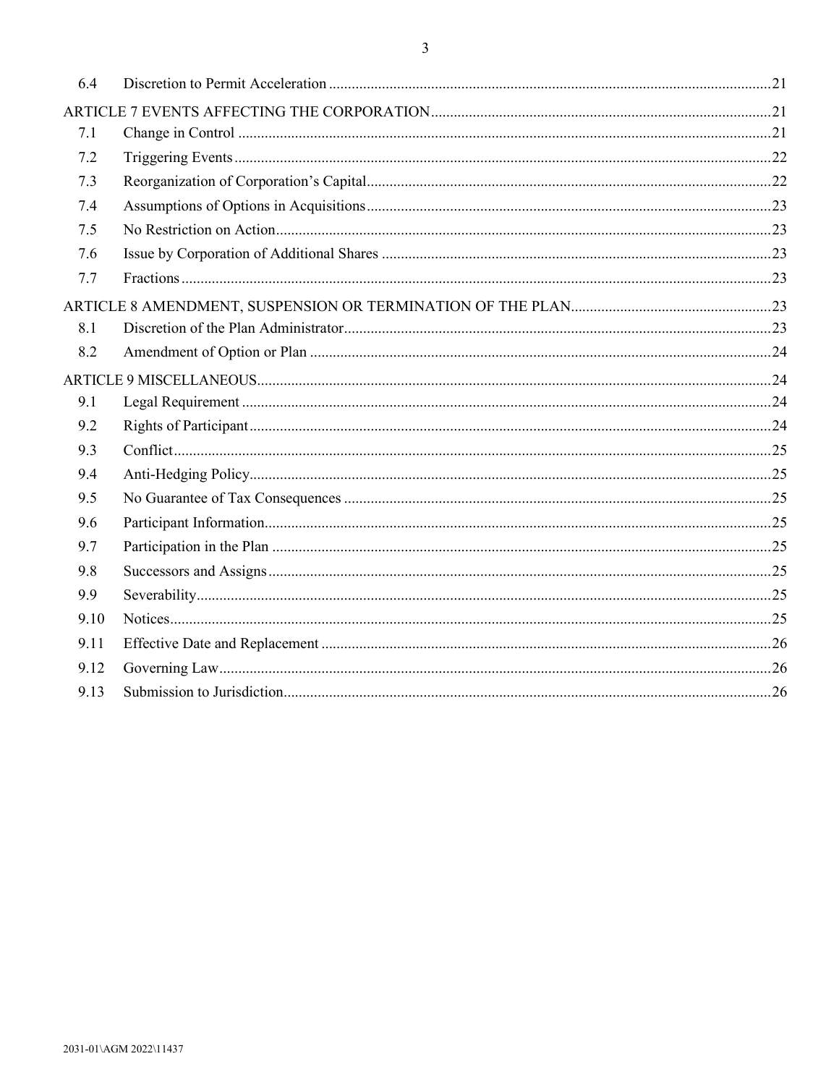| 6.4  |  |
|------|--|
|      |  |
| 7.1  |  |
| 7.2  |  |
| 7.3  |  |
| 7.4  |  |
| 7.5  |  |
| 7.6  |  |
| 7.7  |  |
|      |  |
| 8.1  |  |
| 8.2  |  |
|      |  |
| 9.1  |  |
| 9.2  |  |
| 9.3  |  |
| 9.4  |  |
| 9.5  |  |
| 9.6  |  |
| 9.7  |  |
| 9.8  |  |
| 9.9  |  |
| 9.10 |  |
| 9.11 |  |
| 9.12 |  |
| 9.13 |  |
|      |  |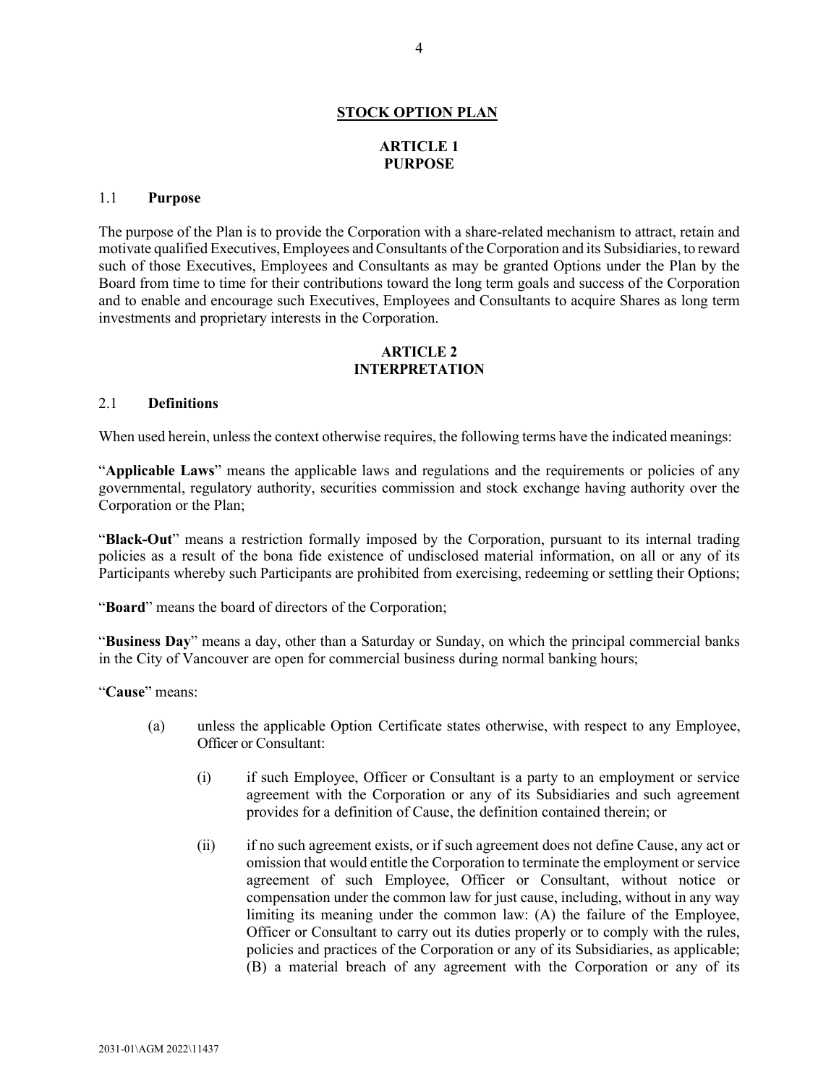# **STOCK OPTION PLAN**

# **ARTICLE 1 PURPOSE**

### <span id="page-38-2"></span><span id="page-38-1"></span><span id="page-38-0"></span>1.1 **Purpose**

The purpose of the Plan is to provide the Corporation with a share-related mechanism to attract, retain and motivate qualified Executives, Employees and Consultants of the Corporation and its Subsidiaries, to reward such of those Executives, Employees and Consultants as may be granted Options under the Plan by the Board from time to time for their contributions toward the long term goals and success of the Corporation and to enable and encourage such Executives, Employees and Consultants to acquire Shares as long term investments and proprietary interests in the Corporation.

# **ARTICLE 2 INTERPRETATION**

### <span id="page-38-4"></span><span id="page-38-3"></span>2.1 **Definitions**

When used herein, unless the context otherwise requires, the following terms have the indicated meanings:

"**Applicable Laws**" means the applicable laws and regulations and the requirements or policies of any governmental, regulatory authority, securities commission and stock exchange having authority over the Corporation or the Plan;

"**Black-Out**" means a restriction formally imposed by the Corporation, pursuant to its internal trading policies as a result of the bona fide existence of undisclosed material information, on all or any of its Participants whereby such Participants are prohibited from exercising, redeeming or settling their Options;

"**Board**" means the board of directors of the Corporation;

"**Business Day**" means a day, other than a Saturday or Sunday, on which the principal commercial banks in the City of Vancouver are open for commercial business during normal banking hours;

"**Cause**" means:

- (a) unless the applicable Option Certificate states otherwise, with respect to any Employee, Officer or Consultant:
	- (i) if such Employee, Officer or Consultant is a party to an employment or service agreement with the Corporation or any of its Subsidiaries and such agreement provides for a definition of Cause, the definition contained therein; or
	- (ii) if no such agreement exists, or if such agreement does not define Cause, any act or omission that would entitle the Corporation to terminate the employment or service agreement of such Employee, Officer or Consultant, without notice or compensation under the common law for just cause, including, without in any way limiting its meaning under the common law: (A) the failure of the Employee, Officer or Consultant to carry out its duties properly or to comply with the rules, policies and practices of the Corporation or any of its Subsidiaries, as applicable; (B) a material breach of any agreement with the Corporation or any of its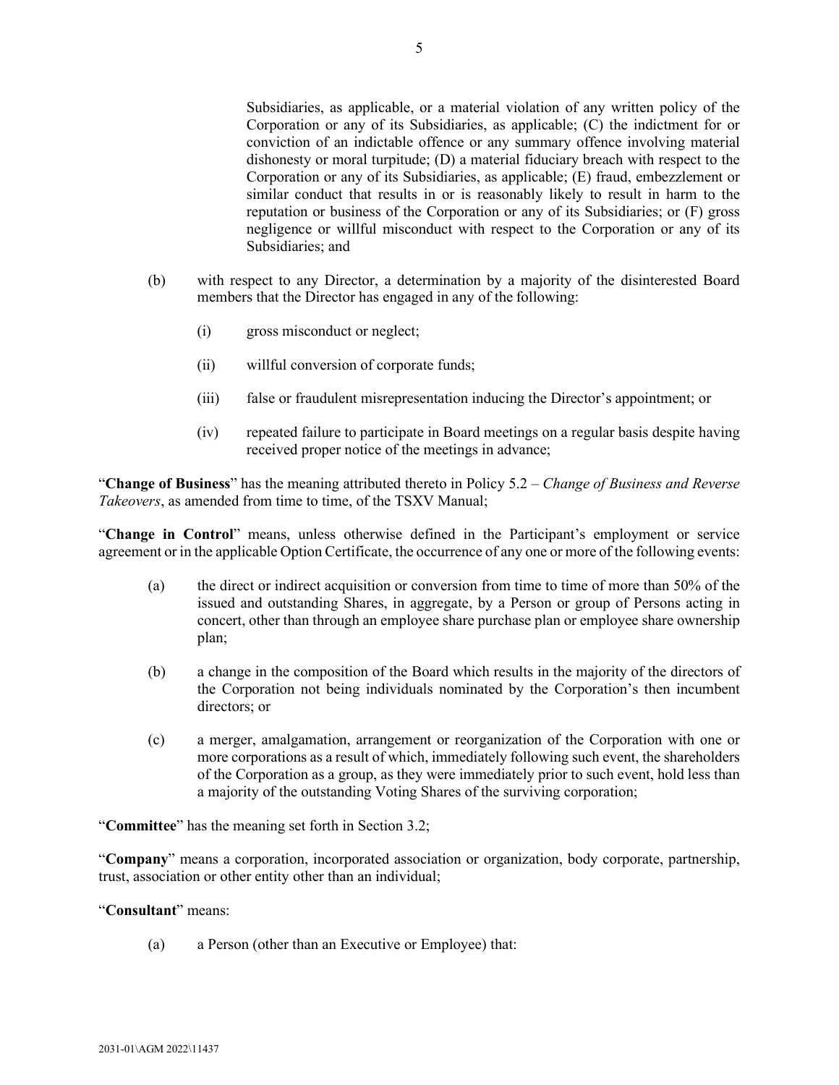Subsidiaries, as applicable, or a material violation of any written policy of the Corporation or any of its Subsidiaries, as applicable; (C) the indictment for or conviction of an indictable offence or any summary offence involving material dishonesty or moral turpitude; (D) a material fiduciary breach with respect to the Corporation or any of its Subsidiaries, as applicable; (E) fraud, embezzlement or similar conduct that results in or is reasonably likely to result in harm to the reputation or business of the Corporation or any of its Subsidiaries; or (F) gross negligence or willful misconduct with respect to the Corporation or any of its Subsidiaries; and

- (b) with respect to any Director, a determination by a majority of the disinterested Board members that the Director has engaged in any of the following:
	- (i) gross misconduct or neglect;
	- (ii) willful conversion of corporate funds;
	- (iii) false or fraudulent misrepresentation inducing the Director's appointment; or
	- (iv) repeated failure to participate in Board meetings on a regular basis despite having received proper notice of the meetings in advance;

"**Change of Business**" has the meaning attributed thereto in Policy 5.2 – *Change of Business and Reverse Takeovers*, as amended from time to time, of the TSXV Manual;

"**Change in Control**" means, unless otherwise defined in the Participant's employment or service agreement or in the applicable Option Certificate, the occurrence of any one or more of the following events:

- (a) the direct or indirect acquisition or conversion from time to time of more than 50% of the issued and outstanding Shares, in aggregate, by a Person or group of Persons acting in concert, other than through an employee share purchase plan or employee share ownership plan;
- (b) a change in the composition of the Board which results in the majority of the directors of the Corporation not being individuals nominated by the Corporation's then incumbent directors; or
- (c) a merger, amalgamation, arrangement or reorganization of the Corporation with one or more corporations as a result of which, immediately following such event, the shareholders of the Corporation as a group, as they were immediately prior to such event, hold less than a majority of the outstanding Voting Shares of the surviving corporation;

"**Committee**" has the meaning set forth in Section [3.2;](#page-46-0)

"**Company**" means a corporation, incorporated association or organization, body corporate, partnership, trust, association or other entity other than an individual;

# "**Consultant**" means:

(a) a Person (other than an Executive or Employee) that: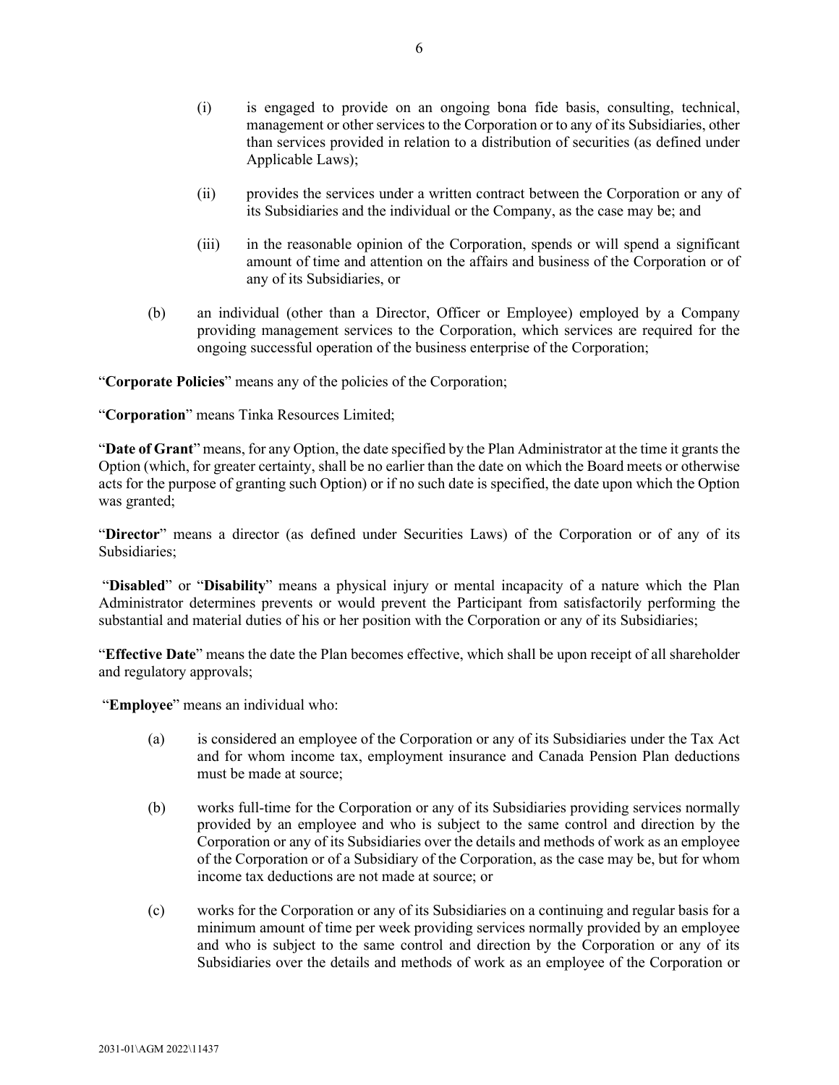- (i) is engaged to provide on an ongoing bona fide basis, consulting, technical, management or other services to the Corporation or to any of its Subsidiaries, other than services provided in relation to a distribution of securities (as defined under Applicable Laws);
- (ii) provides the services under a written contract between the Corporation or any of its Subsidiaries and the individual or the Company, as the case may be; and
- (iii) in the reasonable opinion of the Corporation, spends or will spend a significant amount of time and attention on the affairs and business of the Corporation or of any of its Subsidiaries, or
- (b) an individual (other than a Director, Officer or Employee) employed by a Company providing management services to the Corporation, which services are required for the ongoing successful operation of the business enterprise of the Corporation;

"**Corporate Policies**" means any of the policies of the Corporation;

"**Corporation**" means Tinka Resources Limited;

"**Date of Grant**" means, for any Option, the date specified by the Plan Administrator at the time it grants the Option (which, for greater certainty, shall be no earlier than the date on which the Board meets or otherwise acts for the purpose of granting such Option) or if no such date is specified, the date upon which the Option was granted;

"**Director**" means a director (as defined under Securities Laws) of the Corporation or of any of its Subsidiaries;

"**Disabled**" or "**Disability**" means a physical injury or mental incapacity of a nature which the Plan Administrator determines prevents or would prevent the Participant from satisfactorily performing the substantial and material duties of his or her position with the Corporation or any of its Subsidiaries;

"**Effective Date**" means the date the Plan becomes effective, which shall be upon receipt of all shareholder and regulatory approvals;

"**Employee**" means an individual who:

- (a) is considered an employee of the Corporation or any of its Subsidiaries under the Tax Act and for whom income tax, employment insurance and Canada Pension Plan deductions must be made at source;
- (b) works full-time for the Corporation or any of its Subsidiaries providing services normally provided by an employee and who is subject to the same control and direction by the Corporation or any of its Subsidiaries over the details and methods of work as an employee of the Corporation or of a Subsidiary of the Corporation, as the case may be, but for whom income tax deductions are not made at source; or
- (c) works for the Corporation or any of its Subsidiaries on a continuing and regular basis for a minimum amount of time per week providing services normally provided by an employee and who is subject to the same control and direction by the Corporation or any of its Subsidiaries over the details and methods of work as an employee of the Corporation or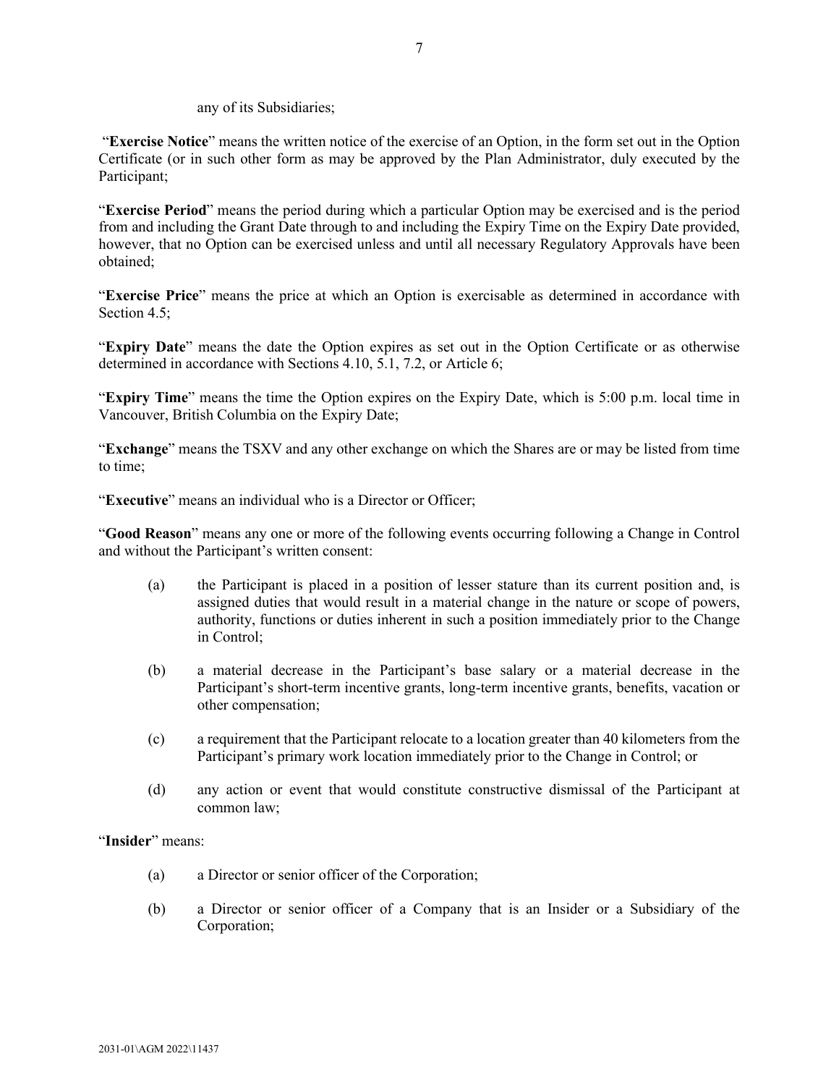any of its Subsidiaries;

"**Exercise Notice**" means the written notice of the exercise of an Option, in the form set out in the Option Certificate (or in such other form as may be approved by the Plan Administrator, duly executed by the Participant;

"**Exercise Period**" means the period during which a particular Option may be exercised and is the period from and including the Grant Date through to and including the Expiry Time on the Expiry Date provided, however, that no Option can be exercised unless and until all necessary Regulatory Approvals have been obtained;

"**Exercise Price**" means the price at which an Option is exercisable as determined in accordance with Section 4.5:

"**Expiry Date**" means the date the Option expires as set out in the Option Certificate or as otherwise determined in accordance with Sections [4.10,](#page-52-1) [5.1,](#page-52-3) [7.2,](#page-56-0) or Articl[e 6;](#page-53-2)

"**Expiry Time**" means the time the Option expires on the Expiry Date, which is 5:00 p.m. local time in Vancouver, British Columbia on the Expiry Date;

"**Exchange**" means the TSXV and any other exchange on which the Shares are or may be listed from time to time;

"**Executive**" means an individual who is a Director or Officer;

"**Good Reason**" means any one or more of the following events occurring following a Change in Control and without the Participant's written consent:

- (a) the Participant is placed in a position of lesser stature than its current position and, is assigned duties that would result in a material change in the nature or scope of powers, authority, functions or duties inherent in such a position immediately prior to the Change in Control;
- (b) a material decrease in the Participant's base salary or a material decrease in the Participant's short-term incentive grants, long-term incentive grants, benefits, vacation or other compensation;
- (c) a requirement that the Participant relocate to a location greater than 40 kilometers from the Participant's primary work location immediately prior to the Change in Control; or
- (d) any action or event that would constitute constructive dismissal of the Participant at common law;

"**Insider**" means:

- (a) a Director or senior officer of the Corporation;
- (b) a Director or senior officer of a Company that is an Insider or a Subsidiary of the Corporation;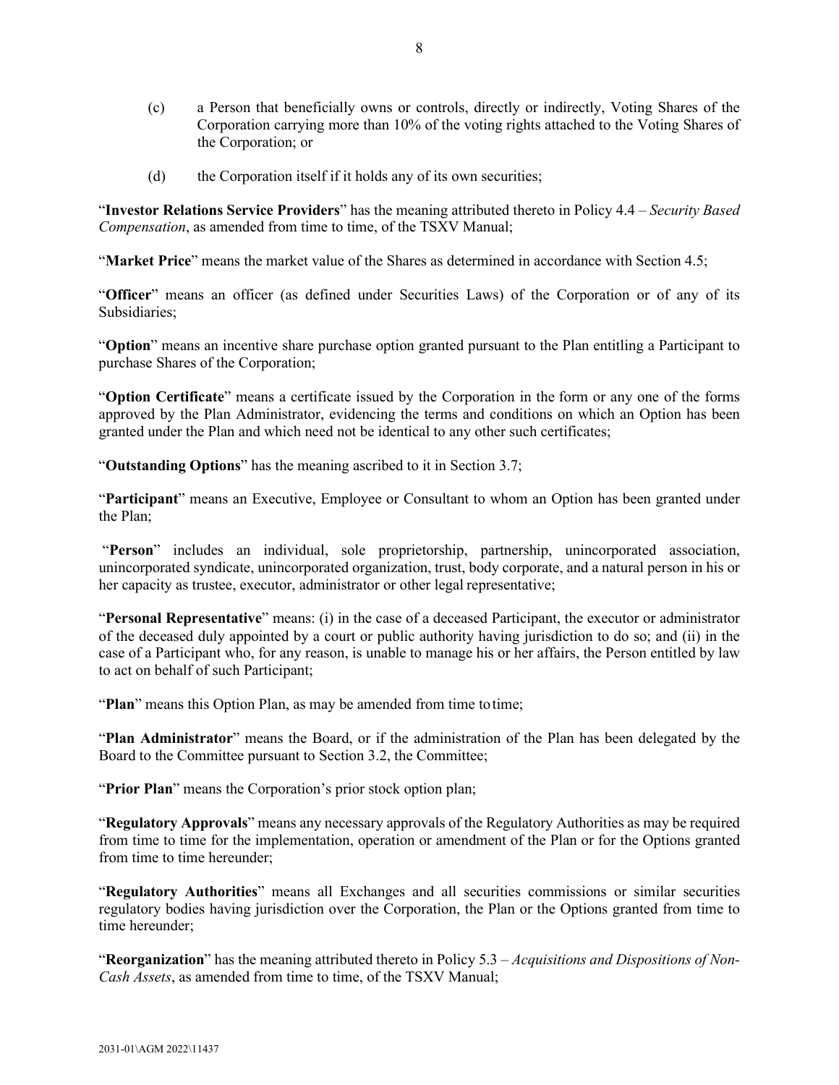- (c) a Person that beneficially owns or controls, directly or indirectly, Voting Shares of the Corporation carrying more than 10% of the voting rights attached to the Voting Shares of the Corporation; or
- (d) the Corporation itself if it holds any of its own securities;

"**Investor Relations Service Providers**" has the meaning attributed thereto in Policy 4.4 – *Security Based Compensation*, as amended from time to time, of the TSXV Manual;

"**Market Price**" means the market value of the Shares as determined in accordance with Section [4.5;](#page-50-3)

"**Officer**" means an officer (as defined under Securities Laws) of the Corporation or of any of its Subsidiaries;

"**Option**" means an incentive share purchase option granted pursuant to the Plan entitling a Participant to purchase Shares of the Corporation;

"**Option Certificate**" means a certificate issued by the Corporation in the form or any one of the forms approved by the Plan Administrator, evidencing the terms and conditions on which an Option has been granted under the Plan and which need not be identical to any other such certificates;

"**Outstanding Options**" has the meaning ascribed to it in Section [3.7;](#page-48-0)

"**Participant**" means an Executive, Employee or Consultant to whom an Option has been granted under the Plan;

"**Person**" includes an individual, sole proprietorship, partnership, unincorporated association, unincorporated syndicate, unincorporated organization, trust, body corporate, and a natural person in his or her capacity as trustee, executor, administrator or other legal representative;

"**Personal Representative**" means: (i) in the case of a deceased Participant, the executor or administrator of the deceased duly appointed by a court or public authority having jurisdiction to do so; and (ii) in the case of a Participant who, for any reason, is unable to manage his or her affairs, the Person entitled by law to act on behalf of such Participant;

"**Plan**" means this Option Plan, as may be amended from time to time;

"**Plan Administrator**" means the Board, or if the administration of the Plan has been delegated by the Board to the Committee pursuant to Section [3.2,](#page-46-0) the Committee;

"**Prior Plan**" means the Corporation's prior stock option plan;

"**Regulatory Approvals**" means any necessary approvals of the Regulatory Authorities as may be required from time to time for the implementation, operation or amendment of the Plan or for the Options granted from time to time hereunder;

"**Regulatory Authorities**" means all Exchanges and all securities commissions or similar securities regulatory bodies having jurisdiction over the Corporation, the Plan or the Options granted from time to time hereunder;

"**Reorganization**" has the meaning attributed thereto in Policy 5.3 – *Acquisitions and Dispositions of Non-Cash Assets*, as amended from time to time, of the TSXV Manual;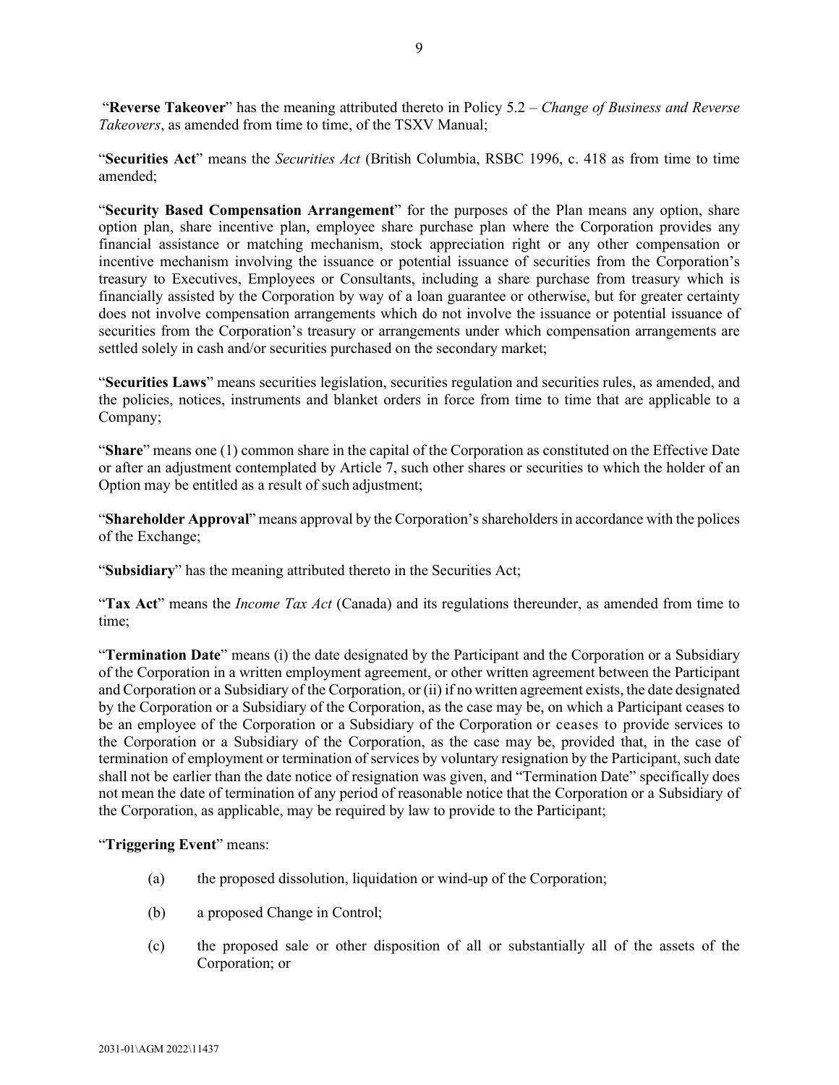"**Reverse Takeover**" has the meaning attributed thereto in Policy 5.2 – *Change of Business and Reverse Takeovers*, as amended from time to time, of the TSXV Manual;

"**Securities Act**" means the *Securities Act* (British Columbia, RSBC 1996, c. 418 as from time to time amended;

"**Security Based Compensation Arrangement**" for the purposes of the Plan means any option, share option plan, share incentive plan, employee share purchase plan where the Corporation provides any financial assistance or matching mechanism, stock appreciation right or any other compensation or incentive mechanism involving the issuance or potential issuance of securities from the Corporation's treasury to Executives, Employees or Consultants, including a share purchase from treasury which is financially assisted by the Corporation by way of a loan guarantee or otherwise, but for greater certainty does not involve compensation arrangements which do not involve the issuance or potential issuance of securities from the Corporation's treasury or arrangements under which compensation arrangements are settled solely in cash and/or securities purchased on the secondary market;

"**Securities Laws**" means securities legislation, securities regulation and securities rules, as amended, and the policies, notices, instruments and blanket orders in force from time to time that are applicable to a Company;

"**Share**" means one (1) common share in the capital of the Corporation as constituted on the Effective Date or after an adjustment contemplated by [Article 7,](#page-55-3) such other shares or securities to which the holder of an Option may be entitled as a result of such adjustment;

"**Shareholder Approval**" means approval by the Corporation's shareholdersin accordance with the polices of the Exchange;

"**Subsidiary**" has the meaning attributed thereto in the Securities Act;

"**Tax Act**" means the *Income Tax Act* (Canada) and its regulations thereunder, as amended from time to time;

"**Termination Date**" means (i) the date designated by the Participant and the Corporation or a Subsidiary of the Corporation in a written employment agreement, or other written agreement between the Participant and Corporation or a Subsidiary of the Corporation, or (ii) if no written agreement exists, the date designated by the Corporation or a Subsidiary of the Corporation, as the case may be, on which a Participant ceases to be an employee of the Corporation or a Subsidiary of the Corporation or ceases to provide services to the Corporation or a Subsidiary of the Corporation, as the case may be, provided that, in the case of termination of employment or termination of services by voluntary resignation by the Participant, such date shall not be earlier than the date notice of resignation was given, and "Termination Date" specifically does not mean the date of termination of any period of reasonable notice that the Corporation or a Subsidiary of the Corporation, as applicable, may be required by law to provide to the Participant;

"**Triggering Event**" means:

- (a) the proposed dissolution, liquidation or wind-up of the Corporation;
- (b) a proposed Change in Control;
- (c) the proposed sale or other disposition of all or substantially all of the assets of the Corporation; or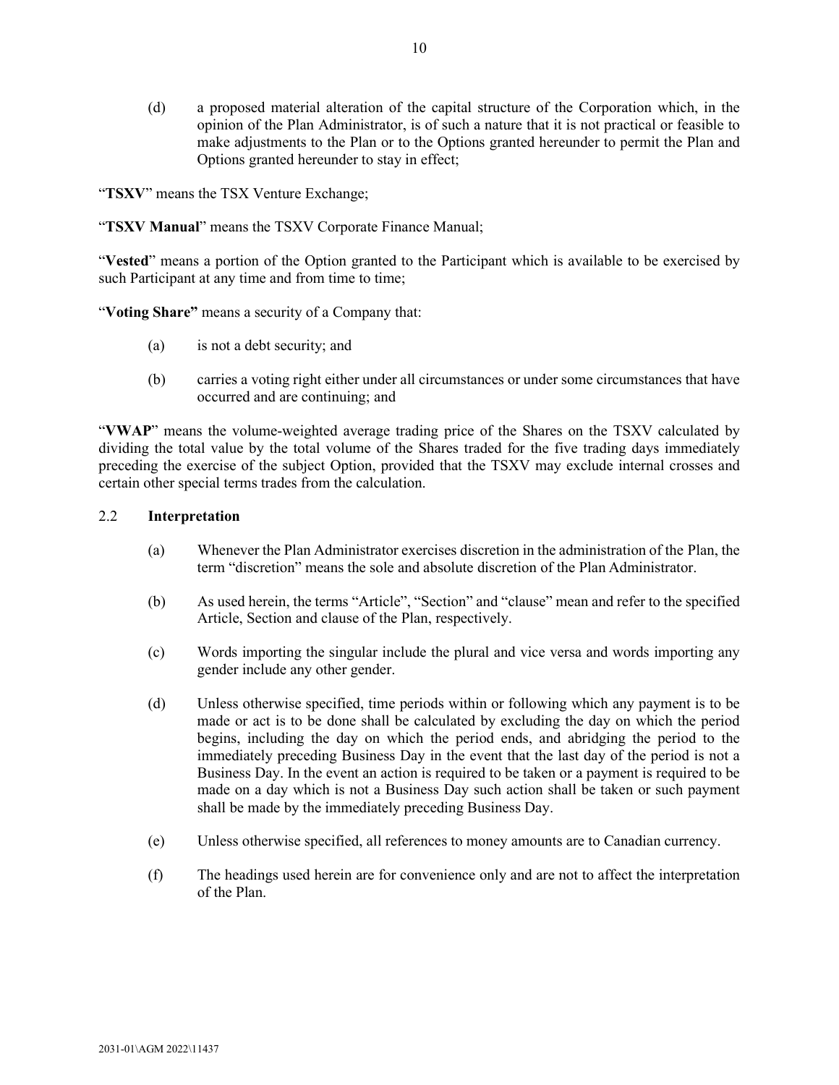(d) a proposed material alteration of the capital structure of the Corporation which, in the opinion of the Plan Administrator, is of such a nature that it is not practical or feasible to make adjustments to the Plan or to the Options granted hereunder to permit the Plan and Options granted hereunder to stay in effect;

"**TSXV**" means the TSX Venture Exchange;

"**TSXV Manual**" means the TSXV Corporate Finance Manual;

"**Vested**" means a portion of the Option granted to the Participant which is available to be exercised by such Participant at any time and from time to time;

"**Voting Share"** means a security of a Company that:

- (a) is not a debt security; and
- (b) carries a voting right either under all circumstances or under some circumstances that have occurred and are continuing; and

"**VWAP**" means the volume-weighted average trading price of the Shares on the TSXV calculated by dividing the total value by the total volume of the Shares traded for the five trading days immediately preceding the exercise of the subject Option, provided that the TSXV may exclude internal crosses and certain other special terms trades from the calculation.

# <span id="page-44-0"></span>2.2 **Interpretation**

- (a) Whenever the Plan Administrator exercises discretion in the administration of the Plan, the term "discretion" means the sole and absolute discretion of the Plan Administrator.
- (b) As used herein, the terms "Article", "Section" and "clause" mean and refer to the specified Article, Section and clause of the Plan, respectively.
- (c) Words importing the singular include the plural and vice versa and words importing any gender include any other gender.
- (d) Unless otherwise specified, time periods within or following which any payment is to be made or act is to be done shall be calculated by excluding the day on which the period begins, including the day on which the period ends, and abridging the period to the immediately preceding Business Day in the event that the last day of the period is not a Business Day. In the event an action is required to be taken or a payment is required to be made on a day which is not a Business Day such action shall be taken or such payment shall be made by the immediately preceding Business Day.
- (e) Unless otherwise specified, all references to money amounts are to Canadian currency.
- (f) The headings used herein are for convenience only and are not to affect the interpretation of the Plan.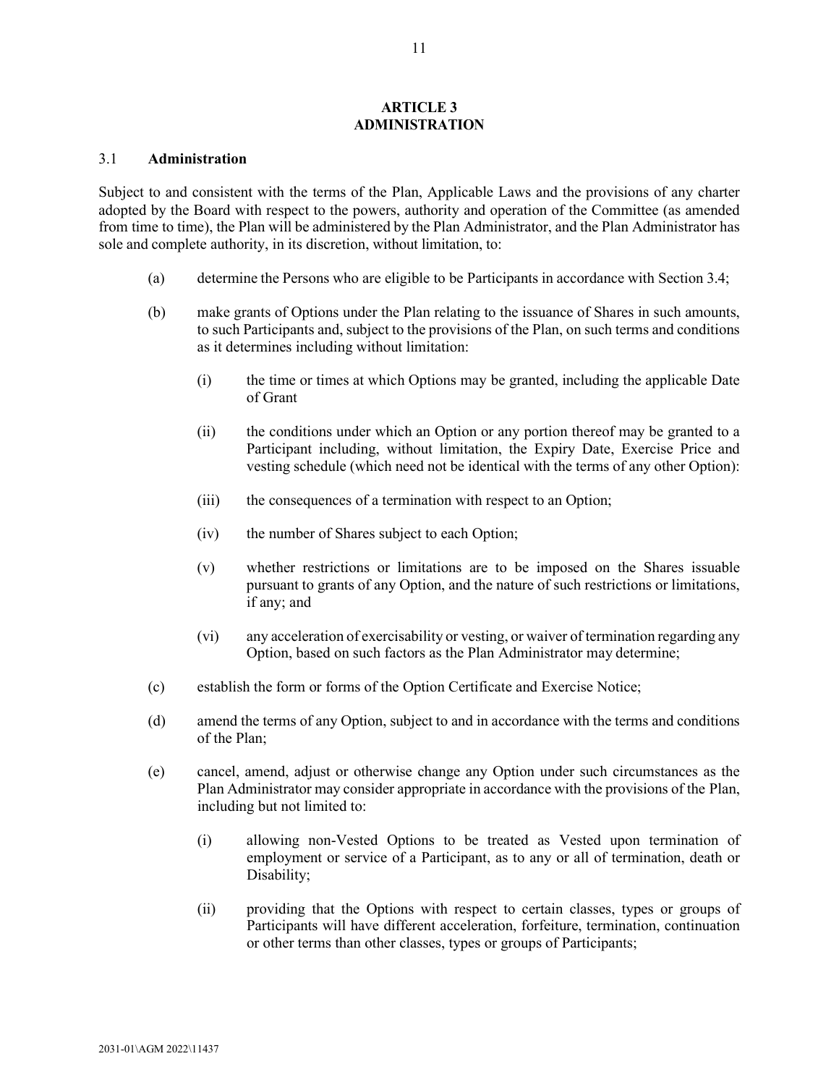#### **ARTICLE 3 ADMINISTRATION**

### <span id="page-45-1"></span><span id="page-45-0"></span>3.1 **Administration**

Subject to and consistent with the terms of the Plan, Applicable Laws and the provisions of any charter adopted by the Board with respect to the powers, authority and operation of the Committee (as amended from time to time), the Plan will be administered by the Plan Administrator, and the Plan Administrator has sole and complete authority, in its discretion, without limitation, to:

- (a) determine the Persons who are eligible to be Participants in accordance with Section [3.4;](#page-47-1)
- (b) make grants of Options under the Plan relating to the issuance of Shares in such amounts, to such Participants and, subject to the provisions of the Plan, on such terms and conditions as it determines including without limitation:
	- (i) the time or times at which Options may be granted, including the applicable Date of Grant
	- (ii) the conditions under which an Option or any portion thereof may be granted to a Participant including, without limitation, the Expiry Date, Exercise Price and vesting schedule (which need not be identical with the terms of any other Option):
	- (iii) the consequences of a termination with respect to an Option;
	- (iv) the number of Shares subject to each Option;
	- (v) whether restrictions or limitations are to be imposed on the Shares issuable pursuant to grants of any Option, and the nature of such restrictions or limitations, if any; and
	- (vi) any acceleration of exercisability or vesting, or waiver of termination regarding any Option, based on such factors as the Plan Administrator may determine;
- (c) establish the form or forms of the Option Certificate and Exercise Notice;
- (d) amend the terms of any Option, subject to and in accordance with the terms and conditions of the Plan;
- (e) cancel, amend, adjust or otherwise change any Option under such circumstances as the Plan Administrator may consider appropriate in accordance with the provisions of the Plan, including but not limited to:
	- (i) allowing non-Vested Options to be treated as Vested upon termination of employment or service of a Participant, as to any or all of termination, death or Disability;
	- (ii) providing that the Options with respect to certain classes, types or groups of Participants will have different acceleration, forfeiture, termination, continuation or other terms than other classes, types or groups of Participants;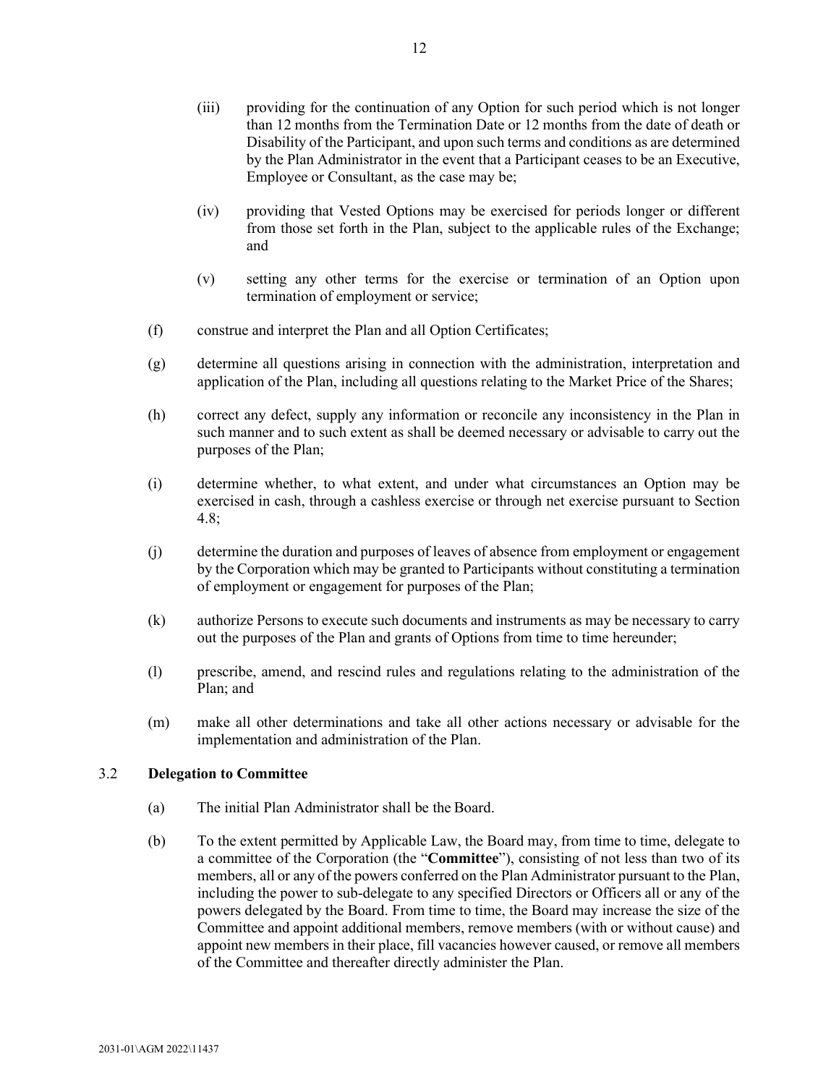- (iii) providing for the continuation of any Option for such period which is not longer than 12 months from the Termination Date or 12 months from the date of death or Disability of the Participant, and upon such terms and conditions as are determined by the Plan Administrator in the event that a Participant ceases to be an Executive, Employee or Consultant, as the case may be;
- (iv) providing that Vested Options may be exercised for periods longer or different from those set forth in the Plan, subject to the applicable rules of the Exchange; and
- (v) setting any other terms for the exercise or termination of an Option upon termination of employment or service;
- (f) construe and interpret the Plan and all Option Certificates;
- (g) determine all questions arising in connection with the administration, interpretation and application of the Plan, including all questions relating to the Market Price of the Shares;
- (h) correct any defect, supply any information or reconcile any inconsistency in the Plan in such manner and to such extent as shall be deemed necessary or advisable to carry out the purposes of the Plan;
- (i) determine whether, to what extent, and under what circumstances an Option may be exercised in cash, through a cashless exercise or through net exercise pursuant to Section [4.8;](#page-51-2)
- (j) determine the duration and purposes of leaves of absence from employment or engagement by the Corporation which may be granted to Participants without constituting a termination of employment or engagement for purposes of the Plan;
- (k) authorize Persons to execute such documents and instruments as may be necessary to carry out the purposes of the Plan and grants of Options from time to time hereunder;
- (l) prescribe, amend, and rescind rules and regulations relating to the administration of the Plan; and
- (m) make all other determinations and take all other actions necessary or advisable for the implementation and administration of the Plan.

### <span id="page-46-0"></span>3.2 **Delegation to Committee**

- (a) The initial Plan Administrator shall be the Board.
- (b) To the extent permitted by Applicable Law, the Board may, from time to time, delegate to a committee of the Corporation (the "**Committee**"), consisting of not less than two of its members, all or any of the powers conferred on the Plan Administrator pursuant to the Plan, including the power to sub-delegate to any specified Directors or Officers all or any of the powers delegated by the Board. From time to time, the Board may increase the size of the Committee and appoint additional members, remove members (with or without cause) and appoint new members in their place, fill vacancies however caused, or remove all members of the Committee and thereafter directly administer the Plan.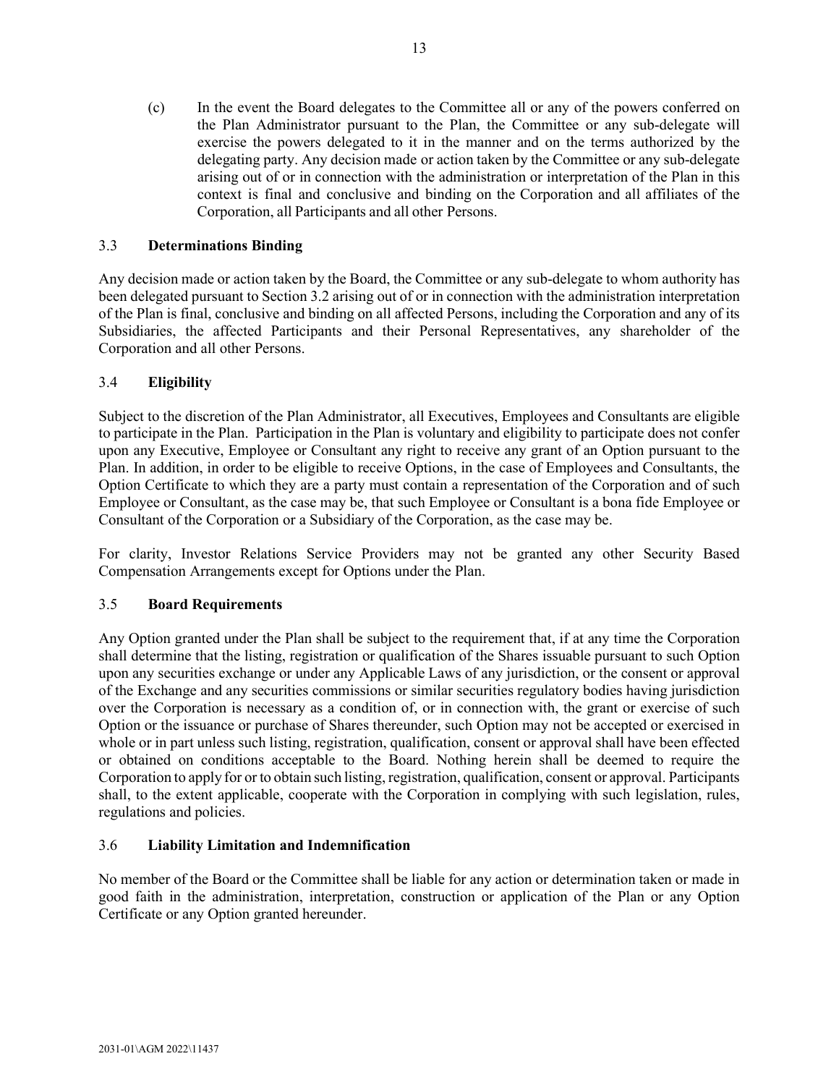(c) In the event the Board delegates to the Committee all or any of the powers conferred on the Plan Administrator pursuant to the Plan, the Committee or any sub-delegate will exercise the powers delegated to it in the manner and on the terms authorized by the delegating party. Any decision made or action taken by the Committee or any sub-delegate arising out of or in connection with the administration or interpretation of the Plan in this context is final and conclusive and binding on the Corporation and all affiliates of the Corporation, all Participants and all other Persons.

# <span id="page-47-0"></span>3.3 **Determinations Binding**

Any decision made or action taken by the Board, the Committee or any sub-delegate to whom authority has been delegated pursuant to Sectio[n 3.2](#page-46-0) arising out of or in connection with the administration interpretation of the Plan is final, conclusive and binding on all affected Persons, including the Corporation and any of its Subsidiaries, the affected Participants and their Personal Representatives, any shareholder of the Corporation and all other Persons.

# <span id="page-47-1"></span>3.4 **Eligibility**

Subject to the discretion of the Plan Administrator, all Executives, Employees and Consultants are eligible to participate in the Plan. Participation in the Plan is voluntary and eligibility to participate does not confer upon any Executive, Employee or Consultant any right to receive any grant of an Option pursuant to the Plan. In addition, in order to be eligible to receive Options, in the case of Employees and Consultants, the Option Certificate to which they are a party must contain a representation of the Corporation and of such Employee or Consultant, as the case may be, that such Employee or Consultant is a bona fide Employee or Consultant of the Corporation or a Subsidiary of the Corporation, as the case may be.

For clarity, Investor Relations Service Providers may not be granted any other Security Based Compensation Arrangements except for Options under the Plan.

# <span id="page-47-2"></span>3.5 **Board Requirements**

Any Option granted under the Plan shall be subject to the requirement that, if at any time the Corporation shall determine that the listing, registration or qualification of the Shares issuable pursuant to such Option upon any securities exchange or under any Applicable Laws of any jurisdiction, or the consent or approval of the Exchange and any securities commissions or similar securities regulatory bodies having jurisdiction over the Corporation is necessary as a condition of, or in connection with, the grant or exercise of such Option or the issuance or purchase of Shares thereunder, such Option may not be accepted or exercised in whole or in part unless such listing, registration, qualification, consent or approval shall have been effected or obtained on conditions acceptable to the Board. Nothing herein shall be deemed to require the Corporation to apply for or to obtain such listing, registration, qualification, consent or approval. Participants shall, to the extent applicable, cooperate with the Corporation in complying with such legislation, rules, regulations and policies.

# <span id="page-47-3"></span>3.6 **Liability Limitation and Indemnification**

No member of the Board or the Committee shall be liable for any action or determination taken or made in good faith in the administration, interpretation, construction or application of the Plan or any Option Certificate or any Option granted hereunder.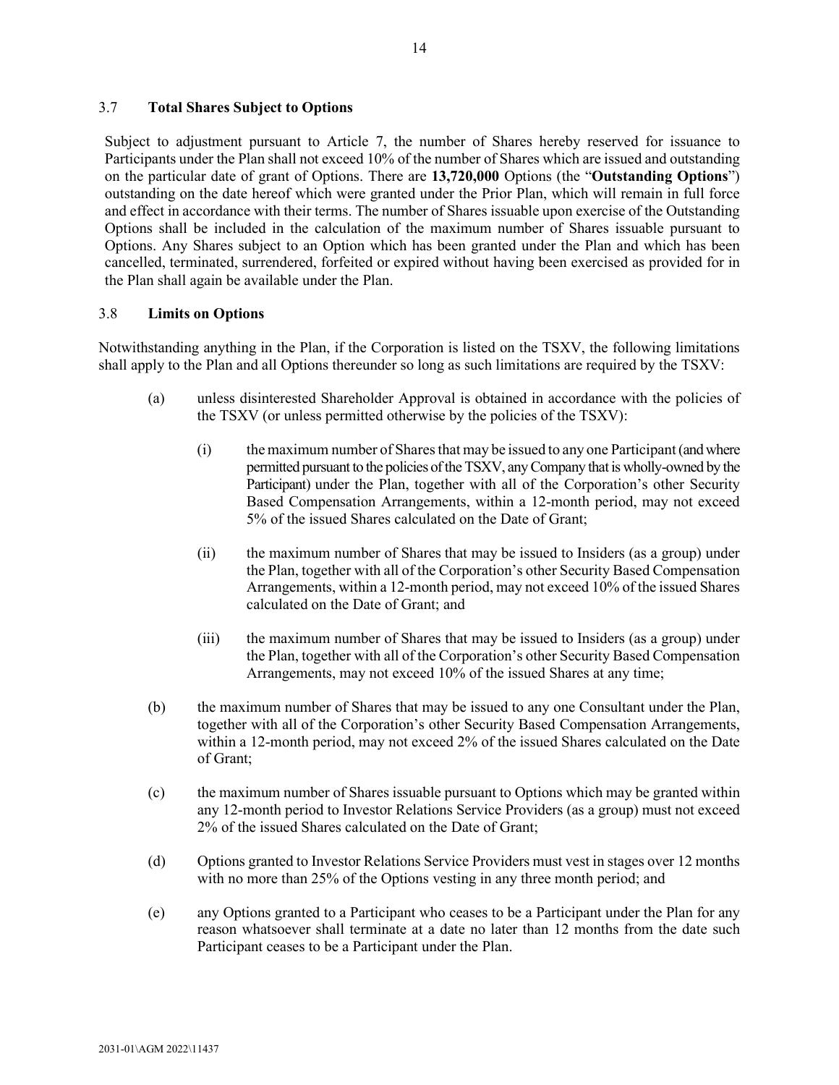# <span id="page-48-0"></span>3.7 **Total Shares Subject to Options**

Subject to adjustment pursuant to [Article 7,](#page-55-3) the number of Shares hereby reserved for issuance to Participants under the Plan shall not exceed 10% of the number of Shares which are issued and outstanding on the particular date of grant of Options. There are **13,720,000** Options (the "**Outstanding Options**") outstanding on the date hereof which were granted under the Prior Plan, which will remain in full force and effect in accordance with their terms. The number of Shares issuable upon exercise of the Outstanding Options shall be included in the calculation of the maximum number of Shares issuable pursuant to Options. Any Shares subject to an Option which has been granted under the Plan and which has been cancelled, terminated, surrendered, forfeited or expired without having been exercised as provided for in the Plan shall again be available under the Plan.

# <span id="page-48-1"></span>3.8 **Limits on Options**

Notwithstanding anything in the Plan, if the Corporation is listed on the TSXV, the following limitations shall apply to the Plan and all Options thereunder so long as such limitations are required by the TSXV:

- (a) unless disinterested Shareholder Approval is obtained in accordance with the policies of the TSXV (or unless permitted otherwise by the policies of the TSXV):
	- (i) themaximum number of Sharesthat may be issued to any one Participant(and where permitted pursuant to the policies of the TSXV, any Company that is wholly-owned by the Participant) under the Plan, together with all of the Corporation's other Security Based Compensation Arrangements, within a 12-month period, may not exceed 5% of the issued Shares calculated on the Date of Grant;
	- (ii) the maximum number of Shares that may be issued to Insiders (as a group) under the Plan, together with all of the Corporation's other Security Based Compensation Arrangements, within a 12-month period, may not exceed 10% of the issued Shares calculated on the Date of Grant; and
	- (iii) the maximum number of Shares that may be issued to Insiders (as a group) under the Plan, together with all of the Corporation's other Security Based Compensation Arrangements, may not exceed 10% of the issued Shares at any time;
- (b) the maximum number of Shares that may be issued to any one Consultant under the Plan, together with all of the Corporation's other Security Based Compensation Arrangements, within a 12-month period, may not exceed 2% of the issued Shares calculated on the Date of Grant;
- (c) the maximum number of Shares issuable pursuant to Options which may be granted within any 12-month period to Investor Relations Service Providers (as a group) must not exceed 2% of the issued Shares calculated on the Date of Grant;
- <span id="page-48-2"></span>(d) Options granted to Investor Relations Service Providers must vest in stages over 12 months with no more than 25% of the Options vesting in any three month period; and
- (e) any Options granted to a Participant who ceases to be a Participant under the Plan for any reason whatsoever shall terminate at a date no later than 12 months from the date such Participant ceases to be a Participant under the Plan.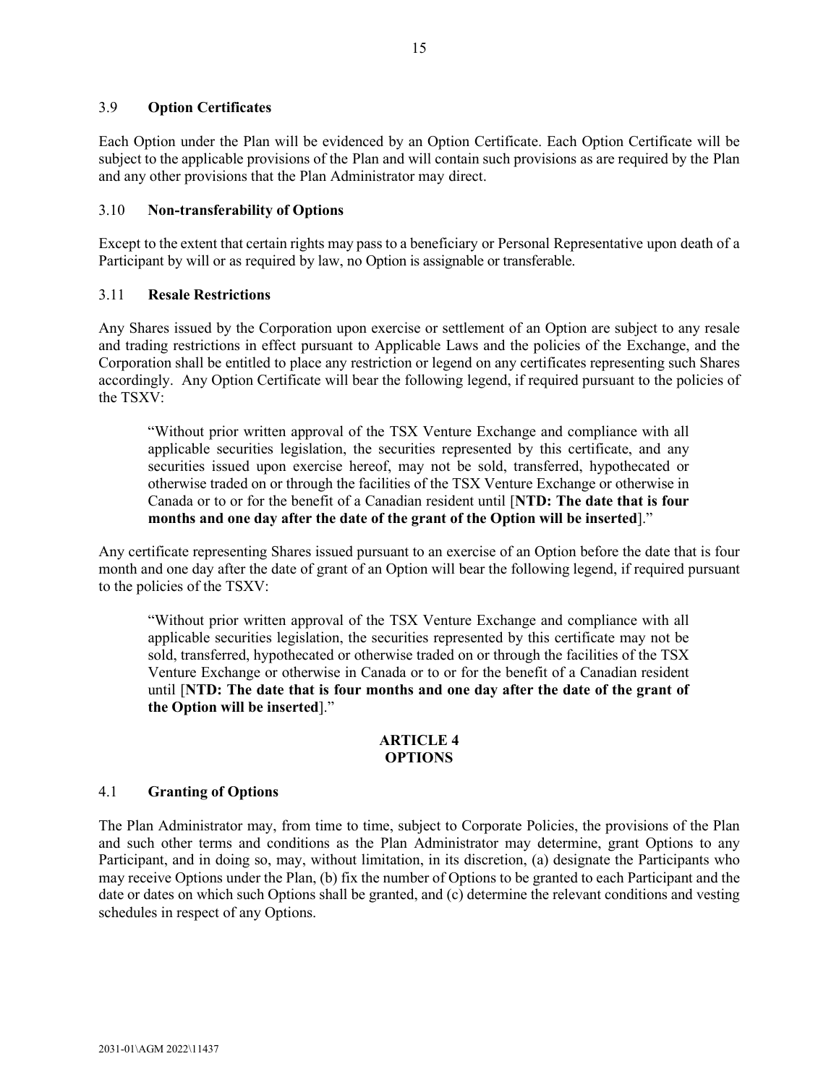# <span id="page-49-0"></span>3.9 **Option Certificates**

Each Option under the Plan will be evidenced by an Option Certificate. Each Option Certificate will be subject to the applicable provisions of the Plan and will contain such provisions as are required by the Plan and any other provisions that the Plan Administrator may direct.

# <span id="page-49-1"></span>3.10 **Non-transferability of Options**

Except to the extent that certain rights may pass to a beneficiary or Personal Representative upon death of a Participant by will or as required by law, no Option is assignable or transferable.

# <span id="page-49-2"></span>3.11 **Resale Restrictions**

Any Shares issued by the Corporation upon exercise or settlement of an Option are subject to any resale and trading restrictions in effect pursuant to Applicable Laws and the policies of the Exchange, and the Corporation shall be entitled to place any restriction or legend on any certificates representing such Shares accordingly. Any Option Certificate will bear the following legend, if required pursuant to the policies of the TSXV:

"Without prior written approval of the TSX Venture Exchange and compliance with all applicable securities legislation, the securities represented by this certificate, and any securities issued upon exercise hereof, may not be sold, transferred, hypothecated or otherwise traded on or through the facilities of the TSX Venture Exchange or otherwise in Canada or to or for the benefit of a Canadian resident until [**NTD: The date that is four months and one day after the date of the grant of the Option will be inserted**]."

Any certificate representing Shares issued pursuant to an exercise of an Option before the date that is four month and one day after the date of grant of an Option will bear the following legend, if required pursuant to the policies of the TSXV:

"Without prior written approval of the TSX Venture Exchange and compliance with all applicable securities legislation, the securities represented by this certificate may not be sold, transferred, hypothecated or otherwise traded on or through the facilities of the TSX Venture Exchange or otherwise in Canada or to or for the benefit of a Canadian resident until [**NTD: The date that is four months and one day after the date of the grant of the Option will be inserted**]."

# **ARTICLE 4 OPTIONS**

### <span id="page-49-4"></span><span id="page-49-3"></span>4.1 **Granting of Options**

The Plan Administrator may, from time to time, subject to Corporate Policies, the provisions of the Plan and such other terms and conditions as the Plan Administrator may determine, grant Options to any Participant, and in doing so, may, without limitation, in its discretion, (a) designate the Participants who may receive Options under the Plan, (b) fix the number of Options to be granted to each Participant and the date or dates on which such Options shall be granted, and (c) determine the relevant conditions and vesting schedules in respect of any Options.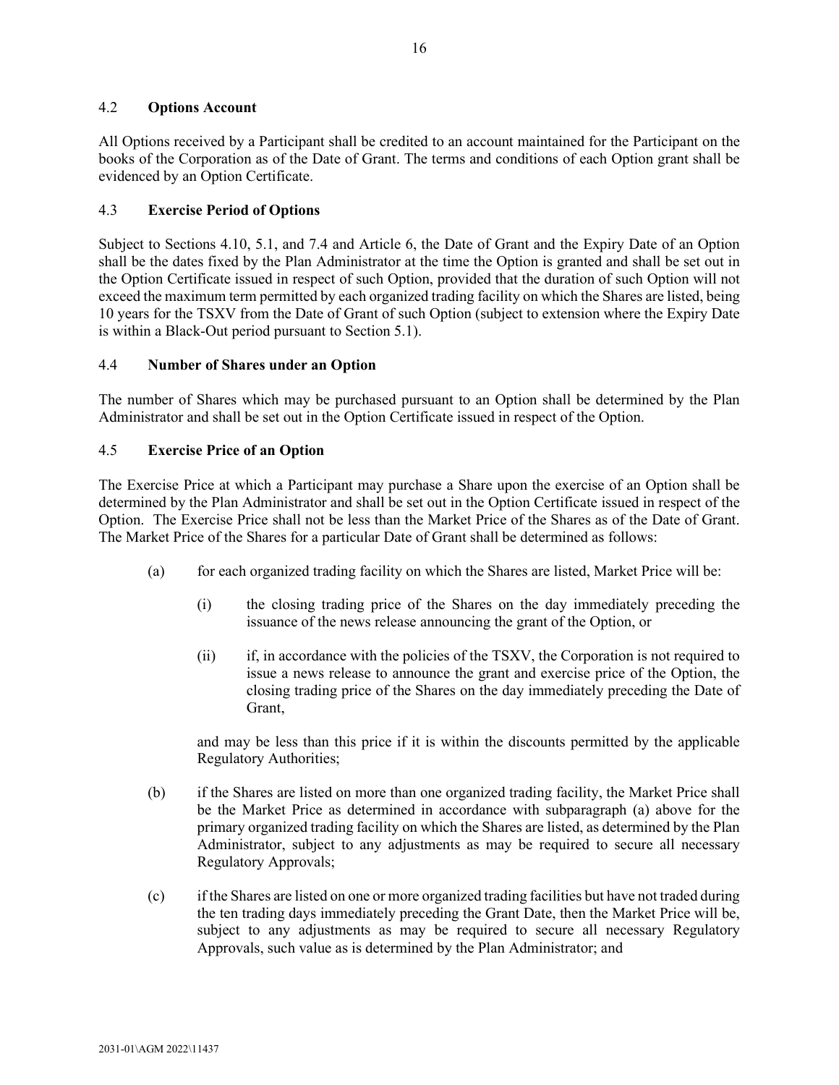# <span id="page-50-0"></span>4.2 **Options Account**

All Options received by a Participant shall be credited to an account maintained for the Participant on the books of the Corporation as of the Date of Grant. The terms and conditions of each Option grant shall be evidenced by an Option Certificate.

# <span id="page-50-1"></span>4.3 **Exercise Period of Options**

Subject to Sections [4.10,](#page-52-1) [5.1,](#page-52-3) and [7.4](#page-57-0) and Article [6,](#page-53-2) the Date of Grant and the Expiry Date of an Option shall be the dates fixed by the Plan Administrator at the time the Option is granted and shall be set out in the Option Certificate issued in respect of such Option, provided that the duration of such Option will not exceed the maximum term permitted by each organized trading facility on which the Shares are listed, being 10 years for the TSXV from the Date of Grant of such Option (subject to extension where the Expiry Date is within a Black-Out period pursuant to Sectio[n 5.1\)](#page-52-3).

# <span id="page-50-2"></span>4.4 **Number of Shares under an Option**

The number of Shares which may be purchased pursuant to an Option shall be determined by the Plan Administrator and shall be set out in the Option Certificate issued in respect of the Option.

# <span id="page-50-3"></span>4.5 **Exercise Price of an Option**

The Exercise Price at which a Participant may purchase a Share upon the exercise of an Option shall be determined by the Plan Administrator and shall be set out in the Option Certificate issued in respect of the Option. The Exercise Price shall not be less than the Market Price of the Shares as of the Date of Grant. The Market Price of the Shares for a particular Date of Grant shall be determined as follows:

- (a) for each organized trading facility on which the Shares are listed, Market Price will be:
	- (i) the closing trading price of the Shares on the day immediately preceding the issuance of the news release announcing the grant of the Option, or
	- (ii) if, in accordance with the policies of the TSXV, the Corporation is not required to issue a news release to announce the grant and exercise price of the Option, the closing trading price of the Shares on the day immediately preceding the Date of Grant,

and may be less than this price if it is within the discounts permitted by the applicable Regulatory Authorities;

- (b) if the Shares are listed on more than one organized trading facility, the Market Price shall be the Market Price as determined in accordance with subparagraph (a) above for the primary organized trading facility on which the Shares are listed, as determined by the Plan Administrator, subject to any adjustments as may be required to secure all necessary Regulatory Approvals;
- (c) if the Shares are listed on one or more organized trading facilities but have not traded during the ten trading days immediately preceding the Grant Date, then the Market Price will be, subject to any adjustments as may be required to secure all necessary Regulatory Approvals, such value as is determined by the Plan Administrator; and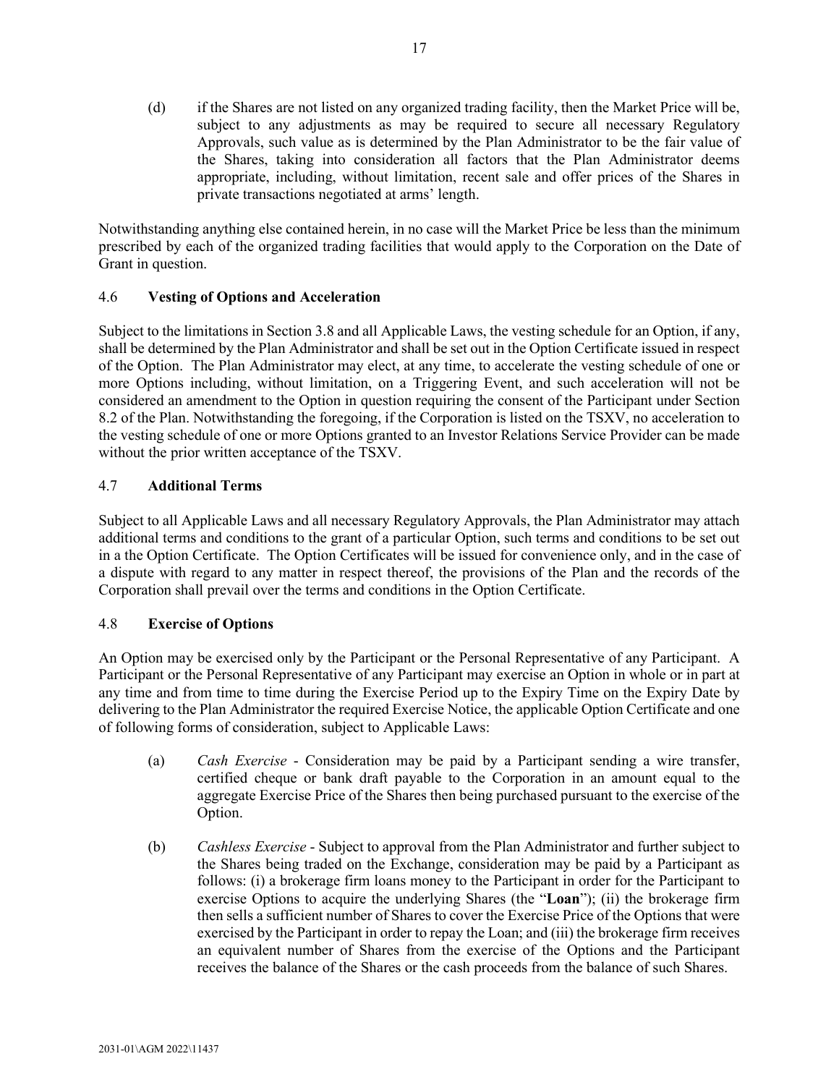(d) if the Shares are not listed on any organized trading facility, then the Market Price will be, subject to any adjustments as may be required to secure all necessary Regulatory Approvals, such value as is determined by the Plan Administrator to be the fair value of the Shares, taking into consideration all factors that the Plan Administrator deems appropriate, including, without limitation, recent sale and offer prices of the Shares in private transactions negotiated at arms' length.

Notwithstanding anything else contained herein, in no case will the Market Price be less than the minimum prescribed by each of the organized trading facilities that would apply to the Corporation on the Date of Grant in question.

# <span id="page-51-0"></span>4.6 **Vesting of Options and Acceleration**

Subject to the limitations in Section [3.8](#page-48-1) and all Applicable Laws, the vesting schedule for an Option, if any, shall be determined by the Plan Administrator and shall be set out in the Option Certificate issued in respect of the Option. The Plan Administrator may elect, at any time, to accelerate the vesting schedule of one or more Options including, without limitation, on a Triggering Event, and such acceleration will not be considered an amendment to the Option in question requiring the consent of the Participant under Section [8.2](#page-58-0) of the Plan. Notwithstanding the foregoing, if the Corporation is listed on the TSXV, no acceleration to the vesting schedule of one or more Options granted to an Investor Relations Service Provider can be made without the prior written acceptance of the TSXV.

# <span id="page-51-1"></span>4.7 **Additional Terms**

Subject to all Applicable Laws and all necessary Regulatory Approvals, the Plan Administrator may attach additional terms and conditions to the grant of a particular Option, such terms and conditions to be set out in a the Option Certificate. The Option Certificates will be issued for convenience only, and in the case of a dispute with regard to any matter in respect thereof, the provisions of the Plan and the records of the Corporation shall prevail over the terms and conditions in the Option Certificate.

# <span id="page-51-2"></span>4.8 **Exercise of Options**

An Option may be exercised only by the Participant or the Personal Representative of any Participant. A Participant or the Personal Representative of any Participant may exercise an Option in whole or in part at any time and from time to time during the Exercise Period up to the Expiry Time on the Expiry Date by delivering to the Plan Administrator the required Exercise Notice, the applicable Option Certificate and one of following forms of consideration, subject to Applicable Laws:

- (a) *Cash Exercise* Consideration may be paid by a Participant sending a wire transfer, certified cheque or bank draft payable to the Corporation in an amount equal to the aggregate Exercise Price of the Shares then being purchased pursuant to the exercise of the Option.
- (b) *Cashless Exercise* Subject to approval from the Plan Administrator and further subject to the Shares being traded on the Exchange, consideration may be paid by a Participant as follows: (i) a brokerage firm loans money to the Participant in order for the Participant to exercise Options to acquire the underlying Shares (the "**Loan**"); (ii) the brokerage firm then sells a sufficient number of Shares to cover the Exercise Price of the Options that were exercised by the Participant in order to repay the Loan; and (iii) the brokerage firm receives an equivalent number of Shares from the exercise of the Options and the Participant receives the balance of the Shares or the cash proceeds from the balance of such Shares.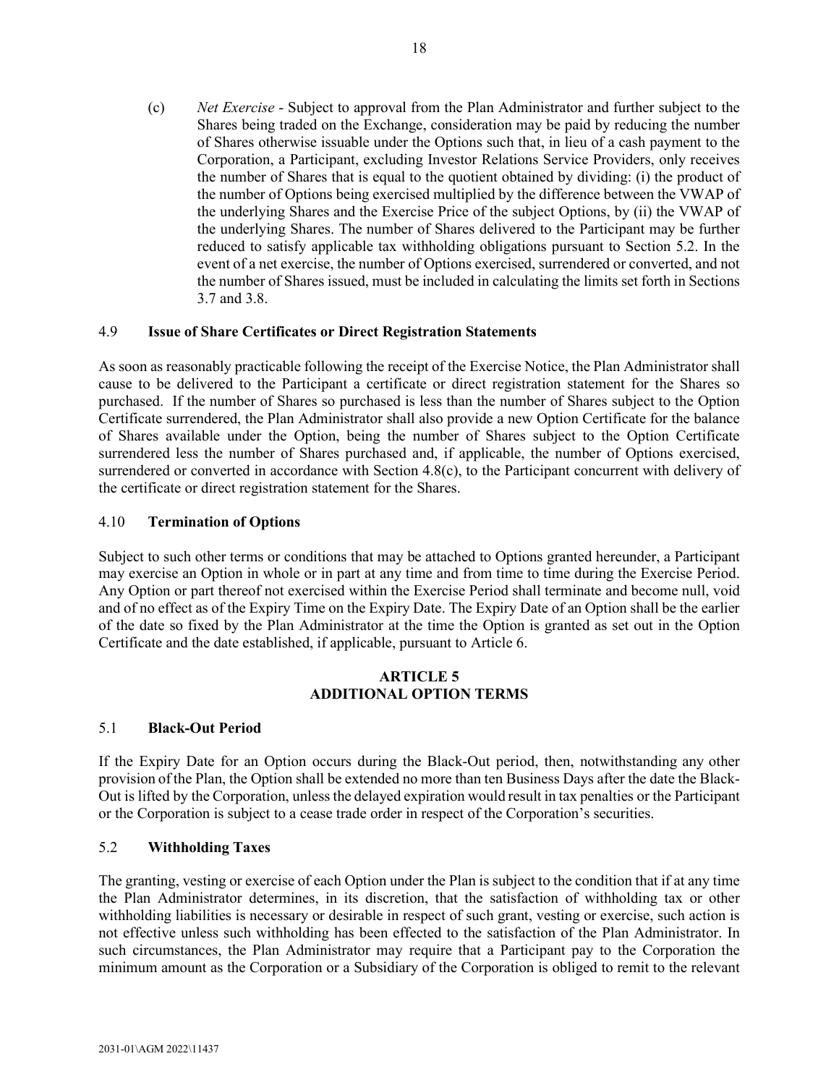<span id="page-52-5"></span>(c) *Net Exercise* - Subject to approval from the Plan Administrator and further subject to the Shares being traded on the Exchange, consideration may be paid by reducing the number of Shares otherwise issuable under the Options such that, in lieu of a cash payment to the Corporation, a Participant, excluding Investor Relations Service Providers, only receives the number of Shares that is equal to the quotient obtained by dividing: (i) the product of the number of Options being exercised multiplied by the difference between the VWAP of the underlying Shares and the Exercise Price of the subject Options, by (ii) the VWAP of the underlying Shares. The number of Shares delivered to the Participant may be further reduced to satisfy applicable tax withholding obligations pursuant to Section [5.2.](#page-52-4) In the event of a net exercise, the number of Options exercised, surrendered or converted, and not the number of Shares issued, must be included in calculating the limits set forth in Sections [3.7](#page-48-0) and [3.8.](#page-48-1)

# <span id="page-52-0"></span>4.9 **Issue of Share Certificates or Direct Registration Statements**

As soon as reasonably practicable following the receipt of the Exercise Notice, the Plan Administrator shall cause to be delivered to the Participant a certificate or direct registration statement for the Shares so purchased. If the number of Shares so purchased is less than the number of Shares subject to the Option Certificate surrendered, the Plan Administrator shall also provide a new Option Certificate for the balance of Shares available under the Option, being the number of Shares subject to the Option Certificate surrendered less the number of Shares purchased and, if applicable, the number of Options exercised, surrendered or converted in accordance with Section [4.8\(c\),](#page-52-5) to the Participant concurrent with delivery of the certificate or direct registration statement for the Shares.

# <span id="page-52-1"></span>4.10 **Termination of Options**

Subject to such other terms or conditions that may be attached to Options granted hereunder, a Participant may exercise an Option in whole or in part at any time and from time to time during the Exercise Period. Any Option or part thereof not exercised within the Exercise Period shall terminate and become null, void and of no effect as of the Expiry Time on the Expiry Date. The Expiry Date of an Option shall be the earlier of the date so fixed by the Plan Administrator at the time the Option is granted as set out in the Option Certificate and the date established, if applicable, pursuant to Article [6.](#page-53-2)

# **ARTICLE 5 ADDITIONAL OPTION TERMS**

# <span id="page-52-3"></span><span id="page-52-2"></span>5.1 **Black-Out Period**

If the Expiry Date for an Option occurs during the Black-Out period, then, notwithstanding any other provision of the Plan, the Option shall be extended no more than ten Business Days after the date the Black-Out is lifted by the Corporation, unless the delayed expiration would result in tax penalties or the Participant or the Corporation is subject to a cease trade order in respect of the Corporation's securities.

### <span id="page-52-4"></span>5.2 **Withholding Taxes**

The granting, vesting or exercise of each Option under the Plan is subject to the condition that if at any time the Plan Administrator determines, in its discretion, that the satisfaction of withholding tax or other withholding liabilities is necessary or desirable in respect of such grant, vesting or exercise, such action is not effective unless such withholding has been effected to the satisfaction of the Plan Administrator. In such circumstances, the Plan Administrator may require that a Participant pay to the Corporation the minimum amount as the Corporation or a Subsidiary of the Corporation is obliged to remit to the relevant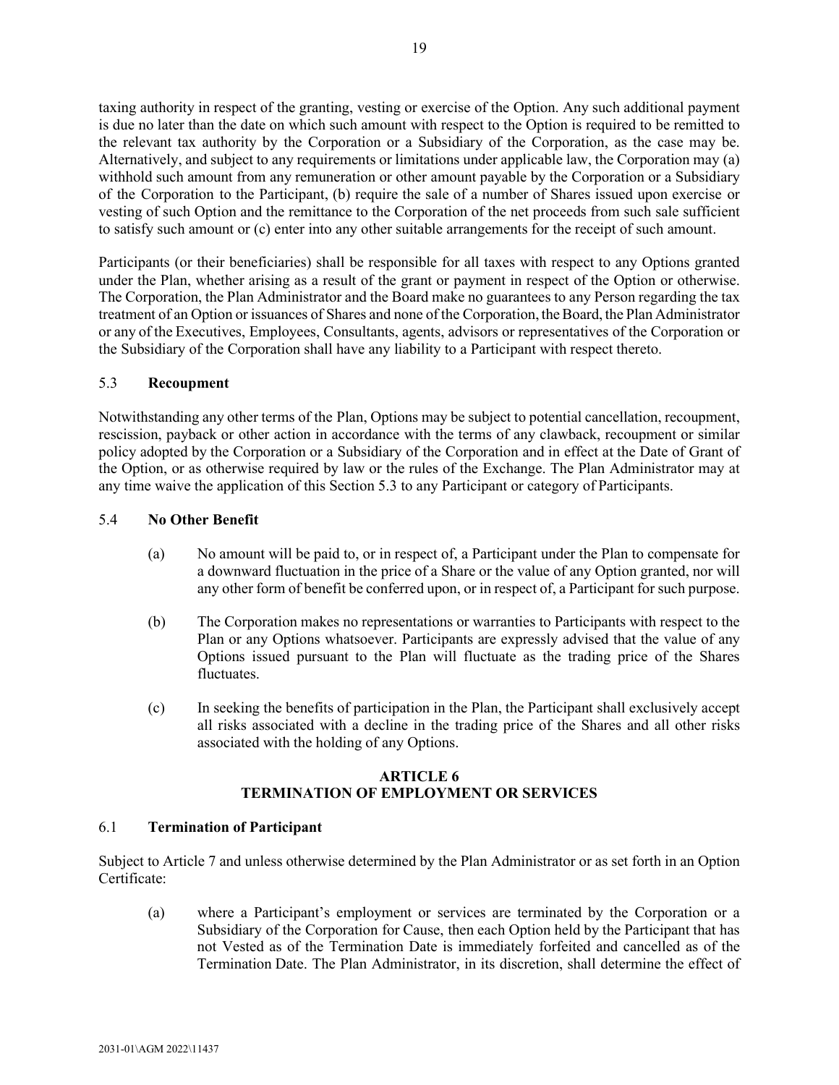taxing authority in respect of the granting, vesting or exercise of the Option. Any such additional payment is due no later than the date on which such amount with respect to the Option is required to be remitted to the relevant tax authority by the Corporation or a Subsidiary of the Corporation, as the case may be. Alternatively, and subject to any requirements or limitations under applicable law, the Corporation may (a) withhold such amount from any remuneration or other amount payable by the Corporation or a Subsidiary of the Corporation to the Participant, (b) require the sale of a number of Shares issued upon exercise or vesting of such Option and the remittance to the Corporation of the net proceeds from such sale sufficient to satisfy such amount or (c) enter into any other suitable arrangements for the receipt of such amount.

Participants (or their beneficiaries) shall be responsible for all taxes with respect to any Options granted under the Plan, whether arising as a result of the grant or payment in respect of the Option or otherwise. The Corporation, the Plan Administrator and the Board make no guarantees to any Person regarding the tax treatment of an Option or issuances of Shares and none of the Corporation, the Board, the Plan Administrator or any of the Executives, Employees, Consultants, agents, advisors or representatives of the Corporation or the Subsidiary of the Corporation shall have any liability to a Participant with respect thereto.

# <span id="page-53-0"></span>5.3 **Recoupment**

Notwithstanding any other terms of the Plan, Options may be subject to potential cancellation, recoupment, rescission, payback or other action in accordance with the terms of any clawback, recoupment or similar policy adopted by the Corporation or a Subsidiary of the Corporation and in effect at the Date of Grant of the Option, or as otherwise required by law or the rules of the Exchange. The Plan Administrator may at any time waive the application of this Section [5.3](#page-53-0) to any Participant or category of Participants.

# <span id="page-53-1"></span>5.4 **No Other Benefit**

- (a) No amount will be paid to, or in respect of, a Participant under the Plan to compensate for a downward fluctuation in the price of a Share or the value of any Option granted, nor will any other form of benefit be conferred upon, or in respect of, a Participant for such purpose.
- (b) The Corporation makes no representations or warranties to Participants with respect to the Plan or any Options whatsoever. Participants are expressly advised that the value of any Options issued pursuant to the Plan will fluctuate as the trading price of the Shares fluctuates.
- (c) In seeking the benefits of participation in the Plan, the Participant shall exclusively accept all risks associated with a decline in the trading price of the Shares and all other risks associated with the holding of any Options.

# **ARTICLE 6 TERMINATION OF EMPLOYMENT OR SERVICES**

# <span id="page-53-3"></span><span id="page-53-2"></span>6.1 **Termination of Participant**

Subject to [Article 7](#page-55-3) and unless otherwise determined by the Plan Administrator or as set forth in an Option Certificate:

(a) where a Participant's employment or services are terminated by the Corporation or a Subsidiary of the Corporation for Cause, then each Option held by the Participant that has not Vested as of the Termination Date is immediately forfeited and cancelled as of the Termination Date. The Plan Administrator, in its discretion, shall determine the effect of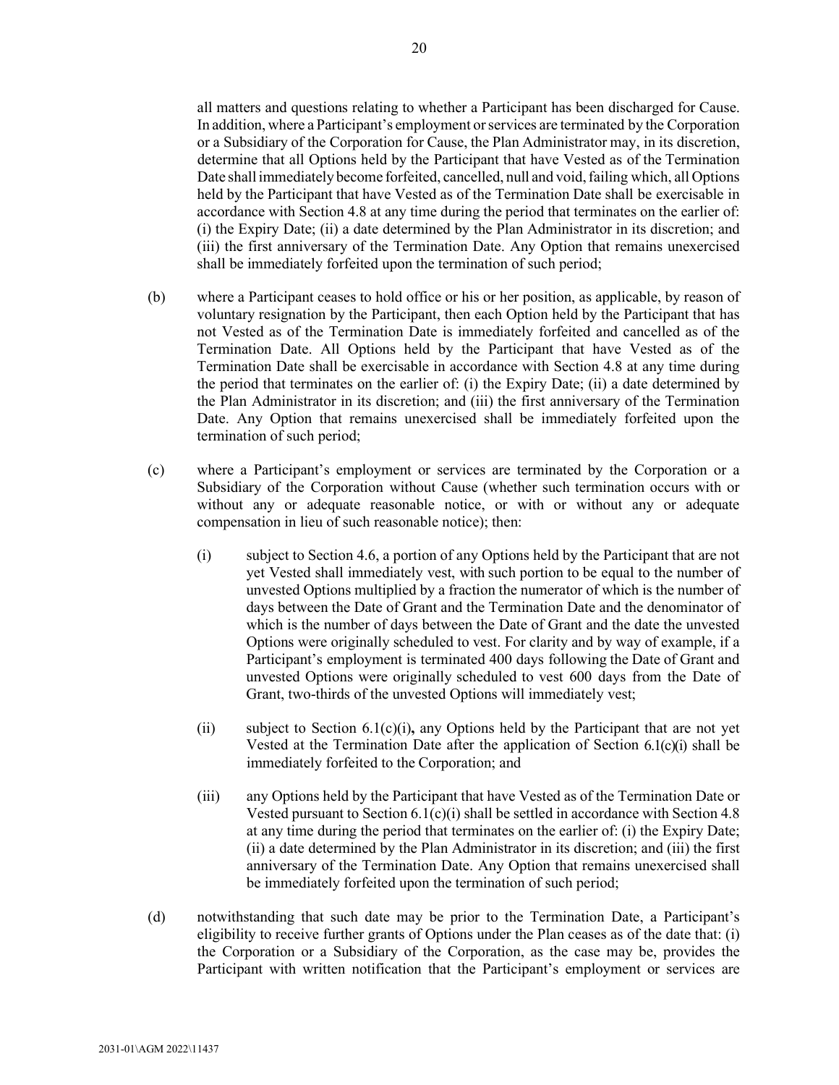all matters and questions relating to whether a Participant has been discharged for Cause. In addition, where a Participant's employment orservices are terminated by the Corporation or a Subsidiary of the Corporation for Cause, the Plan Administrator may, in its discretion, determine that all Options held by the Participant that have Vested as of the Termination Date shall immediately become forfeited, cancelled, null and void, failing which, all Options held by the Participant that have Vested as of the Termination Date shall be exercisable in accordance with Section [4.8](#page-51-2) at any time during the period that terminates on the earlier of: (i) the Expiry Date; (ii) a date determined by the Plan Administrator in its discretion; and (iii) the first anniversary of the Termination Date. Any Option that remains unexercised shall be immediately forfeited upon the termination of such period;

- (b) where a Participant ceases to hold office or his or her position, as applicable, by reason of voluntary resignation by the Participant, then each Option held by the Participant that has not Vested as of the Termination Date is immediately forfeited and cancelled as of the Termination Date. All Options held by the Participant that have Vested as of the Termination Date shall be exercisable in accordance with Section [4.8](#page-51-2) at any time during the period that terminates on the earlier of: (i) the Expiry Date; (ii) a date determined by the Plan Administrator in its discretion; and (iii) the first anniversary of the Termination Date. Any Option that remains unexercised shall be immediately forfeited upon the termination of such period;
- <span id="page-54-0"></span>(c) where a Participant's employment or services are terminated by the Corporation or a Subsidiary of the Corporation without Cause (whether such termination occurs with or without any or adequate reasonable notice, or with or without any or adequate compensation in lieu of such reasonable notice); then:
	- (i) subject to Section [4.6,](#page-51-0) a portion of any Options held by the Participant that are not yet Vested shall immediately vest, with such portion to be equal to the number of unvested Options multiplied by a fraction the numerator of which is the number of days between the Date of Grant and the Termination Date and the denominator of which is the number of days between the Date of Grant and the date the unvested Options were originally scheduled to vest. For clarity and by way of example, if a Participant's employment is terminated 400 days following the Date of Grant and unvested Options were originally scheduled to vest 600 days from the Date of Grant, two-thirds of the unvested Options will immediately vest;
	- (ii) subject to Section [6.1\(c\)\(i\)](#page-54-0)**,** any Options held by the Participant that are not yet Vested at the Termination Date after the application of Section [6.1\(c\)\(i\)](#page-54-0) shall be immediately forfeited to the Corporation; and
	- (iii) any Options held by the Participant that have Vested as of the Termination Date or Vested pursuant to Section [6.1\(c\)\(i\)](#page-54-0) shall be settled in accordance with Section [4.8](#page-51-2) at any time during the period that terminates on the earlier of: (i) the Expiry Date; (ii) a date determined by the Plan Administrator in its discretion; and (iii) the first anniversary of the Termination Date. Any Option that remains unexercised shall be immediately forfeited upon the termination of such period;
- (d) notwithstanding that such date may be prior to the Termination Date, a Participant's eligibility to receive further grants of Options under the Plan ceases as of the date that: (i) the Corporation or a Subsidiary of the Corporation, as the case may be, provides the Participant with written notification that the Participant's employment or services are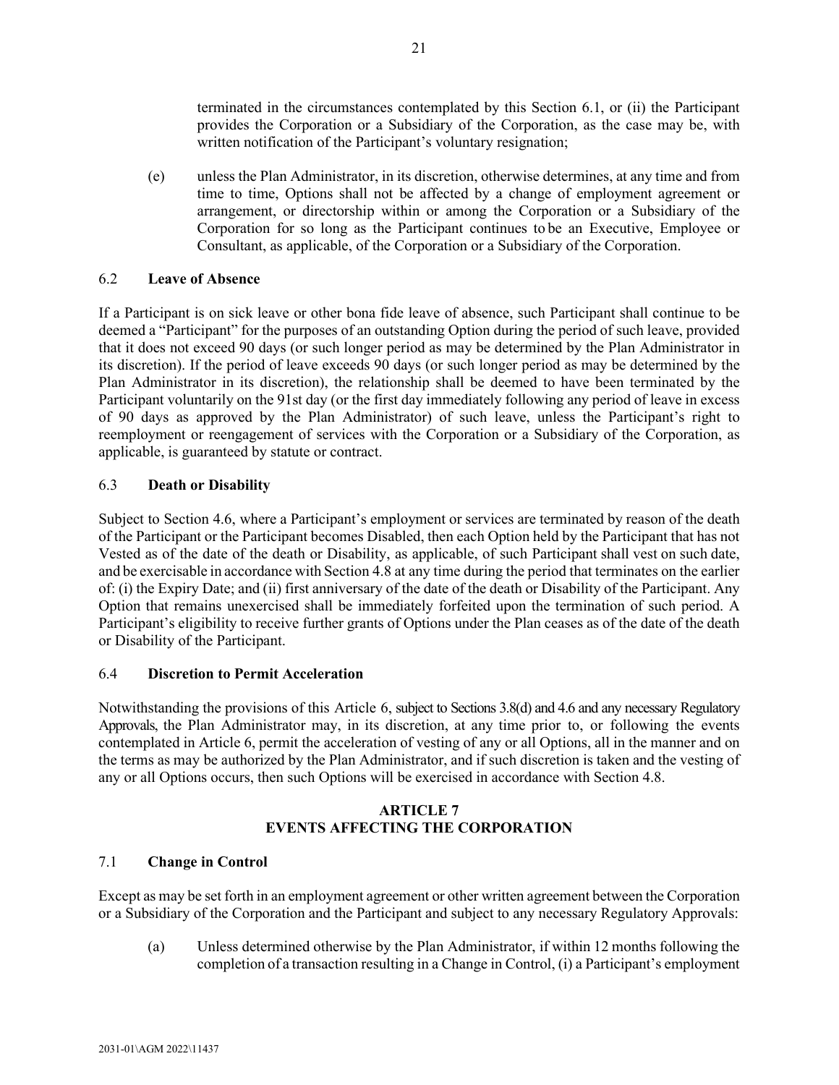terminated in the circumstances contemplated by this Section [6.1,](#page-53-3) or (ii) the Participant provides the Corporation or a Subsidiary of the Corporation, as the case may be, with written notification of the Participant's voluntary resignation;

(e) unless the Plan Administrator, in its discretion, otherwise determines, at any time and from time to time, Options shall not be affected by a change of employment agreement or arrangement, or directorship within or among the Corporation or a Subsidiary of the Corporation for so long as the Participant continues to be an Executive, Employee or Consultant, as applicable, of the Corporation or a Subsidiary of the Corporation.

# <span id="page-55-0"></span>6.2 **Leave of Absence**

If a Participant is on sick leave or other bona fide leave of absence, such Participant shall continue to be deemed a "Participant" for the purposes of an outstanding Option during the period of such leave, provided that it does not exceed 90 days (or such longer period as may be determined by the Plan Administrator in its discretion). If the period of leave exceeds 90 days (or such longer period as may be determined by the Plan Administrator in its discretion), the relationship shall be deemed to have been terminated by the Participant voluntarily on the 91st day (or the first day immediately following any period of leave in excess of 90 days as approved by the Plan Administrator) of such leave, unless the Participant's right to reemployment or reengagement of services with the Corporation or a Subsidiary of the Corporation, as applicable, is guaranteed by statute or contract.

# <span id="page-55-1"></span>6.3 **Death or Disability**

Subject to Section [4.6,](#page-51-0) where a Participant's employment or services are terminated by reason of the death of the Participant or the Participant becomes Disabled, then each Option held by the Participant that has not Vested as of the date of the death or Disability, as applicable, of such Participant shall vest on such date, and be exercisable in accordance with Section [4.8](#page-51-2) at any time during the period that terminates on the earlier of: (i) the Expiry Date; and (ii) first anniversary of the date of the death or Disability of the Participant. Any Option that remains unexercised shall be immediately forfeited upon the termination of such period. A Participant's eligibility to receive further grants of Options under the Plan ceases as of the date of the death or Disability of the Participant.

# <span id="page-55-2"></span>6.4 **Discretion to Permit Acceleration**

Notwithstanding the provisions of this Article [6,](#page-53-2) subject to Sections [3.8\(d\)](#page-48-2) an[d 4.6](#page-51-0) and any necessary Regulatory Approvals, the Plan Administrator may, in its discretion, at any time prior to, or following the events contemplated in Article [6,](#page-53-2) permit the acceleration of vesting of any or all Options, all in the manner and on the terms as may be authorized by the Plan Administrator, and if such discretion is taken and the vesting of any or all Options occurs, then such Options will be exercised in accordance with Section [4.8.](#page-51-2)

# **ARTICLE 7 EVENTS AFFECTING THE CORPORATION**

# <span id="page-55-4"></span><span id="page-55-3"></span>7.1 **Change in Control**

<span id="page-55-5"></span>Except as may be set forth in an employment agreement or other written agreement between the Corporation or a Subsidiary of the Corporation and the Participant and subject to any necessary Regulatory Approvals:

(a) Unless determined otherwise by the Plan Administrator, if within 12 months following the completion of a transaction resulting in a Change in Control, (i) a Participant's employment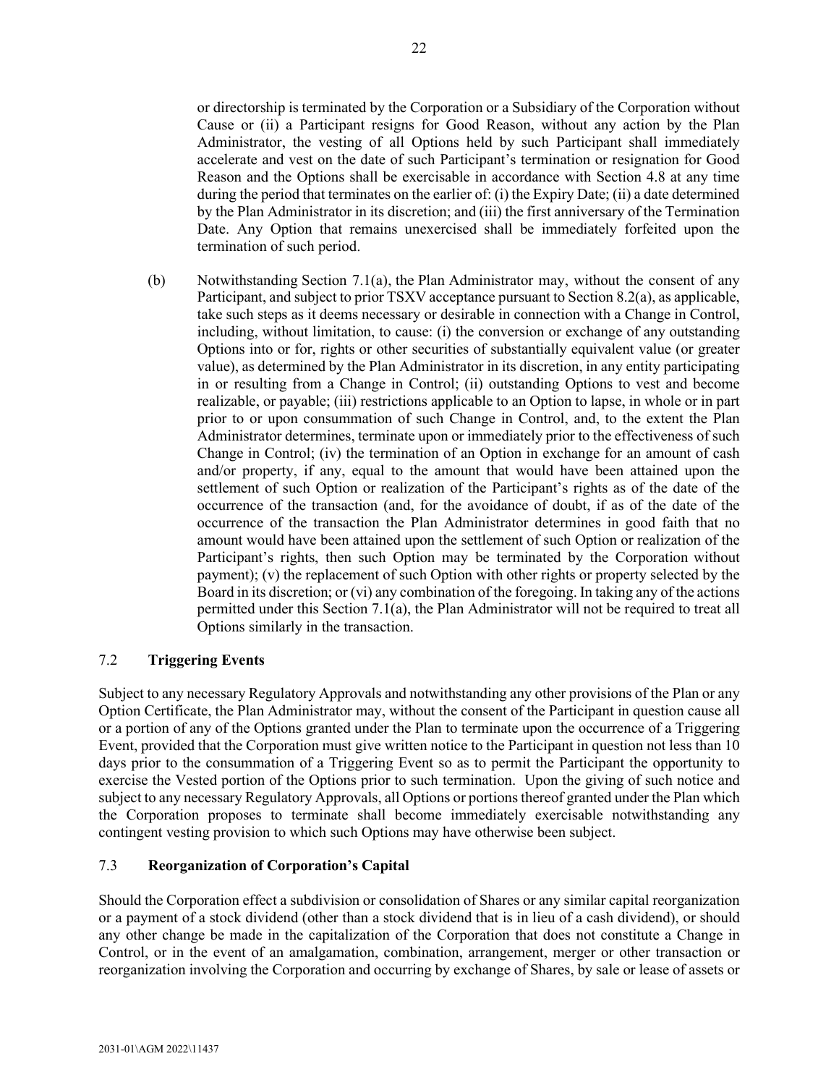or directorship is terminated by the Corporation or a Subsidiary of the Corporation without Cause or (ii) a Participant resigns for Good Reason, without any action by the Plan Administrator, the vesting of all Options held by such Participant shall immediately accelerate and vest on the date of such Participant's termination or resignation for Good Reason and the Options shall be exercisable in accordance with Section [4.8](#page-51-2) at any time during the period that terminates on the earlier of: (i) the Expiry Date; (ii) a date determined by the Plan Administrator in its discretion; and (iii) the first anniversary of the Termination Date. Any Option that remains unexercised shall be immediately forfeited upon the termination of such period.

(b) Notwithstanding Section [7.1\(a\),](#page-55-5) the Plan Administrator may, without the consent of any Participant, and subject to prior TSXV acceptance pursuant to Section [8.2\(a\),](#page-58-4) as applicable, take such steps as it deems necessary or desirable in connection with a Change in Control, including, without limitation, to cause: (i) the conversion or exchange of any outstanding Options into or for, rights or other securities of substantially equivalent value (or greater value), as determined by the Plan Administrator in its discretion, in any entity participating in or resulting from a Change in Control; (ii) outstanding Options to vest and become realizable, or payable; (iii) restrictions applicable to an Option to lapse, in whole or in part prior to or upon consummation of such Change in Control, and, to the extent the Plan Administrator determines, terminate upon or immediately prior to the effectiveness of such Change in Control; (iv) the termination of an Option in exchange for an amount of cash and/or property, if any, equal to the amount that would have been attained upon the settlement of such Option or realization of the Participant's rights as of the date of the occurrence of the transaction (and, for the avoidance of doubt, if as of the date of the occurrence of the transaction the Plan Administrator determines in good faith that no amount would have been attained upon the settlement of such Option or realization of the Participant's rights, then such Option may be terminated by the Corporation without payment); (v) the replacement of such Option with other rights or property selected by the Board in its discretion; or (vi) any combination of the foregoing. In taking any of the actions permitted under this Section [7.1\(a\),](#page-55-5) the Plan Administrator will not be required to treat all Options similarly in the transaction.

# <span id="page-56-0"></span>7.2 **Triggering Events**

Subject to any necessary Regulatory Approvals and notwithstanding any other provisions of the Plan or any Option Certificate, the Plan Administrator may, without the consent of the Participant in question cause all or a portion of any of the Options granted under the Plan to terminate upon the occurrence of a Triggering Event, provided that the Corporation must give written notice to the Participant in question not less than 10 days prior to the consummation of a Triggering Event so as to permit the Participant the opportunity to exercise the Vested portion of the Options prior to such termination. Upon the giving of such notice and subject to any necessary Regulatory Approvals, all Options or portions thereof granted under the Plan which the Corporation proposes to terminate shall become immediately exercisable notwithstanding any contingent vesting provision to which such Options may have otherwise been subject.

# <span id="page-56-1"></span>7.3 **Reorganization of Corporation's Capital**

Should the Corporation effect a subdivision or consolidation of Shares or any similar capital reorganization or a payment of a stock dividend (other than a stock dividend that is in lieu of a cash dividend), or should any other change be made in the capitalization of the Corporation that does not constitute a Change in Control, or in the event of an amalgamation, combination, arrangement, merger or other transaction or reorganization involving the Corporation and occurring by exchange of Shares, by sale or lease of assets or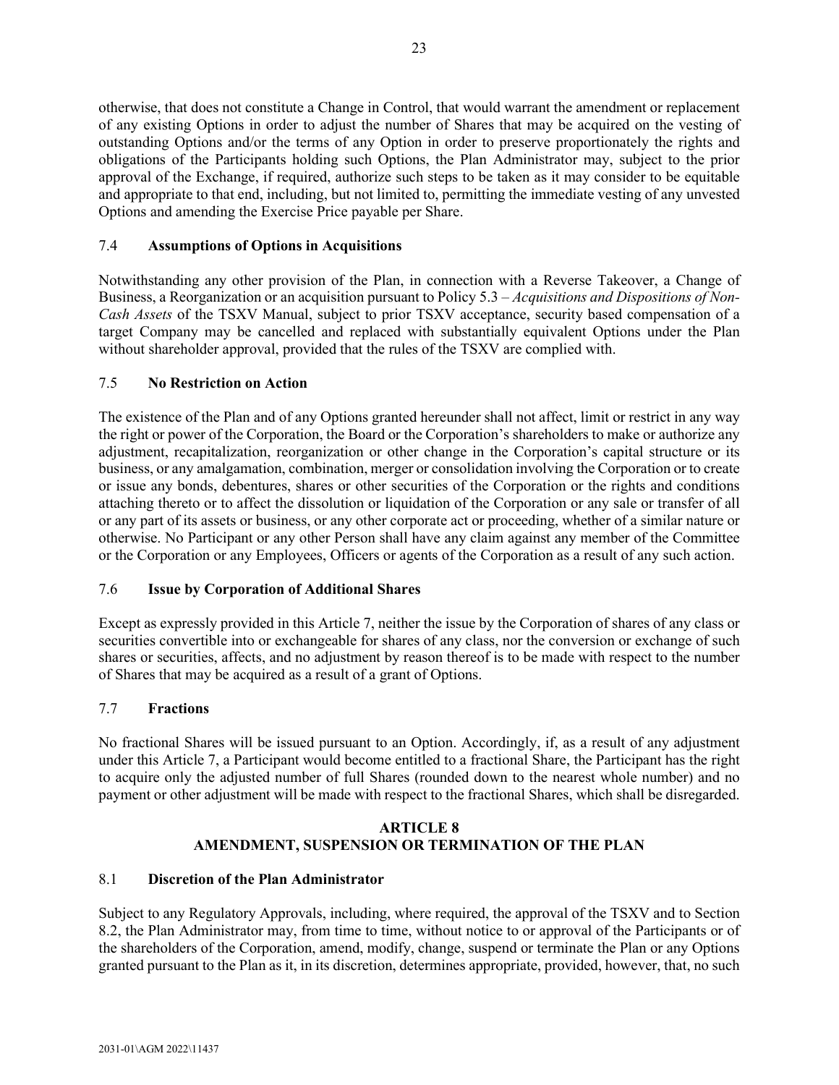otherwise, that does not constitute a Change in Control, that would warrant the amendment or replacement of any existing Options in order to adjust the number of Shares that may be acquired on the vesting of outstanding Options and/or the terms of any Option in order to preserve proportionately the rights and obligations of the Participants holding such Options, the Plan Administrator may, subject to the prior approval of the Exchange, if required, authorize such steps to be taken as it may consider to be equitable and appropriate to that end, including, but not limited to, permitting the immediate vesting of any unvested Options and amending the Exercise Price payable per Share.

# <span id="page-57-0"></span>7.4 **Assumptions of Options in Acquisitions**

Notwithstanding any other provision of the Plan, in connection with a Reverse Takeover, a Change of Business, a Reorganization or an acquisition pursuant to Policy 5.3 – *Acquisitions and Dispositions of Non-Cash Assets* of the TSXV Manual, subject to prior TSXV acceptance, security based compensation of a target Company may be cancelled and replaced with substantially equivalent Options under the Plan without shareholder approval, provided that the rules of the TSXV are complied with.

# <span id="page-57-1"></span>7.5 **No Restriction on Action**

The existence of the Plan and of any Options granted hereunder shall not affect, limit or restrict in any way the right or power of the Corporation, the Board or the Corporation's shareholders to make or authorize any adjustment, recapitalization, reorganization or other change in the Corporation's capital structure or its business, or any amalgamation, combination, merger or consolidation involving the Corporation or to create or issue any bonds, debentures, shares or other securities of the Corporation or the rights and conditions attaching thereto or to affect the dissolution or liquidation of the Corporation or any sale or transfer of all or any part of its assets or business, or any other corporate act or proceeding, whether of a similar nature or otherwise. No Participant or any other Person shall have any claim against any member of the Committee or the Corporation or any Employees, Officers or agents of the Corporation as a result of any such action.

# <span id="page-57-2"></span>7.6 **Issue by Corporation of Additional Shares**

Except as expressly provided in this [Article 7,](#page-55-3) neither the issue by the Corporation of shares of any class or securities convertible into or exchangeable for shares of any class, nor the conversion or exchange of such shares or securities, affects, and no adjustment by reason thereof is to be made with respect to the number of Shares that may be acquired as a result of a grant of Options.

# <span id="page-57-3"></span>7.7 **Fractions**

No fractional Shares will be issued pursuant to an Option. Accordingly, if, as a result of any adjustment under this [Article 7,](#page-55-3) a Participant would become entitled to a fractional Share, the Participant has the right to acquire only the adjusted number of full Shares (rounded down to the nearest whole number) and no payment or other adjustment will be made with respect to the fractional Shares, which shall be disregarded.

# **ARTICLE 8 AMENDMENT, SUSPENSION OR TERMINATION OF THE PLAN**

# <span id="page-57-5"></span><span id="page-57-4"></span>8.1 **Discretion of the Plan Administrator**

Subject to any Regulatory Approvals, including, where required, the approval of the TSXV and to Section [8.2,](#page-58-0) the Plan Administrator may, from time to time, without notice to or approval of the Participants or of the shareholders of the Corporation, amend, modify, change, suspend or terminate the Plan or any Options granted pursuant to the Plan as it, in its discretion, determines appropriate, provided, however, that, no such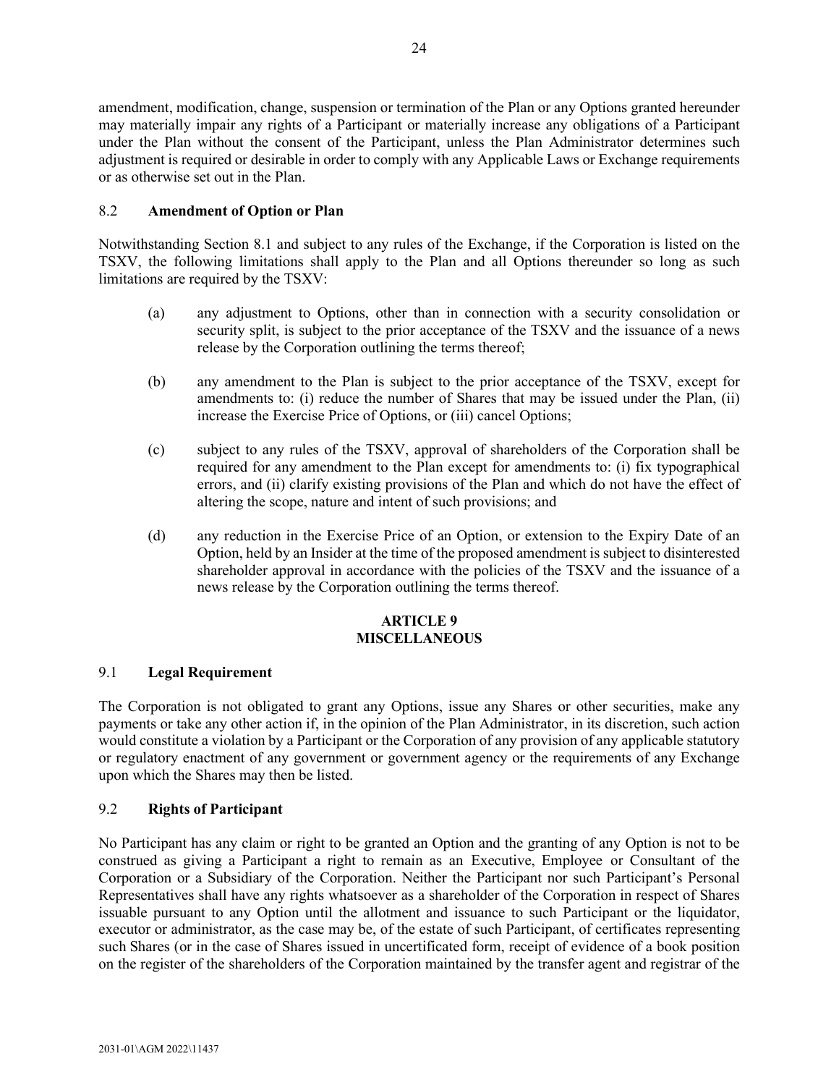amendment, modification, change, suspension or termination of the Plan or any Options granted hereunder may materially impair any rights of a Participant or materially increase any obligations of a Participant under the Plan without the consent of the Participant, unless the Plan Administrator determines such adjustment is required or desirable in order to comply with any Applicable Laws or Exchange requirements or as otherwise set out in the Plan.

# <span id="page-58-0"></span>8.2 **Amendment of Option or Plan**

<span id="page-58-4"></span>Notwithstanding Section [8.1](#page-57-5) and subject to any rules of the Exchange, if the Corporation is listed on the TSXV, the following limitations shall apply to the Plan and all Options thereunder so long as such limitations are required by the TSXV:

- (a) any adjustment to Options, other than in connection with a security consolidation or security split, is subject to the prior acceptance of the TSXV and the issuance of a news release by the Corporation outlining the terms thereof;
- (b) any amendment to the Plan is subject to the prior acceptance of the TSXV, except for amendments to: (i) reduce the number of Shares that may be issued under the Plan, (ii) increase the Exercise Price of Options, or (iii) cancel Options;
- (c) subject to any rules of the TSXV, approval of shareholders of the Corporation shall be required for any amendment to the Plan except for amendments to: (i) fix typographical errors, and (ii) clarify existing provisions of the Plan and which do not have the effect of altering the scope, nature and intent of such provisions; and
- (d) any reduction in the Exercise Price of an Option, or extension to the Expiry Date of an Option, held by an Insider at the time of the proposed amendment is subject to disinterested shareholder approval in accordance with the policies of the TSXV and the issuance of a news release by the Corporation outlining the terms thereof.

# **ARTICLE 9 MISCELLANEOUS**

# <span id="page-58-2"></span><span id="page-58-1"></span>9.1 **Legal Requirement**

The Corporation is not obligated to grant any Options, issue any Shares or other securities, make any payments or take any other action if, in the opinion of the Plan Administrator, in its discretion, such action would constitute a violation by a Participant or the Corporation of any provision of any applicable statutory or regulatory enactment of any government or government agency or the requirements of any Exchange upon which the Shares may then be listed.

# <span id="page-58-3"></span>9.2 **Rights of Participant**

No Participant has any claim or right to be granted an Option and the granting of any Option is not to be construed as giving a Participant a right to remain as an Executive, Employee or Consultant of the Corporation or a Subsidiary of the Corporation. Neither the Participant nor such Participant's Personal Representatives shall have any rights whatsoever as a shareholder of the Corporation in respect of Shares issuable pursuant to any Option until the allotment and issuance to such Participant or the liquidator, executor or administrator, as the case may be, of the estate of such Participant, of certificates representing such Shares (or in the case of Shares issued in uncertificated form, receipt of evidence of a book position on the register of the shareholders of the Corporation maintained by the transfer agent and registrar of the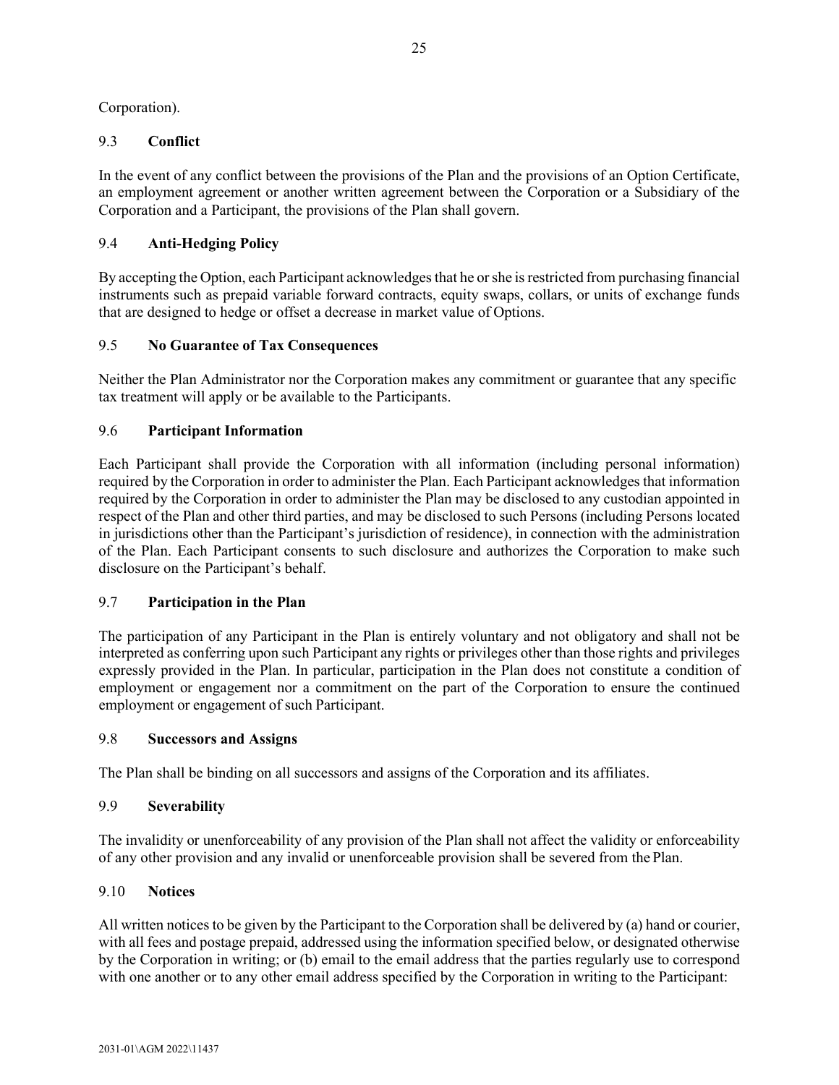<span id="page-59-0"></span>Corporation).

# 9.3 **Conflict**

In the event of any conflict between the provisions of the Plan and the provisions of an Option Certificate, an employment agreement or another written agreement between the Corporation or a Subsidiary of the Corporation and a Participant, the provisions of the Plan shall govern.

# <span id="page-59-1"></span>9.4 **Anti-Hedging Policy**

By accepting the Option, each Participant acknowledges that he or she is restricted from purchasing financial instruments such as prepaid variable forward contracts, equity swaps, collars, or units of exchange funds that are designed to hedge or offset a decrease in market value of Options.

# <span id="page-59-2"></span>9.5 **No Guarantee of Tax Consequences**

Neither the Plan Administrator nor the Corporation makes any commitment or guarantee that any specific tax treatment will apply or be available to the Participants.

# <span id="page-59-3"></span>9.6 **Participant Information**

Each Participant shall provide the Corporation with all information (including personal information) required by the Corporation in order to administer the Plan. Each Participant acknowledges that information required by the Corporation in order to administer the Plan may be disclosed to any custodian appointed in respect of the Plan and other third parties, and may be disclosed to such Persons (including Persons located in jurisdictions other than the Participant's jurisdiction of residence), in connection with the administration of the Plan. Each Participant consents to such disclosure and authorizes the Corporation to make such disclosure on the Participant's behalf.

# <span id="page-59-4"></span>9.7 **Participation in the Plan**

The participation of any Participant in the Plan is entirely voluntary and not obligatory and shall not be interpreted as conferring upon such Participant any rights or privileges other than those rights and privileges expressly provided in the Plan. In particular, participation in the Plan does not constitute a condition of employment or engagement nor a commitment on the part of the Corporation to ensure the continued employment or engagement of such Participant.

# <span id="page-59-5"></span>9.8 **Successors and Assigns**

<span id="page-59-6"></span>The Plan shall be binding on all successors and assigns of the Corporation and its affiliates.

# 9.9 **Severability**

The invalidity or unenforceability of any provision of the Plan shall not affect the validity or enforceability of any other provision and any invalid or unenforceable provision shall be severed from the Plan.

# <span id="page-59-7"></span>9.10 **Notices**

All written notices to be given by the Participant to the Corporation shall be delivered by (a) hand or courier, with all fees and postage prepaid, addressed using the information specified below, or designated otherwise by the Corporation in writing; or (b) email to the email address that the parties regularly use to correspond with one another or to any other email address specified by the Corporation in writing to the Participant: